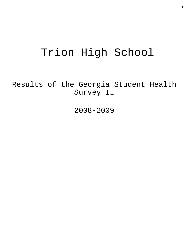# Trion High School

Results of the Georgia Student Health Survey II

2008-2009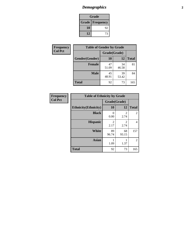# *Demographics* **2**

| Grade                    |    |  |  |  |
|--------------------------|----|--|--|--|
| <b>Grade   Frequency</b> |    |  |  |  |
| 10                       | 92 |  |  |  |
| 12                       | 73 |  |  |  |

| <b>Frequency</b> | <b>Table of Gender by Grade</b> |              |             |              |  |  |
|------------------|---------------------------------|--------------|-------------|--------------|--|--|
| <b>Col Pct</b>   |                                 | Grade(Grade) |             |              |  |  |
|                  | Gender(Gender)                  | 10           | 12          | <b>Total</b> |  |  |
|                  | <b>Female</b>                   | 47<br>51.09  | 34<br>46.58 | 81           |  |  |
|                  | <b>Male</b>                     | 45<br>48.91  | 39<br>53.42 | 84           |  |  |
|                  | <b>Total</b>                    | 92           | 73          | 165          |  |  |

| Frequency |
|-----------|
| Col Pct   |

| <b>Table of Ethnicity by Grade</b> |              |             |              |  |  |  |
|------------------------------------|--------------|-------------|--------------|--|--|--|
|                                    | Grade(Grade) |             |              |  |  |  |
| <b>Ethnicity</b> (Ethnicity)       | 10           | 12          | <b>Total</b> |  |  |  |
| <b>Black</b>                       | 0<br>0.00    | 2<br>2.74   | 2            |  |  |  |
| <b>Hispanic</b>                    | 2<br>2.17    | 2<br>2.74   | 4            |  |  |  |
| White                              | 89<br>96.74  | 68<br>93.15 | 157          |  |  |  |
| <b>Asian</b>                       | 1.09         | 1.37        | 2            |  |  |  |
| <b>Total</b>                       | 92           | 73          | 165          |  |  |  |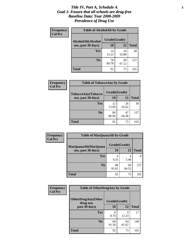#### *Title IV, Part A, Schedule A* **3** *Goal 1: Ensure that all schools are drug-free Baseline Data: Year 2008-2009 Prevalence of Drug Use*

| Frequency<br><b>Col Pct</b> | <b>Table of AlcoholAlt by Grade</b> |              |             |              |  |  |  |
|-----------------------------|-------------------------------------|--------------|-------------|--------------|--|--|--|
|                             | AlcoholAlt(Alcohol                  | Grade(Grade) |             |              |  |  |  |
|                             | use, past 30 days)                  | 10           | 12          | <b>Total</b> |  |  |  |
|                             | Yes                                 | 14<br>15.22  | 24<br>32.88 | 38           |  |  |  |
|                             | N <sub>0</sub>                      | 78<br>84.78  | 49<br>67.12 | 127          |  |  |  |
|                             | <b>Total</b>                        | 92           | 73          | 165          |  |  |  |

| Frequency      | <b>Table of TobaccoAny by Grade</b> |              |             |              |  |  |
|----------------|-------------------------------------|--------------|-------------|--------------|--|--|
| <b>Col Pct</b> | <b>TobaccoAny(Tobacco</b>           | Grade(Grade) |             |              |  |  |
|                | use, past 30 days)                  | 10           | 12          | <b>Total</b> |  |  |
|                | Yes                                 | 12<br>13.04  | 26<br>35.62 | 38           |  |  |
|                | N <sub>0</sub>                      | 80<br>86.96  | 47<br>64.38 | 127          |  |  |
|                | <b>Total</b>                        | 92           | 73          | 165          |  |  |

| Frequency<br><b>Col Pct</b> | <b>Table of MarijuanaAlt by Grade</b> |              |             |              |  |
|-----------------------------|---------------------------------------|--------------|-------------|--------------|--|
|                             | MarijuanaAlt(Marijuana                | Grade(Grade) |             |              |  |
|                             | use, past 30 days)                    | <b>10</b>    | 12          | <b>Total</b> |  |
|                             | Yes                                   | 4<br>4.35    | 4<br>5.48   | 8            |  |
|                             | N <sub>0</sub>                        | 88<br>95.65  | 69<br>94.52 | 157          |  |
|                             | <b>Total</b>                          | 92           | 73          | 165          |  |

| Frequency<br><b>Col Pct</b> | <b>Table of OtherDrugAny by Grade</b>  |              |             |              |  |
|-----------------------------|----------------------------------------|--------------|-------------|--------------|--|
|                             | <b>OtherDrugAny(Other</b><br>drug use, | Grade(Grade) |             |              |  |
|                             | past 30 days)                          | 10           | <b>12</b>   | <b>Total</b> |  |
|                             | Yes                                    | 8<br>8.70    | 9<br>12.33  | 17           |  |
|                             | N <sub>0</sub>                         | 84<br>91.30  | 64<br>87.67 | 148          |  |
|                             | <b>Total</b>                           | 92           | 73          | 165          |  |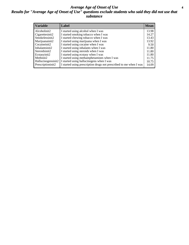#### *Average Age of Onset of Use* **4** *Results for "Average Age of Onset of Use" questions exclude students who said they did not use that substance*

| <b>Variable</b>       | Label                                                              | <b>Mean</b> |
|-----------------------|--------------------------------------------------------------------|-------------|
| Alcoholinit2          | I started using alcohol when I was                                 | 13.98       |
| Cigarettesinit2       | I started smoking tobacco when I was                               | 14.27       |
| Smokelessinit2        | I started chewing tobacco when I was                               | 13.43       |
| Marijuanainit2        | I started using marijuana when I was                               | 13.92       |
| Cocaineinit2          | I started using cocaine when I was                                 | 9.50        |
| Inhalantsinit2        | I started using inhalants when I was                               | 11.80       |
| Steroidsinit2         | I started using steroids when I was                                | 11.80       |
| Ecstasyinit2          | I started using ecstasy when I was                                 | 11.80       |
| Methinit <sub>2</sub> | I started using methamphetamines when I was                        | 11.75       |
| Hallucinogensinit2    | I started using hallucinogens when I was                           | 10.75       |
| Prescriptioninit2     | I started using prescription drugs not prescribed to me when I was | 14.09       |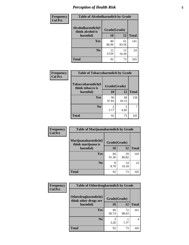# *Perception of Health Risk* **5**

| <b>Frequency</b> | <b>Table of Alcoholharmdich by Grade</b> |              |             |              |  |
|------------------|------------------------------------------|--------------|-------------|--------------|--|
| <b>Col Pct</b>   | Alcoholharmdich(I<br>think alcohol is    | Grade(Grade) |             |              |  |
|                  | harmful)                                 | 10           | 12          | <b>Total</b> |  |
|                  | <b>Yes</b>                               | 80<br>86.96  | 61<br>83.56 | 141          |  |
|                  | N <sub>0</sub>                           | 12<br>13.04  | 12<br>16.44 | 24           |  |
|                  | <b>Total</b>                             | 92           | 73          | 165          |  |

| Frequency      | <b>Table of Tobaccoharmdich by Grade</b> |              |             |              |  |
|----------------|------------------------------------------|--------------|-------------|--------------|--|
| <b>Col Pct</b> | Tobaccoharmdich(I<br>think tobacco is    | Grade(Grade) |             |              |  |
|                | harmful)                                 | 10           | 12          | <b>Total</b> |  |
|                | <b>Yes</b>                               | 90<br>97.83  | 68<br>93.15 | 158          |  |
|                | N <sub>0</sub>                           | 2.17         | 5<br>6.85   |              |  |
|                | <b>Total</b>                             | 92           | 73          | 165          |  |

| <b>Frequency</b> | <b>Table of Marijuanaharmdich by Grade</b> |              |             |              |  |  |
|------------------|--------------------------------------------|--------------|-------------|--------------|--|--|
| <b>Col Pct</b>   | Marijuanaharmdich(I<br>think marijuana is  | Grade(Grade) |             |              |  |  |
|                  | harmful)                                   | <b>10</b>    | 12          | <b>Total</b> |  |  |
|                  | Yes                                        | 84<br>91.30  | 59<br>80.82 | 143          |  |  |
|                  | N <sub>0</sub>                             | 8<br>8.70    | 14<br>19.18 | 22           |  |  |
|                  | <b>Total</b>                               | 92           | 73          | 165          |  |  |

| <b>Frequency</b> | <b>Table of Otherdrugharmdich by Grade</b>                   |             |             |              |  |
|------------------|--------------------------------------------------------------|-------------|-------------|--------------|--|
| <b>Col Pct</b>   | Otherdrugharmdich(I<br>Grade(Grade)<br>think other drugs are |             |             |              |  |
|                  | harmful)                                                     | 10          | 12          | <b>Total</b> |  |
|                  | Yes                                                          | 89<br>96.74 | 72<br>98.63 | 161          |  |
|                  | N <sub>0</sub>                                               | 3.26        | 1.37        | 4            |  |
|                  | <b>Total</b>                                                 | 92          | 73          | 165          |  |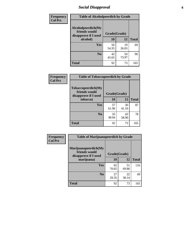# *Social Disapproval* **6**

| Frequency      | <b>Table of Alcoholpeerdich by Grade</b>                                |              |             |              |
|----------------|-------------------------------------------------------------------------|--------------|-------------|--------------|
| <b>Col Pct</b> | Alcoholpeerdich(My<br>friends would<br>disapprove if I used<br>alcohol) | Grade(Grade) |             |              |
|                |                                                                         | 10           | 12          | <b>Total</b> |
|                | <b>Yes</b>                                                              | 50<br>54.35  | 19<br>26.03 | 69           |
|                | N <sub>0</sub>                                                          | 42<br>45.65  | 54<br>73.97 | 96           |
|                | <b>Total</b>                                                            | 92           | 73          | 165          |

| <b>Frequency</b> |
|------------------|
| <b>Col Pct</b>   |

| <b>Table of Tobaccopeerdich by Grade</b>                    |              |             |              |  |  |
|-------------------------------------------------------------|--------------|-------------|--------------|--|--|
| Tobaccopeerdich(My<br>friends would<br>disapprove if I used | Grade(Grade) |             |              |  |  |
| tobacco)                                                    | 10           | 12          | <b>Total</b> |  |  |
| Yes                                                         | 57<br>61.96  | 30<br>41.10 | 87           |  |  |
| N <sub>0</sub>                                              | 35<br>38.04  | 43<br>58.90 | 78           |  |  |
| <b>Total</b>                                                | 92           | 73          | 165          |  |  |

| Frequency      | <b>Table of Marijuanapeerdich by Grade</b>                    |              |             |              |  |  |
|----------------|---------------------------------------------------------------|--------------|-------------|--------------|--|--|
| <b>Col Pct</b> | Marijuanapeerdich(My<br>friends would<br>disapprove if I used | Grade(Grade) |             |              |  |  |
|                | marijuana)                                                    | 10           | 12          | <b>Total</b> |  |  |
|                | <b>Yes</b>                                                    | 65<br>70.65  | 51<br>69.86 | 116          |  |  |
|                | N <sub>0</sub>                                                | 27<br>29.35  | 22<br>30.14 | 49           |  |  |
|                | <b>Total</b>                                                  | 92           | 73          | 165          |  |  |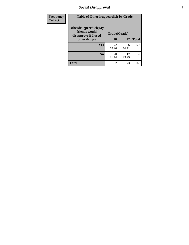# *Social Disapproval* **7**

| Frequency      | <b>Table of Otherdrugpeerdich by Grade</b>                    |              |             |              |  |
|----------------|---------------------------------------------------------------|--------------|-------------|--------------|--|
| <b>Col Pct</b> | Otherdrugpeerdich(My<br>friends would<br>disapprove if I used | Grade(Grade) |             |              |  |
|                | other drugs)                                                  | 10           | 12          | <b>Total</b> |  |
|                | <b>Yes</b>                                                    | 72<br>78.26  | 56<br>76.71 | 128          |  |
|                | N <sub>0</sub>                                                | 20<br>21.74  | 17<br>23.29 | 37           |  |
|                | <b>Total</b>                                                  | 92           | 73          | 165          |  |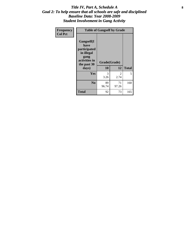#### Title IV, Part A, Schedule A **8** *Goal 2: To help ensure that all schools are safe and disciplined Baseline Data: Year 2008-2009 Student Involvement in Gang Activity*

| Frequency      | <b>Table of Gangself by Grade</b>                                                                 |                    |             |              |
|----------------|---------------------------------------------------------------------------------------------------|--------------------|-------------|--------------|
| <b>Col Pct</b> | Gangself(I<br>have<br>participated<br>in illegal<br>gang<br>activities in<br>the past 30<br>days) | Grade(Grade)<br>10 | 12          | <b>Total</b> |
|                | Yes                                                                                               | 3<br>3.26          | 2<br>2.74   | 5            |
|                | N <sub>0</sub>                                                                                    | 89<br>96.74        | 71<br>97.26 | 160          |
|                | <b>Total</b>                                                                                      | 92                 | 73          | 165          |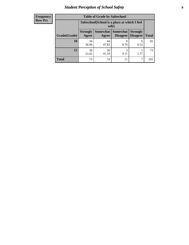# *Student Perception of School Safety* **9**

| <b>Frequency</b><br>Row Pct |
|-----------------------------|
|                             |

| <b>Table of Grade by Safeschool</b> |                                                                                                                          |                                                        |           |           |     |  |  |
|-------------------------------------|--------------------------------------------------------------------------------------------------------------------------|--------------------------------------------------------|-----------|-----------|-----|--|--|
|                                     |                                                                                                                          | Safeschool (School is a place at which I feel<br>safe) |           |           |     |  |  |
| Grade(Grade)                        | Somewhat Somewhat<br><b>Strongly</b><br><b>Strongly</b><br><b>Disagree</b><br>Agree<br>Disagree<br><b>Total</b><br>Agree |                                                        |           |           |     |  |  |
| 10                                  | 34<br>36.96                                                                                                              | 44<br>47.83                                            | 8<br>8.70 | 6<br>6.52 | 92  |  |  |
| 12                                  | 39<br>53.42                                                                                                              | 30<br>41.10                                            | 3<br>4.11 | 1.37      | 73  |  |  |
| <b>Total</b>                        | 73                                                                                                                       | 74                                                     | 11        |           | 165 |  |  |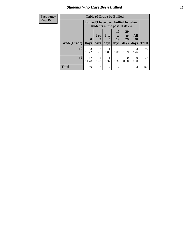### *Students Who Have Been Bullied* **10**

| <b>Frequency</b> | <b>Table of Grade by Bullied</b> |              |                        |                      |                                                                               |                       |                  |              |
|------------------|----------------------------------|--------------|------------------------|----------------------|-------------------------------------------------------------------------------|-----------------------|------------------|--------------|
| <b>Row Pct</b>   |                                  |              |                        |                      | <b>Bullied</b> (I have been bullied by other<br>students in the past 30 days) |                       |                  |              |
|                  |                                  | $\mathbf{0}$ | 1 or<br>2              | 3 <sub>to</sub><br>5 | 10<br>to  <br>19                                                              | <b>20</b><br>to<br>29 | All<br>30        |              |
|                  | Grade(Grade)                     | <b>Days</b>  | days                   | days                 | days                                                                          | days                  | days             | <b>Total</b> |
|                  | 10                               | 83<br>90.22  | 3<br>3.26              | 1.09                 | 1.09                                                                          | 1.09                  | 3<br>3.26        | 92           |
|                  | 12                               | 67<br>91.78  | $\overline{4}$<br>5.48 | 1.37                 | 1.37                                                                          | 0<br>0.00             | $\Omega$<br>0.00 | 73           |
|                  | <b>Total</b>                     | 150          | 7                      | $\mathfrak{D}$       | $\overline{2}$                                                                |                       | 3                | 165          |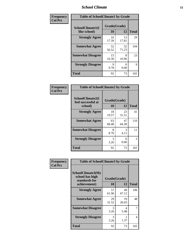### *School Climate* **11**

| <b>Frequency</b> | <b>Table of SchoolClimate1 by Grade</b> |                    |             |              |  |
|------------------|-----------------------------------------|--------------------|-------------|--------------|--|
| <b>Col Pct</b>   | SchoolClimate1(I<br>like school)        | Grade(Grade)<br>10 | 12          | <b>Total</b> |  |
|                  | <b>Strongly Agree</b>                   | 16<br>17.39        | 13<br>17.81 | 29           |  |
|                  | <b>Somewhat Agree</b>                   | 52<br>56.52        | 52<br>71.23 | 104          |  |
|                  | <b>Somewhat Disagree</b>                | 15<br>16.30        | 8<br>10.96  | 23           |  |
|                  | <b>Strongly Disagree</b>                | 9<br>9.78          | 0.00        | 9            |  |
|                  | <b>Total</b>                            | 92                 | 73          | 165          |  |

| <b>Table of SchoolClimate2 by Grade</b>           |                    |             |              |  |  |
|---------------------------------------------------|--------------------|-------------|--------------|--|--|
| SchoolClimate2(I<br>feel successful at<br>school) | Grade(Grade)<br>10 | 12          | <b>Total</b> |  |  |
| <b>Strongly Agree</b>                             | 18<br>19.57        | 23<br>31.51 | 41           |  |  |
| <b>Somewhat Agree</b>                             | 63<br>68.48        | 47<br>64.38 | 110          |  |  |
| <b>Somewhat Disagree</b>                          | 8<br>8.70          | 3<br>4.11   | 11           |  |  |
| <b>Strongly Disagree</b>                          | 3<br>3.26          | 0.00        | 3            |  |  |
| Total                                             | 92                 | 73          | 165          |  |  |

| Frequency      | <b>Table of SchoolClimate3 by Grade</b>                               |                       |             |              |  |  |
|----------------|-----------------------------------------------------------------------|-----------------------|-------------|--------------|--|--|
| <b>Col Pct</b> | SchoolClimate3(My<br>school has high<br>standards for<br>achievement) | Grade(Grade)<br>10    | 12          | <b>Total</b> |  |  |
|                | <b>Strongly Agree</b>                                                 | 57<br>61.96           | 49<br>67.12 | 106          |  |  |
|                | <b>Somewhat Agree</b>                                                 | 29<br>31.52           | 19<br>26.03 | 48           |  |  |
|                | <b>Somewhat Disagree</b>                                              | 3<br>3.26             | 4<br>5.48   |              |  |  |
|                | <b>Strongly Disagree</b>                                              | $\mathcal{R}$<br>3.26 | 1.37        | 4            |  |  |
|                | Total                                                                 | 92                    | 73          | 165          |  |  |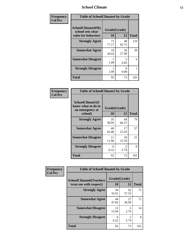### *School Climate* **12**

| Frequency      | <b>Table of SchoolClimate4 by Grade</b>                              |                    |                           |              |
|----------------|----------------------------------------------------------------------|--------------------|---------------------------|--------------|
| <b>Col Pct</b> | <b>SchoolClimate4(My</b><br>school sets clear<br>rules for behavior) | Grade(Grade)<br>10 | 12                        | <b>Total</b> |
|                | <b>Strongly Agree</b>                                                | 71<br>77.17        | 48<br>65.75               | 119          |
|                | <b>Somewhat Agree</b>                                                | 19<br>20.65        | 20<br>27.40               | 39           |
|                | <b>Somewhat Disagree</b>                                             | 1.09               | 5<br>6.85                 | 6            |
|                | <b>Strongly Disagree</b>                                             | 1.09               | $\mathbf{\Omega}$<br>0.00 | 1            |
|                | <b>Total</b>                                                         | 92                 | 73                        | 165          |

| <b>Table of SchoolClimate5 by Grade</b>                              |                    |              |     |  |
|----------------------------------------------------------------------|--------------------|--------------|-----|--|
| SchoolClimate5(I<br>know what to do in<br>an emergency at<br>school) | Grade(Grade)<br>10 | <b>Total</b> |     |  |
| <b>Strongly Agree</b>                                                | 35<br>38.04        | 44<br>60.27  | 79  |  |
| <b>Somewhat Agree</b>                                                | 40<br>43.48        | 17<br>23.29  | 57  |  |
| <b>Somewhat Disagree</b>                                             | 11<br>11.96        | 10<br>13.70  | 21  |  |
| <b>Strongly Disagree</b>                                             | 6<br>6.52          | 2<br>2.74    | 8   |  |
| <b>Total</b>                                                         | 92                 | 73           | 165 |  |

| Frequency      | <b>Table of SchoolClimate6 by Grade</b>                  |                    |                                     |              |
|----------------|----------------------------------------------------------|--------------------|-------------------------------------|--------------|
| <b>Col Pct</b> | <b>SchoolClimate6(Teachers</b><br>treat me with respect) | Grade(Grade)<br>10 | 12                                  | <b>Total</b> |
|                | <b>Strongly Agree</b>                                    | 30<br>32.61        | 42<br>57.53                         | 72           |
|                | <b>Somewhat Agree</b>                                    | 44<br>47.83        | 27<br>36.99                         | 71           |
|                | <b>Somewhat Disagree</b>                                 | 12<br>13.04        | $\mathfrak{D}$<br>2.74              | 14           |
|                | <b>Strongly Disagree</b>                                 | 6<br>6.52          | $\mathcal{D}_{\mathcal{L}}$<br>2.74 | 8            |
|                | <b>Total</b>                                             | 92                 | 73                                  | 165          |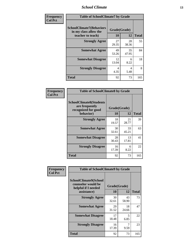### *School Climate* **13**

| Frequency      | <b>Table of SchoolClimate7 by Grade</b>                                       |                           |             |              |
|----------------|-------------------------------------------------------------------------------|---------------------------|-------------|--------------|
| <b>Col Pct</b> | <b>SchoolClimate7(Behaviors</b><br>in my class allow the<br>teacher to teach) | Grade(Grade)<br><b>10</b> | 12          | <b>Total</b> |
|                | <b>Strongly Agree</b>                                                         | 27<br>29.35               | 28<br>38.36 | 55           |
|                | <b>Somewhat Agree</b>                                                         | 49<br>53.26               | 35<br>47.95 | 84           |
|                | <b>Somewhat Disagree</b>                                                      | 12<br>13.04               | 6<br>8.22   | 18           |
|                | <b>Strongly Disagree</b>                                                      | 4<br>4.35                 | 4<br>5.48   | 8            |
|                | <b>Total</b>                                                                  | 92                        | 73          | 165          |

| Frequency      | <b>Table of SchoolClimate8 by Grade</b>                                 |              |             |              |
|----------------|-------------------------------------------------------------------------|--------------|-------------|--------------|
| <b>Col Pct</b> | <b>SchoolClimate8(Students</b><br>are frequently<br>recognized for good | Grade(Grade) |             |              |
|                | behavior)                                                               | 10           | 12          | <b>Total</b> |
|                | <b>Strongly Agree</b>                                                   | 18<br>19.57  | 21<br>28.77 | 39           |
|                | <b>Somewhat Agree</b>                                                   | 30<br>32.61  | 33<br>45.21 | 63           |
|                | <b>Somewhat Disagree</b>                                                | 28<br>30.43  | 13<br>17.81 | 41           |
|                | <b>Strongly Disagree</b>                                                | 16<br>17.39  | 6<br>8.22   | 22           |
|                | <b>Total</b>                                                            | 92           | 73          | 165          |

| Frequency<br><b>Col Pct</b> | <b>Table of SchoolClimate9 by Grade</b>                                           |                    |             |              |
|-----------------------------|-----------------------------------------------------------------------------------|--------------------|-------------|--------------|
|                             | SchoolClimate9(School<br>counselor would be<br>helpful if I needed<br>assistance) | Grade(Grade)<br>10 | 12          | <b>Total</b> |
|                             | <b>Strongly Agree</b>                                                             | 30<br>32.61        | 43<br>58.90 | 73           |
|                             | <b>Somewhat Agree</b>                                                             | 29<br>31.52        | 18<br>24.66 | 47           |
|                             | <b>Somewhat Disagree</b>                                                          | 17<br>18.48        | 5<br>6.85   | 22           |
|                             | <b>Strongly Disagree</b>                                                          | 16<br>17.39        | 7<br>9.59   | 23           |
|                             | Total                                                                             | 92                 | 73          | 165          |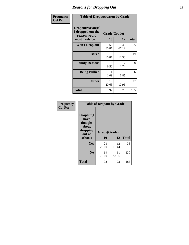### *Reasons for Dropping Out* **14**

| <b>Frequency</b> | <b>Table of Dropoutreason by Grade</b>                                   |                    |                       |              |
|------------------|--------------------------------------------------------------------------|--------------------|-----------------------|--------------|
| <b>Col Pct</b>   | Dropoutreason(If<br>I dropped out the<br>reason would<br>most likely be) | Grade(Grade)<br>10 | 12                    | <b>Total</b> |
|                  | Won't Drop out                                                           | 56<br>60.87        | 49<br>67.12           | 105          |
|                  | <b>Bored</b>                                                             | 10<br>10.87        | 9<br>12.33            | 19           |
|                  | <b>Family Reasons</b>                                                    | 6<br>6.52          | $\mathcal{L}$<br>2.74 | 8            |
|                  | <b>Being Bullied</b>                                                     | 1.09               | 5<br>6.85             | 6            |
|                  | <b>Other</b>                                                             | 19<br>20.65        | 8<br>10.96            | 27           |
|                  | Total                                                                    | 92                 | 73                    | 165          |

| Frequency      |                                                                        | <b>Table of Dropout by Grade</b> |                    |     |  |
|----------------|------------------------------------------------------------------------|----------------------------------|--------------------|-----|--|
| <b>Col Pct</b> | Dropout(I<br>have<br>thought<br>about<br>dropping<br>out of<br>school) | 10                               | Grade(Grade)<br>12 |     |  |
|                | Yes                                                                    | 23<br>25.00                      | 12<br>16.44        | 35  |  |
|                | N <sub>0</sub>                                                         | 69<br>75.00                      | 61<br>83.56        | 130 |  |
|                | <b>Total</b>                                                           | 92                               | 73                 | 165 |  |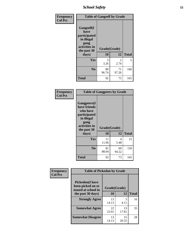*School Safety* **15**

| Frequency      | <b>Table of Gangself by Grade</b>                                                                 |                    |                       |              |
|----------------|---------------------------------------------------------------------------------------------------|--------------------|-----------------------|--------------|
| <b>Col Pct</b> | Gangself(I<br>have<br>participated<br>in illegal<br>gang<br>activities in<br>the past 30<br>days) | Grade(Grade)<br>10 | 12                    | <b>Total</b> |
|                | Yes                                                                                               | 3<br>3.26          | $\mathcal{L}$<br>2.74 | 5            |
|                | N <sub>0</sub>                                                                                    | 89<br>96.74        | 71<br>97.26           | 160          |
|                | <b>Total</b>                                                                                      | 92                 | 73                    | 165          |

| Frequency<br><b>Col Pct</b> | <b>Table of Gangpeers by Grade</b>                                                                                             |                    |             |              |
|-----------------------------|--------------------------------------------------------------------------------------------------------------------------------|--------------------|-------------|--------------|
|                             | <b>Gangpeers</b> (I<br>have friends<br>who have<br>participated<br>in illegal<br>gang<br>activities in<br>the past 30<br>days) | Grade(Grade)<br>10 | 12          | <b>Total</b> |
|                             | <b>Yes</b>                                                                                                                     | 11<br>11.96        | 4<br>5.48   | 15           |
|                             | N <sub>0</sub>                                                                                                                 | 81<br>88.04        | 69<br>94.52 | 150          |
|                             | <b>Total</b>                                                                                                                   | 92                 | 73          | 165          |

| Frequency      | <b>Table of Pickedon by Grade</b>                                   |              |             |              |
|----------------|---------------------------------------------------------------------|--------------|-------------|--------------|
| <b>Col Pct</b> | <b>Pickedon</b> (I have<br>been picked on or<br>teased at school in | Grade(Grade) |             |              |
|                | the past 30 days)                                                   | 10           | 12          | <b>Total</b> |
|                | <b>Strongly Agree</b>                                               | 13<br>14.13  | 3<br>4.11   | 16           |
|                | <b>Somewhat Agree</b>                                               | 22<br>23.91  | 13<br>17.81 | 35           |
|                | <b>Somewhat Disagree</b>                                            | 13<br>14.13  | 15<br>20.55 | 28           |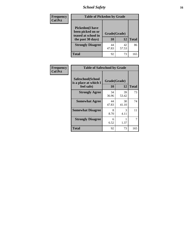*School Safety* **16**

| <b>Frequency</b> |                                                                                          | <b>Table of Pickedon by Grade</b> |             |              |  |  |  |  |  |  |
|------------------|------------------------------------------------------------------------------------------|-----------------------------------|-------------|--------------|--|--|--|--|--|--|
| <b>Col Pct</b>   | <b>Pickedon</b> (I have<br>been picked on or<br>teased at school in<br>the past 30 days) | Grade(Grade)<br>10                | 12          | <b>Total</b> |  |  |  |  |  |  |
|                  | <b>Strongly Disagree</b>                                                                 | 44<br>47.83                       | 42<br>57.53 | 86           |  |  |  |  |  |  |
|                  | <b>Total</b>                                                                             | 92                                | 73          | 165          |  |  |  |  |  |  |

| Frequency      | <b>Table of Safeschool by Grade</b>                      |                    |             |              |
|----------------|----------------------------------------------------------|--------------------|-------------|--------------|
| <b>Col Pct</b> | Safeschool(School<br>is a place at which I<br>feel safe) | Grade(Grade)<br>10 | 12          | <b>Total</b> |
|                | <b>Strongly Agree</b>                                    | 34<br>36.96        | 39<br>53.42 | 73           |
|                | <b>Somewhat Agree</b>                                    | 44<br>47.83        | 30<br>41.10 | 74           |
|                | <b>Somewhat Disagree</b>                                 | 8<br>8.70          | 3<br>4.11   | 11           |
|                | <b>Strongly Disagree</b>                                 | 6<br>6.52          | 1.37        | 7            |
|                | <b>Total</b>                                             | 92                 | 73          | 165          |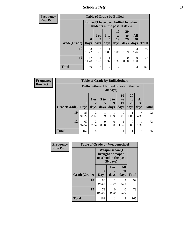*School Safety* **17**

| <b>Frequency</b> |                     |                                                                               | <b>Table of Grade by Bullied</b> |                     |                        |                               |                          |              |
|------------------|---------------------|-------------------------------------------------------------------------------|----------------------------------|---------------------|------------------------|-------------------------------|--------------------------|--------------|
| <b>Row Pct</b>   |                     | <b>Bullied</b> (I have been bullied by other<br>students in the past 30 days) |                                  |                     |                        |                               |                          |              |
|                  | Grade(Grade)   Days | $\mathbf 0$                                                                   | 1 or<br>days                     | $3$ to<br>5<br>days | 10<br>to<br>19<br>days | <b>20</b><br>to<br>29<br>days | All<br><b>30</b><br>days | <b>Total</b> |
|                  | 10                  | 83<br>90.22                                                                   | 3<br>3.26                        | 1.09                | 1.09                   | 1.09                          | 3<br>3.26                | 92           |
|                  | 12                  | 67<br>91.78                                                                   | 4<br>5.48                        | 1.37                | 1.37                   | 0<br>0.00                     | $\Omega$<br>0.00         | 73           |
|                  | <b>Total</b>        | 150                                                                           | 7                                | $\overline{2}$      | $\overline{2}$         |                               | 3                        | 165          |

| Frequency      |                     |                                                                         | <b>Table of Grade by Bulliedothers</b> |           |                  |                |                       |           |              |  |
|----------------|---------------------|-------------------------------------------------------------------------|----------------------------------------|-----------|------------------|----------------|-----------------------|-----------|--------------|--|
| <b>Row Pct</b> |                     | <b>Bulliedothers</b> (I bullied others in the past<br>$30 \text{ days}$ |                                        |           |                  |                |                       |           |              |  |
|                |                     | $\mathbf 0$                                                             | $1$ or $ $                             | 3 to      | 6 to<br>9        | 10<br>to<br>19 | <b>20</b><br>to<br>29 | All<br>30 |              |  |
|                | Grade(Grade)   Days |                                                                         | days                                   | days      | days             | days           | days                  | days      | <b>Total</b> |  |
|                | 10                  | 83<br>90.22                                                             | 2<br>2.17                              | 1.09      | 1.09             | 0<br>0.00      | 1.09                  | 4<br>4.35 | 92           |  |
|                | 12                  | 69<br>94.52                                                             | 2<br>2.74                              | 0<br>0.00 | $\Omega$<br>0.00 | 1.37           | $\mathbf{0}$<br>0.00  | 1.37      | 73           |  |
|                | <b>Total</b>        | 152                                                                     | 4                                      |           |                  |                |                       | 5         | 165          |  |

| Frequency      | <b>Table of Grade by Weaponschool</b> |                                                                                 |                   |                   |              |  |  |  |  |
|----------------|---------------------------------------|---------------------------------------------------------------------------------|-------------------|-------------------|--------------|--|--|--|--|
| <b>Row Pct</b> |                                       | <b>Weaponschool</b> (I<br>brought a weapon<br>to school in the past<br>30 days) |                   |                   |              |  |  |  |  |
|                | Grade(Grade)                          | 0<br><b>Days</b>                                                                | 1 or<br>2<br>days | All<br>30<br>days | <b>Total</b> |  |  |  |  |
|                | 10                                    | 88<br>95.65                                                                     | 1.09              | 3<br>3.26         | 92           |  |  |  |  |
|                | 12                                    | 73<br>100.00                                                                    | 0<br>0.00         | 0<br>0.00         | 73           |  |  |  |  |
|                | <b>Total</b>                          | 161                                                                             |                   | 3                 | 165          |  |  |  |  |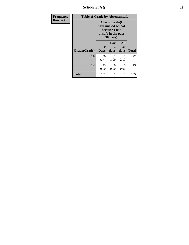*School Safety* **18**

| <b>Frequency</b> | <b>Table of Grade by Absentunsafe</b> |                                                                                                    |                   |                          |              |  |  |  |  |
|------------------|---------------------------------------|----------------------------------------------------------------------------------------------------|-------------------|--------------------------|--------------|--|--|--|--|
| <b>Row Pct</b>   |                                       | Absentunsafe(I)<br>have missed school<br>because I felt<br>unsafe in the past<br>$30 \text{ days}$ |                   |                          |              |  |  |  |  |
|                  | Grade(Grade)                          | $\mathbf{0}$<br><b>Days</b>                                                                        | 1 or<br>2<br>days | <b>All</b><br>30<br>days | <b>Total</b> |  |  |  |  |
|                  | 10                                    | 89<br>96.74                                                                                        | 1.09              | $\mathfrak{D}$<br>2.17   | 92           |  |  |  |  |
|                  | 12                                    | 73<br>100.00                                                                                       | 0<br>0.00         | 0<br>0.00                | 73           |  |  |  |  |
|                  | <b>Total</b>                          | 162                                                                                                |                   | $\overline{2}$           | 165          |  |  |  |  |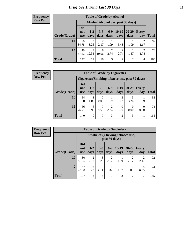#### **Frequency Row Pct**

| <b>Table of Grade by Alcohol</b> |                                 |                                    |                 |                        |                 |                   |              |              |  |  |
|----------------------------------|---------------------------------|------------------------------------|-----------------|------------------------|-----------------|-------------------|--------------|--------------|--|--|
|                                  |                                 | Alcohol(Alcohol use, past 30 days) |                 |                        |                 |                   |              |              |  |  |
| Grade(Grade)                     | <b>Did</b><br>not<br><b>use</b> | $1 - 2$<br>days                    | $3 - 5$<br>days | $6-9$<br>days          | $10-19$<br>days | $20 - 29$<br>days | Every<br>day | <b>Total</b> |  |  |
| 10                               | 78<br>84.78                     | 3<br>3.26                          | 2<br>2.17       | 1.09                   | 5<br>5.43       | 1.09              | 2<br>2.17    | 92           |  |  |
| 12                               | 49<br>67.12                     | 9<br>12.33                         | 8<br>10.96      | $\overline{2}$<br>2.74 | 2<br>2.74       | 1.37              | 2<br>2.74    | 73           |  |  |
| <b>Total</b>                     | 127                             | 12                                 | 10              | 3                      | 7               | $\overline{2}$    | 4            | 165          |  |  |

#### **Frequency Row Pct**

| <b>Table of Grade by Cigarettes</b> |                                 |                                                |                 |                        |                 |                   |                     |       |  |  |  |
|-------------------------------------|---------------------------------|------------------------------------------------|-----------------|------------------------|-----------------|-------------------|---------------------|-------|--|--|--|
|                                     |                                 | Cigarettes (Smoking tobacco use, past 30 days) |                 |                        |                 |                   |                     |       |  |  |  |
| Grade(Grade)                        | <b>Did</b><br>not<br><b>use</b> | $1 - 2$<br>days                                | $3 - 5$<br>days | $6 - 9$<br>days        | $10-19$<br>days | $20 - 29$<br>days | <b>Every</b><br>day | Total |  |  |  |
| 10                                  | 84<br>91.30                     | 1.09                                           | 0.00            | 1.09                   | 2.17            | 3.26              | 1.09                | 92    |  |  |  |
| 12                                  | 56<br>76.71                     | 8<br>10.96                                     | 9.59            | $\overline{2}$<br>2.74 | 0<br>0.00       | 0.00              | 0<br>0.00           | 73    |  |  |  |
| <b>Total</b>                        | 140                             | 9                                              | 7               | 3                      | $\overline{2}$  | 3                 |                     | 165   |  |  |  |

| <b>Frequency</b> |  |
|------------------|--|
| <b>Row Pct</b>   |  |

**I** 

| <b>Table of Grade by Smokeless</b> |                                 |                                                        |                 |               |                 |                   |                     |              |  |  |
|------------------------------------|---------------------------------|--------------------------------------------------------|-----------------|---------------|-----------------|-------------------|---------------------|--------------|--|--|
|                                    |                                 | <b>Smokeless</b> (Chewing tobaccouse,<br>past 30 days) |                 |               |                 |                   |                     |              |  |  |
| Grade(Grade)                       | <b>Did</b><br>not<br><b>use</b> | $1 - 2$<br>days                                        | $3 - 5$<br>days | $6-9$<br>days | $10-19$<br>days | $20 - 29$<br>days | <b>Every</b><br>day | <b>Total</b> |  |  |
| <b>10</b>                          | 80<br>86.96                     | $\overline{2}$<br>2.17                                 | 3<br>3.26       | 2<br>2.17     | 1.09            | 2.17              | 2<br>2.17           | 92           |  |  |
| 12                                 | 57<br>78.08                     | 6<br>8.22                                              | 3<br>4.11       | 1.37          | 1.37            | 0.00              | 6.85                | 73           |  |  |
| <b>Total</b>                       | 137                             | 8                                                      | 6               | 3             | $\overline{2}$  | $\overline{2}$    | 7                   | 165          |  |  |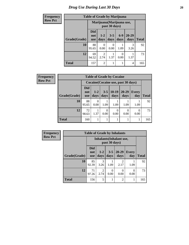| <b>Frequency</b> | <b>Table of Grade by Marijuana</b> |                                 |                           |                  |               |                   |              |  |
|------------------|------------------------------------|---------------------------------|---------------------------|------------------|---------------|-------------------|--------------|--|
| <b>Row Pct</b>   |                                    |                                 | Marijuana (Marijuana use, | past 30 days)    |               |                   |              |  |
|                  | Grade(Grade)                       | <b>Did</b><br>not<br><b>use</b> | $1 - 2$<br>days           | $3 - 5$<br>days  | $6-9$<br>days | $20 - 29$<br>days | <b>Total</b> |  |
|                  | 10                                 | 88<br>95.65                     | 0<br>0.00                 | $\Omega$<br>0.00 | 1.09          | 3<br>3.26         | 92           |  |
|                  | 12                                 | 69<br>94.52                     | $\overline{2}$<br>2.74    | 1.37             | 0<br>0.00     | 1.37              | 73           |  |
|                  | <b>Total</b>                       | 157                             | $\overline{2}$            |                  |               | 4                 | 165          |  |

| Frequency      |              |                                 |                                     |                          | <b>Table of Grade by Cocaine</b> |                   |              |              |  |  |
|----------------|--------------|---------------------------------|-------------------------------------|--------------------------|----------------------------------|-------------------|--------------|--------------|--|--|
| <b>Row Pct</b> |              |                                 | Cocaine (Cocaine use, past 30 days) |                          |                                  |                   |              |              |  |  |
|                | Grade(Grade) | <b>Did</b><br>not<br><b>use</b> | $1 - 2$<br>days                     | $3 - 5$<br>days          | $10-19$<br>days                  | $20 - 29$<br>days | Every<br>day | <b>Total</b> |  |  |
|                | 10           | 88<br>95.65                     | 0<br>0.00                           | 1.09                     | 1.09                             | 1.09              | 1.09         | 92           |  |  |
|                | 12           | 72<br>98.63                     | 1.37                                | $\left( \right)$<br>0.00 | $\Omega$<br>0.00                 | 0.00              | 0<br>0.00    | 73           |  |  |
|                | <b>Total</b> | 160                             |                                     |                          |                                  |                   |              | 165          |  |  |

| Frequency      | <b>Table of Grade by Inhalants</b> |                                 |                        |                 |                        |                     |              |
|----------------|------------------------------------|---------------------------------|------------------------|-----------------|------------------------|---------------------|--------------|
| <b>Row Pct</b> |                                    | <b>Inhalants</b> (Inhalant use, |                        |                 |                        |                     |              |
|                | Grade(Grade)                       | <b>Did</b><br>not<br><b>use</b> | $1 - 2$<br>days        | $3 - 5$<br>days | $20 - 29$<br>days      | <b>Every</b><br>day | <b>Total</b> |
|                | <b>10</b>                          | 85<br>92.39                     | 3<br>3.26              | 1.09            | $\mathfrak{D}$<br>2.17 | 1.09                | 92           |
|                | 12                                 | 71<br>97.26                     | $\overline{2}$<br>2.74 | 0<br>0.00       | 0.00                   | 0.00                | 73           |
|                | <b>Total</b>                       | 156                             | 5                      |                 | $\overline{2}$         |                     | 165          |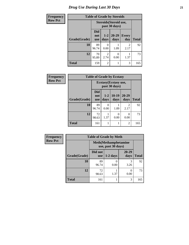Г L

| <b>Frequency</b> | <b>Table of Grade by Steroids</b> |                                         |                        |                   |                        |              |
|------------------|-----------------------------------|-----------------------------------------|------------------------|-------------------|------------------------|--------------|
| <b>Row Pct</b>   |                                   | Steroids (Steroid use,<br>past 30 days) |                        |                   |                        |              |
|                  | Grade(Grade)                      | <b>Did</b><br>not<br><b>use</b>         | $1 - 2$<br>days        | $20 - 29$<br>days | <b>Every</b><br>day    | <b>Total</b> |
|                  | 10                                | 89<br>96.74                             | 0.00                   | 1.09              | $\overline{2}$<br>2.17 | 92           |
|                  | 12                                | 70<br>95.89                             | $\mathfrak{D}$<br>2.74 | 0<br>0.00         | 1.37                   | 73           |
|                  | <b>Total</b>                      | 159                                     | $\overline{c}$         |                   | 3                      | 165          |

| <b>Frequency</b> | <b>Table of Grade by Ecstasy</b> |                          |                 |                   |                        |              |  |  |
|------------------|----------------------------------|--------------------------|-----------------|-------------------|------------------------|--------------|--|--|
| <b>Row Pct</b>   |                                  | Ecstasy (Ecstasy use,    |                 |                   |                        |              |  |  |
|                  | Grade(Grade)                     | Did<br>not<br><b>use</b> | $1 - 2$<br>days | $10 - 19$<br>days | $20 - 29$<br>days      | <b>Total</b> |  |  |
|                  | 10                               | 89<br>96.74              | 0<br>0.00       | 1.09              | $\mathfrak{D}$<br>2.17 | 92           |  |  |
|                  | 12                               | 72<br>98.63              | 1.37            | 0<br>0.00         | 0.00                   | 73           |  |  |
|                  | <b>Total</b>                     | 161                      |                 |                   | 2                      | 165          |  |  |

| <b>Frequency</b> | <b>Table of Grade by Meth</b> |                                                    |            |                   |              |  |  |
|------------------|-------------------------------|----------------------------------------------------|------------|-------------------|--------------|--|--|
| <b>Row Pct</b>   |                               | <b>Meth</b> (Methamphetamine<br>use, past 30 days) |            |                   |              |  |  |
|                  | Grade(Grade)                  | Did not<br><b>use</b>                              | $1-2$ days | $20 - 29$<br>days | <b>Total</b> |  |  |
|                  | 10                            | 89<br>96.74                                        | 0.00       | 3<br>3.26         | 92           |  |  |
|                  | 12                            | 72<br>98.63                                        | 1.37       | 0<br>0.00         | 73           |  |  |
|                  | <b>Total</b>                  | 161                                                |            | 3                 | 165          |  |  |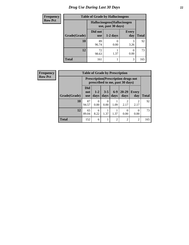| <b>Frequency</b> | <b>Table of Grade by Hallucinogens</b> |                                                   |            |                     |              |  |
|------------------|----------------------------------------|---------------------------------------------------|------------|---------------------|--------------|--|
| <b>Row Pct</b>   |                                        | Hallucinogens (Hallucinogen<br>use, past 30 days) |            |                     |              |  |
|                  | Grade(Grade)                           | Did not<br><b>use</b>                             | $1-2$ days | <b>Every</b><br>day | <b>Total</b> |  |
|                  | 10                                     | 89<br>96.74                                       | 0.00       | 3<br>3.26           | 92           |  |
|                  | 12                                     | 72<br>98.63                                       | 1.37       | 0<br>0.00           | 73           |  |
|                  | <b>Total</b>                           | 161                                               |            | 3                   | 165          |  |

| <b>Frequency</b> |              | <b>Table of Grade by Prescription</b>                                          |                 |                  |                |                   |                        |              |
|------------------|--------------|--------------------------------------------------------------------------------|-----------------|------------------|----------------|-------------------|------------------------|--------------|
| <b>Row Pct</b>   |              | <b>Prescription</b> (Prescription drugs not<br>prescribed to me, past 30 days) |                 |                  |                |                   |                        |              |
|                  | Grade(Grade) | Did<br>not<br><b>use</b>                                                       | $1 - 2$<br>days | $3 - 5$<br>days  | $6-9$<br>days  | $20 - 29$<br>days | Every<br>day           | <b>Total</b> |
|                  | 10           | 87<br>94.57                                                                    | 0<br>0.00       | $\theta$<br>0.00 | 1.09           | 2<br>2.17         | $\overline{c}$<br>2.17 | 92           |
|                  | 12           | 65<br>89.04                                                                    | 6<br>8.22       | 1.37             | 1.37           | $\theta$<br>0.00  | $\theta$<br>0.00       | 73           |
|                  | <b>Total</b> | 152                                                                            | 6               | 1                | $\overline{2}$ | 2                 | $\overline{c}$         | 165          |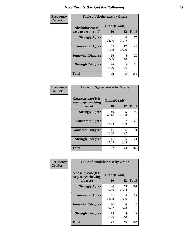| Frequency      | <b>Table of Alcoholease by Grade</b>              |                    |             |              |  |  |
|----------------|---------------------------------------------------|--------------------|-------------|--------------|--|--|
| <b>Col Pct</b> | <b>Alcoholease</b> (It is<br>easy to get alcohol) | Grade(Grade)<br>10 | 12          | <b>Total</b> |  |  |
|                | <b>Strongly Agree</b>                             | 31<br>33.70        | 44<br>60.27 | 75           |  |  |
|                | <b>Somewhat Agree</b>                             | 29<br>31.52        | 17<br>23.29 | 46           |  |  |
|                | <b>Somewhat Disagree</b>                          | 16<br>17.39        | 4<br>5.48   | 20           |  |  |
|                | <b>Strongly Disagree</b>                          | 16<br>17.39        | 8<br>10.96  | 24           |  |  |
|                | <b>Total</b>                                      | 92                 | 73          | 165          |  |  |

| Frequency      | <b>Table of Cigarettesease by Grade</b>                 |                    |             |              |  |
|----------------|---------------------------------------------------------|--------------------|-------------|--------------|--|
| <b>Col Pct</b> | Cigarettesease(It is<br>easy to get smoking<br>tobacco) | Grade(Grade)<br>10 | 12          | <b>Total</b> |  |
|                | <b>Strongly Agree</b>                                   | 40<br>43.48        | 55<br>75.34 | 95           |  |
|                | <b>Somewhat Agree</b>                                   | 21<br>22.83        | 9.59        | 28           |  |
|                | <b>Somewhat Disagree</b>                                | 15<br>16.30        | 6<br>8.22   | 21           |  |
|                | <b>Strongly Disagree</b>                                | 16<br>17.39        | 5<br>6.85   | 21           |  |
|                | <b>Total</b>                                            | 92                 | 73          | 165          |  |

| Frequency      | <b>Table of Smokelessease by Grade</b>                         |             |                    |     |
|----------------|----------------------------------------------------------------|-------------|--------------------|-----|
| <b>Col Pct</b> | <b>Smokelessease</b> (It is<br>easy to get chewing<br>tobacco) | 10          | Grade(Grade)<br>12 |     |
|                | <b>Strongly Agree</b>                                          | 46<br>50.00 | 55<br>75.34        | 101 |
|                | <b>Somewhat Agree</b>                                          | 21<br>22.83 | 8<br>10.96         | 29  |
|                | <b>Somewhat Disagree</b>                                       | 10<br>10.87 | 6<br>8.22          | 16  |
|                | <b>Strongly Disagree</b>                                       | 15<br>16.30 | 4<br>5.48          | 19  |
|                | <b>Total</b>                                                   | 92          | 73                 | 165 |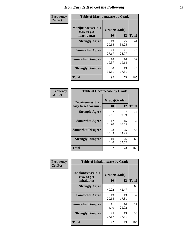| Frequency      | <b>Table of Marijuanaease by Grade</b>            |                           |             |              |  |
|----------------|---------------------------------------------------|---------------------------|-------------|--------------|--|
| <b>Col Pct</b> | Marijuanaease (It is<br>easy to get<br>marijuana) | Grade(Grade)<br><b>10</b> | 12          | <b>Total</b> |  |
|                | <b>Strongly Agree</b>                             | 19<br>20.65               | 25<br>34.25 | 44           |  |
|                | <b>Somewhat Agree</b>                             | 25<br>27.17               | 21<br>28.77 | 46           |  |
|                | <b>Somewhat Disagree</b>                          | 18<br>19.57               | 14<br>19.18 | 32           |  |
|                | <b>Strongly Disagree</b>                          | 30<br>32.61               | 13<br>17.81 | 43           |  |
|                | <b>Total</b>                                      | 92                        | 73          | 165          |  |

| <b>Table of Cocaineease by Grade</b>              |                    |              |     |  |  |  |  |
|---------------------------------------------------|--------------------|--------------|-----|--|--|--|--|
| <b>Cocaineease</b> (It is<br>easy to get cocaine) | Grade(Grade)<br>10 | <b>Total</b> |     |  |  |  |  |
| <b>Strongly Agree</b>                             | 7<br>7.61          | 9.59         | 14  |  |  |  |  |
| <b>Somewhat Agree</b>                             | 17<br>18.48        | 15<br>20.55  | 32  |  |  |  |  |
| <b>Somewhat Disagree</b>                          | 28<br>30.43        | 25<br>34.25  | 53  |  |  |  |  |
| <b>Strongly Disagree</b>                          | 40<br>43.48        | 26<br>35.62  | 66  |  |  |  |  |
| <b>Total</b>                                      | 92                 | 73           | 165 |  |  |  |  |

| Frequency      | <b>Table of Inhalantsease by Grade</b>                   |                           |             |              |  |
|----------------|----------------------------------------------------------|---------------------------|-------------|--------------|--|
| <b>Col Pct</b> | <b>Inhalantsease</b> (It is<br>easy to get<br>inhalants) | Grade(Grade)<br><b>10</b> | 12          | <b>Total</b> |  |
|                | <b>Strongly Agree</b>                                    | 37<br>40.22               | 31<br>42.47 | 68           |  |
|                | <b>Somewhat Agree</b>                                    | 19<br>20.65               | 13<br>17.81 | 32           |  |
|                | <b>Somewhat Disagree</b>                                 | 11<br>11.96               | 16<br>21.92 | 27           |  |
|                | <b>Strongly Disagree</b>                                 | 25<br>27.17               | 13<br>17.81 | 38           |  |
|                | <b>Total</b>                                             | 92                        | 73          | 165          |  |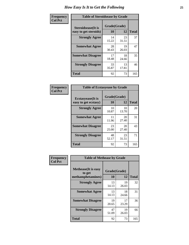| Frequency      | <b>Table of Steroidsease by Grade</b>               |                    |             |              |  |  |  |  |
|----------------|-----------------------------------------------------|--------------------|-------------|--------------|--|--|--|--|
| <b>Col Pct</b> | <b>Steroidsease</b> (It is<br>easy to get steroids) | Grade(Grade)<br>10 | 12          | <b>Total</b> |  |  |  |  |
|                | <b>Strongly Agree</b>                               | 14<br>15.22        | 23<br>31.51 | 37           |  |  |  |  |
|                | <b>Somewhat Agree</b>                               | 28<br>30.43        | 19<br>26.03 | 47           |  |  |  |  |
|                | <b>Somewhat Disagree</b>                            | 17<br>18.48        | 18<br>24.66 | 35           |  |  |  |  |
|                | <b>Strongly Disagree</b>                            | 33<br>35.87        | 13<br>17.81 | 46           |  |  |  |  |
|                | Total                                               | 92                 | 73          | 165          |  |  |  |  |

| Frequency      | <b>Table of Ecstasyease by Grade</b>              |                    |              |     |  |  |  |  |  |
|----------------|---------------------------------------------------|--------------------|--------------|-----|--|--|--|--|--|
| <b>Col Pct</b> | <b>Ecstasyease</b> (It is<br>easy to get ecstasy) | Grade(Grade)<br>10 | <b>Total</b> |     |  |  |  |  |  |
|                | <b>Strongly Agree</b>                             | 10<br>10.87        | 10<br>13.70  | 20  |  |  |  |  |  |
|                | <b>Somewhat Agree</b>                             | 11<br>11.96        | 20<br>27.40  | 31  |  |  |  |  |  |
|                | <b>Somewhat Disagree</b>                          | 23<br>25.00        | 20<br>27.40  | 43  |  |  |  |  |  |
|                | <b>Strongly Disagree</b>                          | 48<br>52.17        | 23<br>31.51  | 71  |  |  |  |  |  |
|                | <b>Total</b>                                      | 92                 | 73           | 165 |  |  |  |  |  |

| Frequency      | <b>Table of Methease by Grade</b>     |             |              |              |  |  |  |  |  |
|----------------|---------------------------------------|-------------|--------------|--------------|--|--|--|--|--|
| <b>Col Pct</b> | <b>Methease</b> (It is easy<br>to get |             | Grade(Grade) |              |  |  |  |  |  |
|                | methamphetamines)                     | 10          | 12           | <b>Total</b> |  |  |  |  |  |
|                | <b>Strongly Agree</b>                 | 13<br>14.13 | 19<br>26.03  | 32           |  |  |  |  |  |
|                | <b>Somewhat Agree</b>                 | 13<br>14.13 | 18<br>24.66  | 31           |  |  |  |  |  |
|                | <b>Somewhat Disagree</b>              | 19<br>20.65 | 17<br>23.29  | 36           |  |  |  |  |  |
|                | <b>Strongly Disagree</b>              | 47<br>51.09 | 19<br>26.03  | 66           |  |  |  |  |  |
|                | Total                                 | 92          | 73           | 165          |  |  |  |  |  |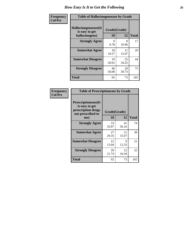| <b>Frequency</b> |                                                          | <b>Table of Hallucinogensease by Grade</b> |             |              |  |  |  |  |  |  |
|------------------|----------------------------------------------------------|--------------------------------------------|-------------|--------------|--|--|--|--|--|--|
| <b>Col Pct</b>   | Hallucinogensease(It<br>is easy to get<br>hallucinogens) | Grade(Grade)<br>10                         | 12          | <b>Total</b> |  |  |  |  |  |  |
|                  | <b>Strongly Agree</b>                                    | 9<br>9.78                                  | 8<br>10.96  | 17           |  |  |  |  |  |  |
|                  | <b>Somewhat Agree</b>                                    | 18<br>19.57                                | 11<br>15.07 | 29           |  |  |  |  |  |  |
|                  | <b>Somewhat Disagree</b>                                 | 19<br>20.65                                | 25<br>34.25 | 44           |  |  |  |  |  |  |
|                  | <b>Strongly Disagree</b>                                 | 46<br>50.00                                | 29<br>39.73 | 75           |  |  |  |  |  |  |
|                  | <b>Total</b>                                             | 92                                         | 73          | 165          |  |  |  |  |  |  |

| Frequency<br>Col Pct |
|----------------------|
|                      |

| <b>Table of Prescriptionease by Grade</b>                                                |             |              |              |  |  |  |  |  |  |
|------------------------------------------------------------------------------------------|-------------|--------------|--------------|--|--|--|--|--|--|
| <b>Prescriptionease</b> (It<br>is easy to get<br>prescription drugs<br>not prescribed to |             | Grade(Grade) |              |  |  |  |  |  |  |
| me)                                                                                      | 10          | 12           | <b>Total</b> |  |  |  |  |  |  |
| <b>Strongly Agree</b>                                                                    | 33<br>35.87 | 41<br>56.16  | 74           |  |  |  |  |  |  |
| <b>Somewhat Agree</b>                                                                    | 27<br>29.35 | 11<br>15.07  | 38           |  |  |  |  |  |  |
| <b>Somewhat Disagree</b>                                                                 | 12<br>13.04 | 9<br>12.33   | 21           |  |  |  |  |  |  |
| <b>Strongly Disagree</b>                                                                 | 20<br>21.74 | 12<br>16.44  | 32           |  |  |  |  |  |  |
| Total                                                                                    | 92          | 73           | 165          |  |  |  |  |  |  |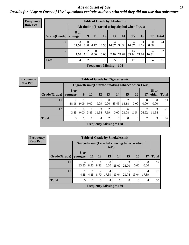#### *Age at Onset of Use* **27** *Results for "Age at Onset of Use" questions exclude students who said they did not use that substance*

| Frequency      | <b>Table of Grade by Alcoholinit</b> |                 |                                                  |                               |                  |                                |            |             |            |                  |              |  |  |
|----------------|--------------------------------------|-----------------|--------------------------------------------------|-------------------------------|------------------|--------------------------------|------------|-------------|------------|------------------|--------------|--|--|
| <b>Row Pct</b> |                                      |                 | Alcoholinit (I started using alcohol when I was) |                               |                  |                                |            |             |            |                  |              |  |  |
|                | Grade(Grade)                         | 8 or<br>younger | 9 <sup>1</sup>                                   | 11                            | 12               | 13                             | 14         | 15          | <b>16</b>  | 17               | <b>Total</b> |  |  |
|                | 10                                   | 12.50           | $\theta$<br>0.00 <sub>l</sub>                    | 4.17                          | 3<br>12.50       | 4<br>16.67                     | 8<br>33.33 | 4<br>16.67  | 4.17       | $\Omega$<br>0.00 | 24           |  |  |
|                | 12                                   | 2.70            | 5.41                                             | $\Omega$<br>0.00 <sub>1</sub> | $\Omega$<br>0.00 | 2.70                           | 8<br>21.62 | 13<br>35.14 | 8<br>21.62 | 4<br>10.81       | 37           |  |  |
|                | <b>Total</b>                         | 4               | 2                                                | 1                             | 3                | 5                              | 16         | 17          | 9          | $\overline{4}$   | 61           |  |  |
|                |                                      |                 |                                                  |                               |                  | <b>Frequency Missing = 104</b> |            |             |            |                  |              |  |  |

#### **Frequency Row Pct**

| <b>Table of Grade by Cigarettesinit</b> |                 |                                                       |                  |            |          |                           |                         |                  |           |                       |              |
|-----------------------------------------|-----------------|-------------------------------------------------------|------------------|------------|----------|---------------------------|-------------------------|------------------|-----------|-----------------------|--------------|
|                                         |                 | Cigarettesinit (I started smoking tobacco when I was) |                  |            |          |                           |                         |                  |           |                       |              |
| Grade(Grade)                            | 8 or<br>vounger | 9                                                     | 10               | 12         | 13       | 14                        | 15                      | <b>16</b>        | 17        | <b>18 or</b><br>older | <b>Total</b> |
| 10                                      | 2<br>18.18      | 9.09                                                  | $\Omega$<br>0.00 | 9.09       | $0.00\,$ | 45.45                     | $\mathfrak{D}$<br>18.18 | $\theta$<br>0.00 | 0<br>0.00 | 0.00                  | 11           |
| 12                                      | 3.85            | 0.00                                                  | 3.85             | 3<br>11.54 | 7.69     | $\Omega$<br>0.00          | 6<br>23.08              | 3<br>11.54       | 26.92     | 11.54                 | 26           |
| <b>Total</b>                            | 3               |                                                       |                  | 4          | 2        | 5                         | 8                       | 3                | 7         | 3                     | 37           |
|                                         |                 |                                                       |                  |            |          | Frequency Missing $= 128$ |                         |                  |           |                       |              |

| Frequency      | <b>Table of Grade by Smokelessinit</b>                  |            |           |           |                  |                           |            |                  |                |              |  |  |
|----------------|---------------------------------------------------------|------------|-----------|-----------|------------------|---------------------------|------------|------------------|----------------|--------------|--|--|
| <b>Row Pct</b> | Smokelessinit (I started chewing tobacco when I<br>was) |            |           |           |                  |                           |            |                  |                |              |  |  |
|                | Grade(Grade)   younger                                  | 8 or       | <b>11</b> | <b>12</b> | 13               | <b>14</b>                 | <b>15</b>  | <b>16</b>        | 17             | <b>Total</b> |  |  |
|                | 10                                                      | 4<br>33.33 | 8.33      | 8.33      | $\Omega$<br>0.00 | 3<br>25.00                | 3<br>25.00 | $\Omega$<br>0.00 | 0.00           | 12           |  |  |
|                | 12                                                      | 4.35       | 4.35      | 2         | 4<br>8.70 17.39  | 3<br>13.04                | 5<br>21.74 | 3<br>13.04       | 4<br>17.39     | 23           |  |  |
|                | <b>Total</b>                                            | 5          | 2         | 3         | 4                | 6                         | 8          | 3                | $\overline{4}$ | 35           |  |  |
|                |                                                         |            |           |           |                  | Frequency Missing $= 130$ |            |                  |                |              |  |  |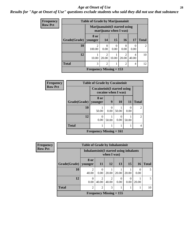#### *Age at Onset of Use* **28**

*Results for "Age at Onset of Use" questions exclude students who said they did not use that substance*

| <b>Frequency</b> | <b>Table of Grade by Marijuanainit</b> |                                |                         |                  |                |                  |                             |  |  |
|------------------|----------------------------------------|--------------------------------|-------------------------|------------------|----------------|------------------|-----------------------------|--|--|
| <b>Row Pct</b>   |                                        | Marijuanainit (I started using | marijuana when I was)   |                  |                |                  |                             |  |  |
|                  | Grade(Grade)                           | 8 or<br>vounger                | 14                      | 15               | 16             | 17               | <b>Total</b>                |  |  |
|                  | 10                                     | $\mathfrak{D}$<br>100.00       | $\mathcal{O}$<br>0.00   | $\Omega$<br>0.00 | 0<br>0.00      | $\Omega$<br>0.00 | $\mathcal{D}_{\mathcal{L}}$ |  |  |
|                  | 12                                     | 10.00                          | $\overline{c}$<br>20.00 | 10.00            | ာ<br>20.00     | 4<br>40.00       | 10                          |  |  |
|                  | <b>Total</b>                           | 3                              | $\overline{2}$          |                  | $\overline{c}$ | $\overline{4}$   | 12                          |  |  |
|                  |                                        | <b>Frequency Missing = 153</b> |                         |                  |                |                  |                             |  |  |

| Frequency      | <b>Table of Grade by Cocaineinit</b> |                                |                                                       |           |           |                |  |  |  |  |
|----------------|--------------------------------------|--------------------------------|-------------------------------------------------------|-----------|-----------|----------------|--|--|--|--|
| <b>Row Pct</b> |                                      |                                | Cocaine in it (I started using<br>cocaine when I was) |           |           |                |  |  |  |  |
|                | Grade(Grade)                         | 8 or<br>younger                | 9                                                     | <b>10</b> | 11        | <b>Total</b>   |  |  |  |  |
|                | <b>10</b>                            | 50.00                          | 0.00                                                  | 50.00     | 0<br>0.00 | $\overline{c}$ |  |  |  |  |
|                | 12                                   | $\Omega$<br>0.00               | 50.00                                                 | 0.00      | 50.00     | $\overline{2}$ |  |  |  |  |
|                | <b>Total</b>                         |                                |                                                       |           |           | 4              |  |  |  |  |
|                |                                      | <b>Frequency Missing = 161</b> |                                                       |           |           |                |  |  |  |  |

| <b>Frequency</b> |              | <b>Table of Grade by Inhalantsinit</b>   |                           |            |           |                  |                  |                          |
|------------------|--------------|------------------------------------------|---------------------------|------------|-----------|------------------|------------------|--------------------------|
| <b>Row Pct</b>   |              | Inhalantsinit (I started using inhalants |                           |            |           |                  |                  |                          |
|                  | Grade(Grade) | 8 or<br>younger                          | 11                        | <b>12</b>  | 13        | 15               | <b>16</b>        | <b>Total</b>             |
|                  | 10           | $\mathfrak{D}$<br>40.00                  | 0<br>0.00                 | 20.00      | 20.00     | 20.00            | $\Omega$<br>0.00 | $\overline{\phantom{0}}$ |
|                  | 12           | 0.00                                     | 40.00                     | 2<br>40.00 | 0<br>0.00 | $\theta$<br>0.00 | 20.00            | 5                        |
|                  | <b>Total</b> | $\overline{2}$                           | $\overline{2}$            | 3          |           |                  | 1                | 10                       |
|                  |              |                                          | Frequency Missing $= 155$ |            |           |                  |                  |                          |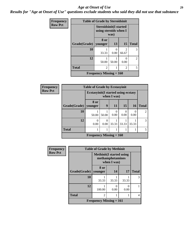#### *Age at Onset of Use* **29**

*Results for "Age at Onset of Use" questions exclude students who said they did not use that substance*

| <b>Frequency</b> | <b>Table of Grade by Steroidsinit</b> |                                                                |                  |                           |                |  |
|------------------|---------------------------------------|----------------------------------------------------------------|------------------|---------------------------|----------------|--|
| <b>Row Pct</b>   |                                       | <b>Steroidsinit(I started</b><br>using steroids when I<br>was) |                  |                           |                |  |
|                  | Grade(Grade)                          | 8 or<br>younger                                                | 13               | <b>15</b>                 | <b>Total</b>   |  |
|                  | 10                                    | 33.33                                                          | $\Omega$<br>0.00 | $\mathfrak{D}$<br>66.67   | 3              |  |
|                  | 12                                    | 50.00                                                          | 50.00            | $\mathbf{\Omega}$<br>0.00 | $\overline{c}$ |  |
|                  | <b>Total</b>                          | $\mathfrak{D}$                                                 |                  | 2                         | 5              |  |
|                  |                                       | <b>Frequency Missing = 160</b>                                 |                  |                           |                |  |

| Frequency      | <b>Table of Grade by Ecstasyinit</b> |                                                            |       |           |           |           |                |
|----------------|--------------------------------------|------------------------------------------------------------|-------|-----------|-----------|-----------|----------------|
| <b>Row Pct</b> |                                      | <b>Ecstasyinit</b> (I started using ecstasy<br>when I was) |       |           |           |           |                |
|                | Grade(Grade)                         | 8 or<br>younger                                            | 9     | <b>11</b> | 15        | <b>16</b> | <b>Total</b>   |
|                | 10                                   | 50.00                                                      | 50.00 | 0<br>0.00 | 0<br>0.00 | 0.00      | $\overline{2}$ |
|                | 12                                   | 0<br>0.00                                                  | 0.00  | 33.33     | 33.33     | 33.33     | 3              |
|                | <b>Total</b>                         |                                                            |       |           |           |           | 5              |
|                |                                      | Frequency Missing $= 160$                                  |       |           |           |           |                |

| <b>Frequency</b> | <b>Table of Grade by Methinit</b> |                                  |                                 |       |              |  |
|------------------|-----------------------------------|----------------------------------|---------------------------------|-------|--------------|--|
| <b>Row Pct</b>   |                                   | <b>Methinit</b> (I started using | methamphetamines<br>when I was) |       |              |  |
|                  | Grade(Grade)                      | 8 or<br>younger                  | 14                              | 17    | <b>Total</b> |  |
|                  | 10                                | 33.33                            | 33.33                           | 33.33 | 3            |  |
|                  | 12                                | 100.00                           | 0.00                            | 0.00  |              |  |
|                  | <b>Total</b>                      | $\mathfrak{D}$                   |                                 |       | 4            |  |
|                  | Frequency Missing $= 161$         |                                  |                                 |       |              |  |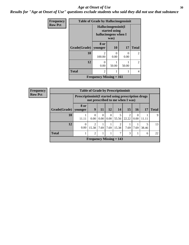#### Age at Onset of Use **30**

*Results for "Age at Onset of Use" questions exclude students who said they did not use that substance*

| <b>Frequency</b> |                        | <b>Table of Grade by Hallucinogensinit</b> |                                                                      |           |                |  |
|------------------|------------------------|--------------------------------------------|----------------------------------------------------------------------|-----------|----------------|--|
| <b>Row Pct</b>   |                        |                                            | Hallucinogensinit(I<br>started using<br>hallucinogens when I<br>was) |           |                |  |
|                  | Grade(Grade)   younger | 8 or                                       | <b>10</b>                                                            | <b>17</b> | <b>Total</b>   |  |
|                  | 10                     | $\mathcal{D}_{\mathcal{L}}$<br>100.00      | 0<br>0.00                                                            | 0<br>0.00 | 2              |  |
|                  | 12                     | 0<br>0.00                                  | 50.00                                                                | 50.00     | $\overline{2}$ |  |
|                  | <b>Total</b>           | $\mathfrak{D}$                             |                                                                      |           | 4              |  |
|                  |                        | <b>Frequency Missing = 161</b>             |                                                                      |           |                |  |

| Frequency      |                                                                                                  | <b>Table of Grade by Prescriptioninit</b> |                         |                  |                  |                           |            |                               |       |              |
|----------------|--------------------------------------------------------------------------------------------------|-------------------------------------------|-------------------------|------------------|------------------|---------------------------|------------|-------------------------------|-------|--------------|
| <b>Row Pct</b> | <b>Prescriptioninit (I started using prescription drugs)</b><br>not prescribed to me when I was) |                                           |                         |                  |                  |                           |            |                               |       |              |
|                | Grade(Grade)                                                                                     | 8 or<br>vounger                           | 9                       | -11              | 12               | 14                        | <b>15</b>  | 16 <sup>1</sup>               | 17    | <b>Total</b> |
|                | 10                                                                                               | 11.11                                     | 0.00                    | $\Omega$<br>0.00 | $\Omega$<br>0.00 | 55.56                     | 2<br>22.22 | $\Omega$<br>0.00 <sub>1</sub> | 11.11 | $\mathbf Q$  |
|                | 12                                                                                               | 0<br>0.00                                 | $\mathfrak{D}$<br>15.38 |                  | 7.69 7.69        | $\mathfrak{D}$<br>15.38   | 7.69       | 7.69                          | 38.46 | 13           |
|                | <b>Total</b>                                                                                     |                                           | $\mathfrak{D}$          |                  | 1                | 7                         | 3          |                               | 6     | 22           |
|                |                                                                                                  |                                           |                         |                  |                  | Frequency Missing $= 143$ |            |                               |       |              |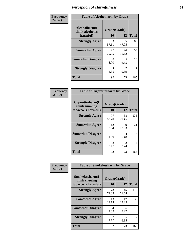| Frequency      | <b>Table of Alcoholharm by Grade</b>          |                           |             |              |  |
|----------------|-----------------------------------------------|---------------------------|-------------|--------------|--|
| <b>Col Pct</b> | Alcoholharm(I<br>think alcohol is<br>harmful) | Grade(Grade)<br><b>10</b> | 12          | <b>Total</b> |  |
|                | <b>Strongly Agree</b>                         | 53<br>57.61               | 35<br>47.95 | 88           |  |
|                | <b>Somewhat Agree</b>                         | 27<br>29.35               | 26<br>35.62 | 53           |  |
|                | <b>Somewhat Disagree</b>                      | 8<br>8.70                 | 5<br>6.85   | 13           |  |
|                | <b>Strongly Disagree</b>                      | 4<br>4.35                 | 9.59        | 11           |  |
|                | <b>Total</b>                                  | 92                        | 73          | 165          |  |

|                                                          | <b>Table of Cigarettesharm by Grade</b> |                        |              |  |  |  |  |
|----------------------------------------------------------|-----------------------------------------|------------------------|--------------|--|--|--|--|
| Cigarettesharm(I<br>think smoking<br>tobacco is harmful) | Grade(Grade)<br>10                      | 12                     | <b>Total</b> |  |  |  |  |
| <b>Strongly Agree</b>                                    | 77<br>83.70                             | 58<br>79.45            | 135          |  |  |  |  |
| <b>Somewhat Agree</b>                                    | 12<br>13.04                             | 9<br>12.33             | 21           |  |  |  |  |
| <b>Somewhat Disagree</b>                                 | 1.09                                    | 4<br>5.48              | 5            |  |  |  |  |
| <b>Strongly Disagree</b>                                 | $\mathfrak{D}$<br>2.17                  | $\mathfrak{D}$<br>2.74 | 4            |  |  |  |  |
| <b>Total</b>                                             | 92                                      | 73                     | 165          |  |  |  |  |

| Frequency      | <b>Table of Smokelessharm by Grade</b>                  |                    |             |              |
|----------------|---------------------------------------------------------|--------------------|-------------|--------------|
| <b>Col Pct</b> | Smokelessharm(I<br>think chewing<br>tobacco is harmful) | Grade(Grade)<br>10 | 12          | <b>Total</b> |
|                | <b>Strongly Agree</b>                                   | 73<br>79.35        | 45<br>61.64 | 118          |
|                | <b>Somewhat Agree</b>                                   | 13<br>14.13        | 17<br>23.29 | 30           |
|                | <b>Somewhat Disagree</b>                                | 4<br>4.35          | 6<br>8.22   | 10           |
|                | <b>Strongly Disagree</b>                                | 2<br>2.17          | 5<br>6.85   | 7            |
|                | <b>Total</b>                                            | 92                 | 73          | 165          |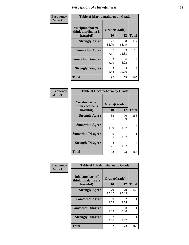| Frequency      | <b>Table of Marijuanaharm by Grade</b>            |                    |             |              |  |
|----------------|---------------------------------------------------|--------------------|-------------|--------------|--|
| <b>Col Pct</b> | Marijuanaharm(I<br>think marijuana is<br>harmful) | Grade(Grade)<br>10 | 12          | <b>Total</b> |  |
|                | <b>Strongly Agree</b>                             | 77<br>83.70        | 50<br>68.49 | 127          |  |
|                | <b>Somewhat Agree</b>                             | 7<br>7.61          | 9<br>12.33  | 16           |  |
|                | <b>Somewhat Disagree</b>                          | 3<br>3.26          | 6<br>8.22   | 9            |  |
|                | <b>Strongly Disagree</b>                          | 5<br>5.43          | 8<br>10.96  | 13           |  |
|                | <b>Total</b>                                      | 92                 | 73          | 165          |  |

| <b>Table of Cocaineharm by Grade</b>          |                    |             |              |  |  |  |
|-----------------------------------------------|--------------------|-------------|--------------|--|--|--|
| Cocaineharm(I<br>think cocaine is<br>harmful) | Grade(Grade)<br>10 | 12          | <b>Total</b> |  |  |  |
| <b>Strongly Agree</b>                         | 88<br>95.65        | 70<br>95.89 | 158          |  |  |  |
| <b>Somewhat Agree</b>                         | 1.09               | 1.37        | 2            |  |  |  |
| <b>Somewhat Disagree</b>                      | 0<br>0.00          | 1.37        |              |  |  |  |
| <b>Strongly Disagree</b>                      | 3<br>3.26          | 1.37        | 4            |  |  |  |
| <b>Total</b>                                  | 92                 | 73          | 165          |  |  |  |

| Frequency      | <b>Table of Inhalantsharm by Grade</b>             |                    |             |              |
|----------------|----------------------------------------------------|--------------------|-------------|--------------|
| <b>Col Pct</b> | Inhalantsharm(I<br>think inhalants are<br>harmful) | Grade(Grade)<br>10 | 12          | <b>Total</b> |
|                | <b>Strongly Agree</b>                              | 79<br>85.87        | 70<br>95.89 | 149          |
|                | <b>Somewhat Agree</b>                              | 9<br>9.78          | 2<br>2.74   | 11           |
|                | <b>Somewhat Disagree</b>                           | 1.09               | 0<br>0.00   |              |
|                | <b>Strongly Disagree</b>                           | 3<br>3.26          | 1.37        | 4            |
|                | <b>Total</b>                                       | 92                 | 73          | 165          |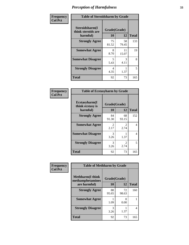| Frequency      | <b>Table of Steroidsharm by Grade</b>            |                                  |             |              |  |
|----------------|--------------------------------------------------|----------------------------------|-------------|--------------|--|
| <b>Col Pct</b> | Steroidsharm(I<br>think steroids are<br>harmful) | Grade(Grade)<br>10               | 12          | <b>Total</b> |  |
|                | <b>Strongly Agree</b>                            | 75<br>81.52                      | 58<br>79.45 | 133          |  |
|                | <b>Somewhat Agree</b>                            | 8<br>8.70                        | 11<br>15.07 | 19           |  |
|                | <b>Somewhat Disagree</b>                         | $\overline{\phantom{0}}$<br>5.43 | 3<br>4.11   | 8            |  |
|                | <b>Strongly Disagree</b>                         | 4<br>4.35                        | 1.37        | 5            |  |
|                | <b>Total</b>                                     | 92                               | 73          | 165          |  |

| <b>Table of Ecstasyharm by Grade</b>          |                    |                        |              |  |  |
|-----------------------------------------------|--------------------|------------------------|--------------|--|--|
| Ecstasyharm(I<br>think ecstasy is<br>harmful) | Grade(Grade)<br>10 | 12                     | <b>Total</b> |  |  |
| <b>Strongly Agree</b>                         | 84<br>91.30        | 68<br>93.15            | 152          |  |  |
| <b>Somewhat Agree</b>                         | 2<br>2.17          | $\mathfrak{D}$<br>2.74 | 4            |  |  |
| <b>Somewhat Disagree</b>                      | 3<br>3.26          | 1.37                   | 4            |  |  |
| <b>Strongly Disagree</b>                      | 3<br>3.26          | $\mathfrak{D}$<br>2.74 | 5            |  |  |
| <b>Total</b>                                  | 92                 | 73                     | 165          |  |  |

| Frequency      | <b>Table of Methharm by Grade</b>            |              |                       |              |
|----------------|----------------------------------------------|--------------|-----------------------|--------------|
| <b>Col Pct</b> | <b>Methharm</b> (I think<br>methamphetamines | Grade(Grade) |                       |              |
|                | are harmful)                                 | 10           | 12                    | <b>Total</b> |
|                | <b>Strongly Agree</b>                        | 88<br>95.65  | 72<br>98.63           | 160          |
|                | <b>Somewhat Agree</b>                        | 1.09         | $\mathcal{O}$<br>0.00 |              |
|                | <b>Strongly Disagree</b>                     | 3<br>3.26    | 1.37                  | 4            |
|                | <b>Total</b>                                 | 92           | 73                    | 165          |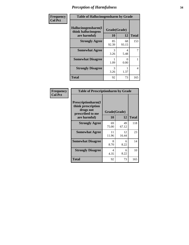| Frequency      | <b>Table of Hallucinogensharm by Grade</b>                 |                    |             |                |
|----------------|------------------------------------------------------------|--------------------|-------------|----------------|
| <b>Col Pct</b> | Hallucinogensharm(I<br>think hallucinogens<br>are harmful) | Grade(Grade)<br>10 | 12          | <b>Total</b>   |
|                | <b>Strongly Agree</b>                                      | 85<br>92.39        | 68<br>93.15 | 153            |
|                | <b>Somewhat Agree</b>                                      | 3<br>3.26          | 4<br>5.48   | $\overline{7}$ |
|                | <b>Somewhat Disagree</b>                                   | 1.09               | 0<br>0.00   | 1              |
|                | <b>Strongly Disagree</b>                                   | 3<br>3.26          | 1.37        | 4              |
|                | <b>Total</b>                                               | 92                 | 73          | 165            |

| <b>Table of Prescriptionharm by Grade</b>                                                         |                    |             |              |  |  |
|---------------------------------------------------------------------------------------------------|--------------------|-------------|--------------|--|--|
| <b>Prescriptionharm</b> (I<br>think prescription<br>drugs not<br>prescribed to me<br>are harmful) | Grade(Grade)<br>10 | 12          | <b>Total</b> |  |  |
| <b>Strongly Agree</b>                                                                             | 69<br>75.00        | 49<br>67.12 | 118          |  |  |
| <b>Somewhat Agree</b>                                                                             | 11<br>11.96        | 12<br>16.44 | 23           |  |  |
| <b>Somewhat Disagree</b>                                                                          | 8<br>8.70          | 6<br>8.22   | 14           |  |  |
| <b>Strongly Disagree</b>                                                                          | 4<br>4.35          | 6<br>8.22   | 10           |  |  |
| <b>Total</b>                                                                                      | 92                 | 73          | 165          |  |  |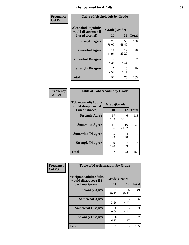# *Disapproval by Adults* **35**

| Frequency      | <b>Table of Alcoholadult by Grade</b>                                 |                    |             |              |
|----------------|-----------------------------------------------------------------------|--------------------|-------------|--------------|
| <b>Col Pct</b> | <b>Alcoholadult</b> (Adults<br>would disapprove if<br>I used alcohol) | Grade(Grade)<br>10 | 12          | <b>Total</b> |
|                | <b>Strongly Agree</b>                                                 | 70<br>76.09        | 50<br>68.49 | 120          |
|                | <b>Somewhat Agree</b>                                                 | 11<br>11.96        | 17<br>23.29 | 28           |
|                | <b>Somewhat Disagree</b>                                              | 4<br>4.35          | 3<br>4.11   | 7            |
|                | <b>Strongly Disagree</b>                                              | 7<br>7.61          | 3<br>4.11   | 10           |
|                | <b>Total</b>                                                          | 92                 | 73          | 165          |

| <b>Table of Tobaccoadult by Grade</b>                                |             |                    |              |  |  |
|----------------------------------------------------------------------|-------------|--------------------|--------------|--|--|
| <b>Tobaccoadult(Adults</b><br>would disapprove if<br>I used tobacco) | 10          | Grade(Grade)<br>12 | <b>Total</b> |  |  |
| <b>Strongly Agree</b>                                                | 67<br>72.83 | 46<br>63.01        | 113          |  |  |
| <b>Somewhat Agree</b>                                                | 11<br>11.96 | 16<br>21.92        | 27           |  |  |
| <b>Somewhat Disagree</b>                                             | 5<br>5.43   | 4<br>5.48          | 9            |  |  |
| <b>Strongly Disagree</b>                                             | 9<br>9.78   | 9.59               | 16           |  |  |
| Total                                                                | 92          | 73                 | 165          |  |  |

| Frequency      | <b>Table of Marijuanaadult by Grade</b>                           |                    |             |              |
|----------------|-------------------------------------------------------------------|--------------------|-------------|--------------|
| <b>Col Pct</b> | Marijuanaadult(Adults<br>would disapprove if I<br>used marijuana) | Grade(Grade)<br>10 | 12          | <b>Total</b> |
|                | <b>Strongly Agree</b>                                             | 83<br>90.22        | 66<br>90.41 | 149          |
|                | <b>Somewhat Agree</b>                                             | 3<br>3.26          | 3<br>4.11   | 6            |
|                | <b>Somewhat Disagree</b>                                          | 0<br>0.00          | 3<br>4.11   | 3            |
|                | <b>Strongly Disagree</b>                                          | 6<br>6.52          | 1.37        |              |
|                | <b>Total</b>                                                      | 92                 | 73          | 165          |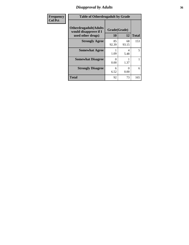### *Disapproval by Adults* **36**

| <b>Frequency</b> | <b>Table of Otherdrugadult by Grade</b>                                     |                    |                           |              |
|------------------|-----------------------------------------------------------------------------|--------------------|---------------------------|--------------|
| <b>Col Pct</b>   | <b>Otherdrugadult</b> (Adults<br>would disapprove if I<br>used other drugs) | Grade(Grade)<br>10 | 12                        | <b>Total</b> |
|                  | <b>Strongly Agree</b>                                                       | 85<br>92.39        | 68<br>93.15               | 153          |
|                  | <b>Somewhat Agree</b>                                                       | 1.09               | 4<br>5.48                 | 5            |
|                  | <b>Somewhat Disagree</b>                                                    | ∩<br>0.00          | 1.37                      |              |
|                  | <b>Strongly Disagree</b>                                                    | 6<br>6.52          | $\mathbf{\Omega}$<br>0.00 | 6            |
|                  | <b>Total</b>                                                                | 92                 | 73                        | 165          |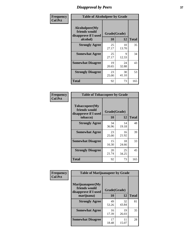# *Disapproval by Peers* **37**

| Frequency      | <b>Table of Alcoholpeer by Grade</b>                    |              |             |              |  |
|----------------|---------------------------------------------------------|--------------|-------------|--------------|--|
| <b>Col Pct</b> | Alcoholpeer(My<br>friends would<br>disapprove if I used | Grade(Grade) |             |              |  |
|                | alcohol)                                                | 10           | 12          | <b>Total</b> |  |
|                | <b>Strongly Agree</b>                                   | 25<br>27.17  | 10<br>13.70 | 35           |  |
|                | <b>Somewhat Agree</b>                                   | 25<br>27.17  | 9<br>12.33  | 34           |  |
|                | <b>Somewhat Disagree</b>                                | 19<br>20.65  | 24<br>32.88 | 43           |  |
|                | <b>Strongly Disagree</b>                                | 23<br>25.00  | 30<br>41.10 | 53           |  |
|                | Total                                                   | 92           | 73          | 165          |  |

| Frequency      | <b>Table of Tobaccopeer by Grade</b>                                |                    |             |              |
|----------------|---------------------------------------------------------------------|--------------------|-------------|--------------|
| <b>Col Pct</b> | Tobaccopeer(My<br>friends would<br>disapprove if I used<br>tobacco) | Grade(Grade)<br>10 | 12          | <b>Total</b> |
|                | <b>Strongly Agree</b>                                               | 34<br>36.96        | 14<br>19.18 | 48           |
|                | <b>Somewhat Agree</b>                                               | 23<br>25.00        | 16<br>21.92 | 39           |
|                | <b>Somewhat Disagree</b>                                            | 15<br>16.30        | 18<br>24.66 | 33           |
|                | <b>Strongly Disagree</b>                                            | 20<br>21.74        | 25<br>34.25 | 45           |
|                | Total                                                               | 92                 | 73          | 165          |

| Frequency<br><b>Col Pct</b> | <b>Table of Marijuanapeer by Grade</b>                    |              |             |              |
|-----------------------------|-----------------------------------------------------------|--------------|-------------|--------------|
|                             | Marijuanapeer(My<br>friends would<br>disapprove if I used | Grade(Grade) |             |              |
|                             | marijuana)                                                | 10           | 12          | <b>Total</b> |
|                             | <b>Strongly Agree</b>                                     | 49<br>53.26  | 32<br>43.84 | 81           |
|                             | <b>Somewhat Agree</b>                                     | 16<br>17.39  | 19<br>26.03 | 35           |
|                             | <b>Somewhat Disagree</b>                                  | 17<br>18.48  | 11<br>15.07 | 28           |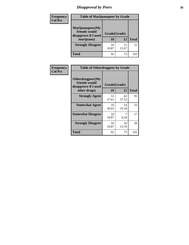# *Disapproval by Peers* **38**

| <b>Frequency</b> | <b>Table of Marijuanapeer by Grade</b>                                  |                    |       |              |  |
|------------------|-------------------------------------------------------------------------|--------------------|-------|--------------|--|
| <b>Col Pct</b>   | Marijuanapeer(My<br>friends would<br>disapprove if I used<br>marijuana) | Grade(Grade)<br>10 | 12    | <b>Total</b> |  |
|                  | <b>Strongly Disagree</b>                                                | 10<br>10.87        | 15.07 | 21           |  |
|                  | <b>Total</b>                                                            | 92                 | 73    | 165          |  |

| <b>Frequency</b> | <b>Table of Otherdrugpeer by Grade</b>                                    |                           |             |              |
|------------------|---------------------------------------------------------------------------|---------------------------|-------------|--------------|
| <b>Col Pct</b>   | Otherdrugpeer(My<br>friends would<br>disapprove if I used<br>other drugs) | Grade(Grade)<br><b>10</b> | 12          | <b>Total</b> |
|                  |                                                                           |                           |             |              |
|                  | <b>Strongly Agree</b>                                                     | 53<br>57.61               | 42<br>57.53 | 95           |
|                  | <b>Somewhat Agree</b>                                                     | 19<br>20.65               | 14<br>19.18 | 33           |
|                  | <b>Somewhat Disagree</b>                                                  | 10<br>10.87               | 7<br>9.59   | 17           |
|                  | <b>Strongly Disagree</b>                                                  | 10<br>10.87               | 10<br>13.70 | 20           |
|                  | <b>Total</b>                                                              | 92                        | 73          | 165          |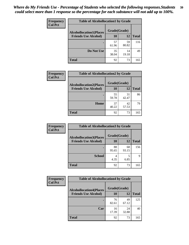| Frequency      | <b>Table of Alcohollocation1 by Grade</b> |              |             |              |
|----------------|-------------------------------------------|--------------|-------------|--------------|
| <b>Col Pct</b> | <b>Alcohollocation1(Places</b>            | Grade(Grade) |             |              |
|                | <b>Friends Use Alcohol)</b>               | 10           | 12          | <b>Total</b> |
|                |                                           | 57<br>61.96  | 59<br>80.82 | 116          |
|                | Do Not Use                                | 35<br>38.04  | 14<br>19.18 | 49           |
|                | <b>Total</b>                              | 92           | 73          | 165          |

| Frequency      | <b>Table of Alcohollocation2 by Grade</b>                     |                           |             |              |
|----------------|---------------------------------------------------------------|---------------------------|-------------|--------------|
| <b>Col Pct</b> | <b>Alcohollocation2(Places</b><br><b>Friends Use Alcohol)</b> | Grade(Grade)<br><b>10</b> | 12          | <b>Total</b> |
|                |                                                               |                           |             |              |
|                |                                                               | 55<br>59.78               | 31<br>42.47 | 86           |
|                | Home                                                          | 37<br>40.22               | 42<br>57.53 | 79           |
|                | <b>Total</b>                                                  | 92                        | 73          | 165          |

| Frequency      | <b>Table of Alcohollocation 3 by Grade</b>                    |                    |             |              |
|----------------|---------------------------------------------------------------|--------------------|-------------|--------------|
| <b>Col Pct</b> | <b>Alcohollocation3(Places</b><br><b>Friends Use Alcohol)</b> | Grade(Grade)<br>10 | 12          | <b>Total</b> |
|                |                                                               | 88<br>95.65        | 68<br>93.15 | 156          |
|                | <b>School</b>                                                 | 4<br>4.35          | 5<br>6.85   | Q            |
|                | <b>Total</b>                                                  | 92                 | 73          | 165          |

| <b>Frequency</b> | <b>Table of Alcohollocation4 by Grade</b> |              |             |              |  |
|------------------|-------------------------------------------|--------------|-------------|--------------|--|
| <b>Col Pct</b>   | <b>Alcohollocation4(Places</b>            | Grade(Grade) |             |              |  |
|                  | <b>Friends Use Alcohol)</b>               | <b>10</b>    | 12          | <b>Total</b> |  |
|                  |                                           | 76<br>82.61  | 49<br>67.12 | 125          |  |
|                  | Car                                       | 16<br>17.39  | 24<br>32.88 | 40           |  |
|                  | <b>Total</b>                              | 92           | 73          | 165          |  |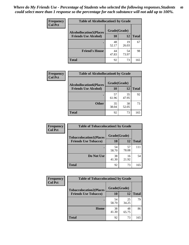| Frequency<br><b>Col Pct</b> | <b>Table of Alcohollocation5 by Grade</b>      |             |             |              |  |
|-----------------------------|------------------------------------------------|-------------|-------------|--------------|--|
|                             | Grade(Grade)<br><b>Alcohollocation5(Places</b> |             |             |              |  |
|                             | <b>Friends Use Alcohol)</b>                    | 10          | 12          | <b>Total</b> |  |
|                             |                                                | 48<br>52.17 | 19<br>26.03 | 67           |  |
|                             | <b>Friend's House</b>                          | 44<br>47.83 | 54<br>73.97 | 98           |  |
|                             | <b>Total</b>                                   | 92          | 73          | 165          |  |

| <b>Frequency</b> | <b>Table of Alcohollocation6 by Grade</b> |              |             |              |
|------------------|-------------------------------------------|--------------|-------------|--------------|
| <b>Col Pct</b>   | <b>Alcohollocation6(Places</b>            | Grade(Grade) |             |              |
|                  | <b>Friends Use Alcohol)</b>               | <b>10</b>    | 12          | <b>Total</b> |
|                  |                                           | 57<br>61.96  | 35<br>47.95 | 92           |
|                  | <b>Other</b>                              | 35<br>38.04  | 38<br>52.05 | 73           |
|                  | <b>Total</b>                              | 92           | 73          | 165          |

| Frequency      | <b>Table of Tobaccolocation1 by Grade</b> |              |             |              |
|----------------|-------------------------------------------|--------------|-------------|--------------|
| <b>Col Pct</b> | <b>Tobaccolocation1(Places</b>            | Grade(Grade) |             |              |
|                | <b>Friends Use Tobacco)</b>               | 10           | 12          | <b>Total</b> |
|                |                                           | 54<br>58.70  | 57<br>78.08 | 111          |
|                | Do Not Use                                | 38<br>41.30  | 16<br>21.92 | 54           |
|                | <b>Total</b>                              | 92           | 73          | 165          |

| <b>Frequency</b> | <b>Table of Tobaccolocation2 by Grade</b> |              |             |              |  |
|------------------|-------------------------------------------|--------------|-------------|--------------|--|
| <b>Col Pct</b>   | <b>Tobaccolocation2(Places</b>            | Grade(Grade) |             |              |  |
|                  | <b>Friends Use Tobacco)</b>               | 10           | 12          | <b>Total</b> |  |
|                  |                                           | 54<br>58.70  | 25<br>34.25 | 79           |  |
|                  | Home                                      | 38<br>41.30  | 48<br>65.75 | 86           |  |
|                  | <b>Total</b>                              | 92           | 73          | 165          |  |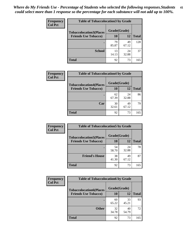| Frequency      | <b>Table of Tobaccolocation 3 by Grade</b> |              |             |              |  |
|----------------|--------------------------------------------|--------------|-------------|--------------|--|
| <b>Col Pct</b> | <b>Tobaccolocation3(Places</b>             | Grade(Grade) |             |              |  |
|                | <b>Friends Use Tobacco)</b>                | 10           | 12          | <b>Total</b> |  |
|                |                                            | 79<br>85.87  | 49<br>67.12 | 128          |  |
|                | <b>School</b>                              | 13<br>14.13  | 24<br>32.88 | 37           |  |
|                | <b>Total</b>                               | 92           | 73          | 165          |  |

| Frequency<br><b>Col Pct</b> | <b>Table of Tobaccolocation4 by Grade</b> |              |             |              |
|-----------------------------|-------------------------------------------|--------------|-------------|--------------|
|                             | <b>Tobaccolocation4(Places</b>            | Grade(Grade) |             |              |
|                             | <b>Friends Use Tobacco)</b>               | 10           | 12          | <b>Total</b> |
|                             |                                           | 62<br>67.39  | 24<br>32.88 | 86           |
|                             | Car                                       | 30<br>32.61  | 49<br>67.12 | 79           |
|                             | <b>Total</b>                              | 92           | 73          | 165          |

| Frequency      | <b>Table of Tobaccolocation5 by Grade</b> |              |             |              |
|----------------|-------------------------------------------|--------------|-------------|--------------|
| <b>Col Pct</b> | <b>Tobaccolocation5(Places</b>            | Grade(Grade) |             |              |
|                | <b>Friends Use Tobacco)</b>               | 10           | <b>12</b>   | <b>Total</b> |
|                |                                           | 54<br>58.70  | 24<br>32.88 | 78           |
|                | <b>Friend's House</b>                     | 38<br>41.30  | 49<br>67.12 | 87           |
|                | <b>Total</b>                              | 92           | 73          | 165          |

| Frequency      | <b>Table of Tobaccolocation6 by Grade</b> |              |             |              |  |
|----------------|-------------------------------------------|--------------|-------------|--------------|--|
| <b>Col Pct</b> | <b>Tobaccolocation6(Places</b>            | Grade(Grade) |             |              |  |
|                | <b>Friends Use Tobacco)</b>               | 10           | 12          | <b>Total</b> |  |
|                |                                           | 60<br>65.22  | 33<br>45.21 | 93           |  |
|                | <b>Other</b>                              | 32<br>34.78  | 40<br>54.79 | 72           |  |
|                | <b>Total</b>                              | 92           | 73          | 165          |  |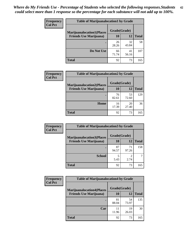| <b>Frequency</b> | <b>Table of Marijuanalocation1 by Grade</b> |              |             |              |
|------------------|---------------------------------------------|--------------|-------------|--------------|
| <b>Col Pct</b>   | <b>Marijuanalocation1(Places</b>            | Grade(Grade) |             |              |
|                  | <b>Friends Use Marijuana</b> )              | <b>10</b>    | 12          | <b>Total</b> |
|                  |                                             | 26<br>28.26  | 32<br>43.84 | 58           |
|                  | Do Not Use                                  | 66<br>71.74  | 41<br>56.16 | 107          |
|                  | <b>Total</b>                                | 92           | 73          | 165          |

| <b>Frequency</b> | <b>Table of Marijuanalocation2 by Grade</b>                        |                    |             |              |
|------------------|--------------------------------------------------------------------|--------------------|-------------|--------------|
| <b>Col Pct</b>   | <b>Marijuanalocation2(Places</b><br><b>Friends Use Marijuana</b> ) | Grade(Grade)<br>10 | 12          | <b>Total</b> |
|                  |                                                                    | 76<br>82.61        | 53<br>72.60 | 129          |
|                  | Home                                                               | 16<br>17.39        | 20<br>27.40 | 36           |
|                  | <b>Total</b>                                                       | 92                 | 73          | 165          |

| Frequency<br><b>Col Pct</b> | <b>Table of Marijuanalocation3 by Grade</b> |              |             |       |
|-----------------------------|---------------------------------------------|--------------|-------------|-------|
|                             | <b>Marijuanalocation3(Places</b>            | Grade(Grade) |             |       |
|                             | <b>Friends Use Marijuana</b> )              | 10           | 12          | Total |
|                             |                                             | 87<br>94.57  | 71<br>97.26 | 158   |
|                             | <b>School</b>                               | 5.43         | 2.74        |       |
|                             | <b>Total</b>                                | 92           | 73          | 165   |

| <b>Frequency</b> | <b>Table of Marijuanalocation4 by Grade</b> |              |             |              |  |
|------------------|---------------------------------------------|--------------|-------------|--------------|--|
| <b>Col Pct</b>   | <b>Marijuanalocation4(Places</b>            | Grade(Grade) |             |              |  |
|                  | <b>Friends Use Marijuana</b> )              | <b>10</b>    | 12          | <b>Total</b> |  |
|                  |                                             | 81<br>88.04  | 54<br>73.97 | 135          |  |
|                  | Car                                         | 11<br>11.96  | 19<br>26.03 | 30           |  |
|                  | <b>Total</b>                                | 92           | 73          | 165          |  |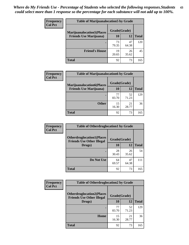| <b>Frequency</b> | <b>Table of Marijuanalocation5 by Grade</b> |              |             |              |
|------------------|---------------------------------------------|--------------|-------------|--------------|
| <b>Col Pct</b>   | <b>Marijuanalocation5</b> (Places           | Grade(Grade) |             |              |
|                  | <b>Friends Use Marijuana</b> )              | 10           | 12          | <b>Total</b> |
|                  |                                             | 73<br>79.35  | 47<br>64.38 | 120          |
|                  | <b>Friend's House</b>                       | 19<br>20.65  | 26<br>35.62 | 45           |
|                  | <b>Total</b>                                | 92           | 73          | 165          |

| <b>Frequency</b> | <b>Table of Marijuanalocation6 by Grade</b>                        |                    |             |              |
|------------------|--------------------------------------------------------------------|--------------------|-------------|--------------|
| <b>Col Pct</b>   | <b>Marijuanalocation6(Places</b><br><b>Friends Use Marijuana</b> ) | Grade(Grade)<br>10 | 12          | <b>Total</b> |
|                  |                                                                    | 77<br>83.70        | 52<br>71.23 | 129          |
|                  | <b>Other</b>                                                       | 15<br>16.30        | 21<br>28.77 | 36           |
|                  | <b>Total</b>                                                       | 92                 | 73          | 165          |

| <b>Frequency</b> | <b>Table of Otherdruglocation1 by Grade</b>                          |              |             |              |
|------------------|----------------------------------------------------------------------|--------------|-------------|--------------|
| <b>Col Pct</b>   | <b>Otherdruglocation1(Places</b><br><b>Friends Use Other Illegal</b> | Grade(Grade) |             |              |
|                  | Drugs)                                                               | 10           | 12          | <b>Total</b> |
|                  |                                                                      | 28<br>30.43  | 26<br>35.62 | 54           |
|                  | Do Not Use                                                           | 64<br>69.57  | 47<br>64.38 | 111          |
|                  | <b>Total</b>                                                         | 92           | 73          | 165          |

| Frequency      | <b>Table of Otherdruglocation2 by Grade</b>                          |              |             |              |
|----------------|----------------------------------------------------------------------|--------------|-------------|--------------|
| <b>Col Pct</b> | <b>Otherdruglocation2(Places</b><br><b>Friends Use Other Illegal</b> | Grade(Grade) |             |              |
|                | Drugs)                                                               | 10           | 12          | <b>Total</b> |
|                |                                                                      | 77<br>83.70  | 52<br>71.23 | 129          |
|                | Home                                                                 | 15<br>16.30  | 21<br>28.77 | 36           |
|                | <b>Total</b>                                                         | 92           | 73          | 165          |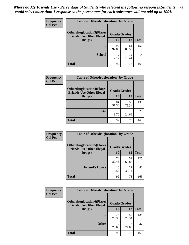| <b>Frequency</b> | <b>Table of Otherdruglocation 3 by Grade</b>                         |              |             |              |
|------------------|----------------------------------------------------------------------|--------------|-------------|--------------|
| <b>Col Pct</b>   | <b>Otherdruglocation3(Places</b><br><b>Friends Use Other Illegal</b> | Grade(Grade) |             |              |
|                  | Drugs)                                                               | 10           | 12          | <b>Total</b> |
|                  |                                                                      | 90<br>97.83  | 61<br>83.56 | 151          |
|                  | <b>School</b>                                                        | 2<br>2.17    | 12<br>16.44 | 14           |
|                  | <b>Total</b>                                                         | 92           | 73          | 165          |

| Frequency<br><b>Col Pct</b> | <b>Table of Otherdruglocation4 by Grade</b>                          |              |             |              |
|-----------------------------|----------------------------------------------------------------------|--------------|-------------|--------------|
|                             | <b>Otherdruglocation4(Places</b><br><b>Friends Use Other Illegal</b> | Grade(Grade) |             |              |
|                             | Drugs)                                                               | 10           | 12          | <b>Total</b> |
|                             |                                                                      | 84<br>91.30  | 55<br>75.34 | 139          |
|                             | Car                                                                  | 8<br>8.70    | 18<br>24.66 | 26           |
|                             | <b>Total</b>                                                         | 92           | 73          | 165          |

| <b>Frequency</b> | <b>Table of Otherdruglocation5 by Grade</b>                          |              |             |              |
|------------------|----------------------------------------------------------------------|--------------|-------------|--------------|
| <b>Col Pct</b>   | <b>Otherdruglocation5(Places</b><br><b>Friends Use Other Illegal</b> | Grade(Grade) |             |              |
|                  | Drugs)                                                               | <b>10</b>    | 12          | <b>Total</b> |
|                  |                                                                      | 74<br>80.43  | 51<br>69.86 | 125          |
|                  | <b>Friend's House</b>                                                | 18<br>19.57  | 22<br>30.14 | 40           |
|                  | <b>Total</b>                                                         | 92           | 73          | 165          |

| <b>Frequency</b> | <b>Table of Otherdruglocation6 by Grade</b>                          |              |             |              |
|------------------|----------------------------------------------------------------------|--------------|-------------|--------------|
| <b>Col Pct</b>   | <b>Otherdruglocation6(Places</b><br><b>Friends Use Other Illegal</b> | Grade(Grade) |             |              |
|                  | Drugs)                                                               | 10           | 12          | <b>Total</b> |
|                  |                                                                      | 73<br>79.35  | 55<br>75.34 | 128          |
|                  | <b>Other</b>                                                         | 19<br>20.65  | 18<br>24.66 | 37           |
|                  | <b>Total</b>                                                         | 92           | 73          | 165          |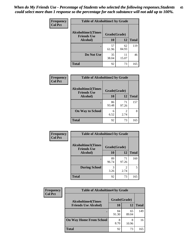| Frequency      | <b>Table of Alcoholtime1 by Grade</b>           |              |             |              |
|----------------|-------------------------------------------------|--------------|-------------|--------------|
| <b>Col Pct</b> | <b>Alcoholtime1(Times</b><br><b>Friends Use</b> | Grade(Grade) |             |              |
|                | Alcohol)                                        | <b>10</b>    | 12          | <b>Total</b> |
|                |                                                 | 57<br>61.96  | 62<br>84.93 | 119          |
|                | Do Not Use                                      | 35<br>38.04  | 11<br>15.07 | 46           |
|                | <b>Total</b>                                    | 92           | 73          | 165          |

| Frequency      | <b>Table of Alcoholtime2 by Grade</b>           |              |             |              |
|----------------|-------------------------------------------------|--------------|-------------|--------------|
| <b>Col Pct</b> | <b>Alcoholtime2(Times</b><br><b>Friends Use</b> | Grade(Grade) |             |              |
|                | Alcohol)                                        | 10           | 12          | <b>Total</b> |
|                |                                                 | 86<br>93.48  | 71<br>97.26 | 157          |
|                | <b>On Way to School</b>                         | 6<br>6.52    | 2<br>2.74   | 8            |
|                | <b>Total</b>                                    | 92           | 73          | 165          |

| Frequency<br><b>Col Pct</b> | <b>Table of Alcoholtime3 by Grade</b>           |              |             |              |
|-----------------------------|-------------------------------------------------|--------------|-------------|--------------|
|                             | <b>Alcoholtime3(Times</b><br><b>Friends Use</b> | Grade(Grade) |             |              |
|                             | Alcohol)                                        | 10           | 12          | <b>Total</b> |
|                             |                                                 | 89<br>96.74  | 71<br>97.26 | 160          |
|                             | <b>During School</b>                            | 3<br>3.26    | 2<br>2.74   | 5            |
|                             | <b>Total</b>                                    | 92           | 73          | 165          |

| Frequency<br><b>Col Pct</b> | <b>Table of Alcoholtime4 by Grade</b> |              |             |              |
|-----------------------------|---------------------------------------|--------------|-------------|--------------|
|                             | <b>Alcoholtime4(Times</b>             | Grade(Grade) |             |              |
|                             | <b>Friends Use Alcohol)</b>           | 10           | 12          | <b>Total</b> |
|                             |                                       | 84<br>91.30  | 65<br>89.04 | 149          |
|                             | <b>On Way Home From School</b>        | 8.70         | 10.96       | 16           |
|                             | <b>Total</b>                          | 92           | 73          | 165          |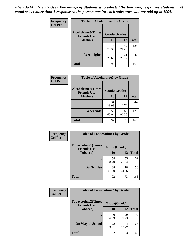*When do My Friends Use - Percentage of Students who selected the following responses.Students could select more than 1 response so the percentage for each substance will not add up to 100%.* **46**

| Frequency      | <b>Table of Alcoholtime5 by Grade</b>           |              |             |              |
|----------------|-------------------------------------------------|--------------|-------------|--------------|
| <b>Col Pct</b> | <b>Alcoholtime5(Times</b><br><b>Friends Use</b> | Grade(Grade) |             |              |
|                | Alcohol)                                        | 10           | 12          | <b>Total</b> |
|                |                                                 | 73<br>79.35  | 52<br>71.23 | 125          |
|                | Weeknights                                      | 19<br>20.65  | 21<br>28.77 | 40           |
|                | <b>Total</b>                                    | 92           | 73          | 165          |

| Frequency      | <b>Table of Alcoholtime6 by Grade</b>           |              |             |              |
|----------------|-------------------------------------------------|--------------|-------------|--------------|
| <b>Col Pct</b> | <b>Alcoholtime6(Times</b><br><b>Friends Use</b> | Grade(Grade) |             |              |
|                | Alcohol)                                        | 10           | 12          | <b>Total</b> |
|                |                                                 | 34<br>36.96  | 10<br>13.70 | 44           |
|                | Weekends                                        | 58<br>63.04  | 63<br>86.30 | 121          |
|                | <b>Total</b>                                    | 92           | 73          | 165          |

| <b>Frequency</b> | <b>Table of Tobaccotime1 by Grade</b>           |              |             |              |
|------------------|-------------------------------------------------|--------------|-------------|--------------|
| <b>Col Pct</b>   | <b>Tobaccotime1(Times</b><br><b>Friends Use</b> | Grade(Grade) |             |              |
|                  | <b>Tobacco</b> )                                | 10           | 12          | <b>Total</b> |
|                  | ٠                                               | 54<br>58.70  | 55<br>75.34 | 109          |
|                  | Do Not Use                                      | 38<br>41.30  | 18<br>24.66 | 56           |
|                  | <b>Total</b>                                    | 92           | 73          | 165          |

| <b>Frequency</b> | <b>Table of Tobaccotime2 by Grade</b>           |              |             |              |  |
|------------------|-------------------------------------------------|--------------|-------------|--------------|--|
| <b>Col Pct</b>   | <b>Tobaccotime2(Times</b><br><b>Friends Use</b> | Grade(Grade) |             |              |  |
|                  | Tobacco)                                        | 10           | 12          | <b>Total</b> |  |
|                  |                                                 | 70<br>76.09  | 29<br>39.73 | 99           |  |
|                  | <b>On Way to School</b>                         | 22<br>23.91  | 44<br>60.27 | 66           |  |
|                  | <b>Total</b>                                    | 92           | 73          | 165          |  |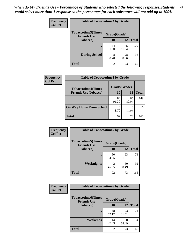| Frequency<br><b>Col Pct</b> |                                                 | <b>Table of Tobaccotime3 by Grade</b> |             |              |  |
|-----------------------------|-------------------------------------------------|---------------------------------------|-------------|--------------|--|
|                             | <b>Tobaccotime3(Times</b><br><b>Friends Use</b> | Grade(Grade)                          |             |              |  |
|                             | <b>Tobacco</b> )                                | 10                                    | 12          | <b>Total</b> |  |
|                             | ٠                                               | 84<br>91.30                           | 45<br>61.64 | 129          |  |
|                             | <b>During School</b>                            | 8<br>8.70                             | 28<br>38.36 | 36           |  |
|                             | <b>Total</b>                                    | 92                                    | 73          | 165          |  |

| <b>Frequency</b> | <b>Table of Tobaccotime4 by Grade</b> |              |             |              |
|------------------|---------------------------------------|--------------|-------------|--------------|
| <b>Col Pct</b>   | <b>Tobaccotime4(Times</b>             | Grade(Grade) |             |              |
|                  | <b>Friends Use Tobacco)</b>           | 10           | 12          | <b>Total</b> |
|                  |                                       | 84<br>91.30  | 65<br>89.04 | 149          |
|                  | <b>On Way Home From School</b>        | 8<br>8.70    | 8<br>10.96  | 16           |
|                  | <b>Total</b>                          | 92           | 73          | 165          |

| Frequency      | <b>Table of Tobaccotime5 by Grade</b>           |              |             |              |
|----------------|-------------------------------------------------|--------------|-------------|--------------|
| <b>Col Pct</b> | <b>Tobaccotime5(Times</b><br><b>Friends Use</b> | Grade(Grade) |             |              |
|                | <b>Tobacco</b> )                                | 10           | 12          | <b>Total</b> |
|                |                                                 | 50<br>54.35  | 23<br>31.51 | 73           |
|                | Weeknights                                      | 42<br>45.65  | 50<br>68.49 | 92           |
|                | <b>Total</b>                                    | 92           | 73          | 165          |

| Frequency      | <b>Table of Tobaccotime6 by Grade</b>           |              |             |              |
|----------------|-------------------------------------------------|--------------|-------------|--------------|
| <b>Col Pct</b> | <b>Tobaccotime6(Times</b><br><b>Friends Use</b> | Grade(Grade) |             |              |
|                | <b>Tobacco</b> )                                | 10           | 12          | <b>Total</b> |
|                | ٠                                               | 48<br>52.17  | 23<br>31.51 | 71           |
|                | Weekends                                        | 44<br>47.83  | 50<br>68.49 | 94           |
|                | <b>Total</b>                                    | 92           | 73          | 165          |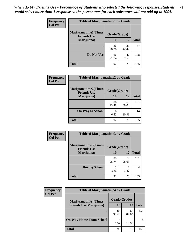| Frequency      | <b>Table of Marijuanatime1 by Grade</b>           |              |             |              |
|----------------|---------------------------------------------------|--------------|-------------|--------------|
| <b>Col Pct</b> | <b>Marijuanatime1(Times</b><br><b>Friends Use</b> | Grade(Grade) |             |              |
|                | Marijuana)                                        | 10           | 12          | <b>Total</b> |
|                |                                                   | 26<br>28.26  | 31<br>42.47 | 57           |
|                | Do Not Use                                        | 66<br>71.74  | 42<br>57.53 | 108          |
|                | <b>Total</b>                                      | 92           | 73          | 165          |

| <b>Frequency</b> | <b>Table of Marijuanatime2 by Grade</b>           |              |             |              |
|------------------|---------------------------------------------------|--------------|-------------|--------------|
| <b>Col Pct</b>   | <b>Marijuanatime2(Times</b><br><b>Friends Use</b> | Grade(Grade) |             |              |
|                  | Marijuana)                                        | 10           | 12          | <b>Total</b> |
|                  |                                                   | 86<br>93.48  | 65<br>89.04 | 151          |
|                  | <b>On Way to School</b>                           | 6<br>6.52    | 8<br>10.96  | 14           |
|                  | <b>Total</b>                                      | 92           | 73          | 165          |

| Frequency      | <b>Table of Marijuanatime3 by Grade</b>    |              |             |              |
|----------------|--------------------------------------------|--------------|-------------|--------------|
| <b>Col Pct</b> | Marijuanatime3(Times<br><b>Friends Use</b> | Grade(Grade) |             |              |
|                | Marijuana)                                 | 10           | 12          | <b>Total</b> |
|                |                                            | 89<br>96.74  | 72<br>98.63 | 161          |
|                | <b>During School</b>                       | 3<br>3.26    | 1.37        | 4            |
|                | <b>Total</b>                               | 92           | 73          | 165          |

| Frequency<br><b>Col Pct</b> | <b>Table of Marijuanatime4 by Grade</b> |              |             |              |
|-----------------------------|-----------------------------------------|--------------|-------------|--------------|
|                             | <b>Marijuanatime4(Times</b>             | Grade(Grade) |             |              |
|                             | <b>Friends Use Marijuana</b> )          | 10           | 12          | <b>Total</b> |
|                             |                                         | 86<br>93.48  | 65<br>89.04 | 151          |
|                             | <b>On Way Home From School</b>          | 6<br>6.52    | 8<br>10.96  | 14           |
|                             | <b>Total</b>                            | 92           | 73          | 165          |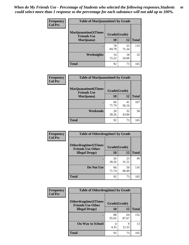| Frequency      | <b>Table of Marijuanatime5 by Grade</b>            |              |             |              |
|----------------|----------------------------------------------------|--------------|-------------|--------------|
| <b>Col Pct</b> | <b>Marijuanatime5</b> (Times<br><b>Friends Use</b> | Grade(Grade) |             |              |
|                | Marijuana)                                         | 10           | 12          | <b>Total</b> |
|                |                                                    | 78<br>84.78  | 55<br>75.34 | 133          |
|                | Weeknights                                         | 14<br>15.22  | 18<br>24.66 | 32           |
|                | <b>Total</b>                                       | 92           | 73          | 165          |

| Frequency      | <b>Table of Marijuanatime6 by Grade</b>    |              |             |              |
|----------------|--------------------------------------------|--------------|-------------|--------------|
| <b>Col Pct</b> | Marijuanatime6(Times<br><b>Friends Use</b> | Grade(Grade) |             |              |
|                | Marijuana)                                 | 10           | 12          | <b>Total</b> |
|                |                                            | 66<br>71.74  | 41<br>56.16 | 107          |
|                | Weekends                                   | 26<br>28.26  | 32<br>43.84 | 58           |
|                | <b>Total</b>                               | 92           | 73          | 165          |

| <b>Frequency</b> | <b>Table of Otherdrugtime1 by Grade</b>                 |              |             |              |
|------------------|---------------------------------------------------------|--------------|-------------|--------------|
| <b>Col Pct</b>   | <b>Otherdrugtime1(Times</b><br><b>Friends Use Other</b> | Grade(Grade) |             |              |
|                  | <b>Illegal Drugs</b> )                                  | 10           | 12          | <b>Total</b> |
|                  |                                                         | 26<br>28.26  | 23<br>31.51 | 49           |
|                  | Do Not Use                                              | 66<br>71.74  | 50<br>68.49 | 116          |
|                  | <b>Total</b>                                            | 92           | 73          | 165          |

| <b>Frequency</b> | <b>Table of Otherdrugtime2 by Grade</b>                                 |             |             |              |
|------------------|-------------------------------------------------------------------------|-------------|-------------|--------------|
| <b>Col Pct</b>   | <b>Otherdrugtime2(Times</b><br>Grade(Grade)<br><b>Friends Use Other</b> |             |             |              |
|                  | <b>Illegal Drugs</b> )                                                  | 10          | 12          | <b>Total</b> |
|                  |                                                                         | 88<br>95.65 | 64<br>87.67 | 152          |
|                  | <b>On Way to School</b>                                                 | 4<br>4.35   | 9<br>12.33  | 13           |
|                  | Total                                                                   | 92          | 73          | 165          |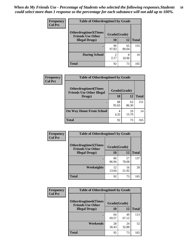| <b>Frequency</b> | <b>Table of Otherdrugtime3 by Grade</b>                          |             |             |              |
|------------------|------------------------------------------------------------------|-------------|-------------|--------------|
| <b>Col Pct</b>   | Otherdrugtime3(Times<br>Grade(Grade)<br><b>Friends Use Other</b> |             |             |              |
|                  | <b>Illegal Drugs</b> )                                           | 10          | 12          | <b>Total</b> |
|                  |                                                                  | 90<br>97.83 | 65<br>89.04 | 155          |
|                  | <b>During School</b>                                             | 2<br>2.17   | 8<br>10.96  | 10           |
|                  | Total                                                            | 92          | 73          | 165          |

| Frequency      | <b>Table of Otherdrugtime4 by Grade</b>                         |              |             |              |
|----------------|-----------------------------------------------------------------|--------------|-------------|--------------|
| <b>Col Pct</b> | <b>Otherdrugtime4(Times</b><br><b>Friends Use Other Illegal</b> | Grade(Grade) |             |              |
|                | Drugs)                                                          | 10           | 12          | <b>Total</b> |
|                | ٠                                                               | 88<br>95.65  | 63<br>86.30 | 151          |
|                | <b>On Way Home From School</b>                                  | 4<br>4.35    | 10<br>13.70 | 14           |
|                | <b>Total</b>                                                    | 92           | 73          | 165          |

| <b>Frequency</b> | <b>Table of Otherdrugtime5 by Grade</b>                                  |             |             |              |
|------------------|--------------------------------------------------------------------------|-------------|-------------|--------------|
| <b>Col Pct</b>   | <b>Otherdrugtime5</b> (Times<br>Grade(Grade)<br><b>Friends Use Other</b> |             |             |              |
|                  | <b>Illegal Drugs</b> )                                                   | 10          | 12          | <b>Total</b> |
|                  |                                                                          | 80<br>86.96 | 57<br>78.08 | 137          |
|                  | Weeknights                                                               | 12<br>13.04 | 16<br>21.92 | 28           |
|                  | Total                                                                    | 92          | 73          | 165          |

| Frequency      | <b>Table of Otherdrugtime6 by Grade</b>                 |              |             |              |
|----------------|---------------------------------------------------------|--------------|-------------|--------------|
| <b>Col Pct</b> | <b>Otherdrugtime6(Times</b><br><b>Friends Use Other</b> | Grade(Grade) |             |              |
|                | <b>Illegal Drugs</b> )                                  | 10           | 12          | <b>Total</b> |
|                |                                                         | 64<br>69.57  | 49<br>67.12 | 113          |
|                | Weekends                                                | 28<br>30.43  | 24<br>32.88 | 52           |
|                | Total                                                   | 92           | 73          | 165          |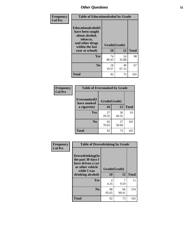| Frequency<br><b>Col Pct</b> | <b>Table of Educationalcohol by Grade</b>                                                                  |              |             |              |
|-----------------------------|------------------------------------------------------------------------------------------------------------|--------------|-------------|--------------|
|                             | Educationalcohol(I<br>have been taught<br>about alcohol,<br>tobacco,<br>and other drugs<br>within the last | Grade(Grade) |             |              |
|                             | year at school)                                                                                            | 10           | 12          | <b>Total</b> |
|                             | Yes                                                                                                        | 74<br>80.43  | 24<br>32.88 | 98           |
|                             | N <sub>0</sub>                                                                                             | 18<br>19.57  | 49<br>67.12 | 67           |
|                             | <b>Total</b>                                                                                               | 92           | 73          | 165          |

| Frequency      | <b>Table of Eversmoked by Grade</b> |              |             |              |
|----------------|-------------------------------------|--------------|-------------|--------------|
| <b>Col Pct</b> | Eversmoked(I<br>have smoked         | Grade(Grade) |             |              |
|                | a cigarette)                        | 10           | 12          | <b>Total</b> |
|                | <b>Yes</b>                          | 27<br>29.35  | 36<br>49.32 | 63           |
|                | N <sub>0</sub>                      | 65<br>70.65  | 37<br>50.68 | 102          |
|                | <b>Total</b>                        | 92           | 73          | 165          |

| Frequency<br><b>Col Pct</b> | <b>Table of Drovedrinking by Grade</b>                                                                              |                    |             |              |
|-----------------------------|---------------------------------------------------------------------------------------------------------------------|--------------------|-------------|--------------|
|                             | Drovedrinking(In<br>the past 30 days I<br>have driven a car<br>or other vehicle<br>while I was<br>drinking alcohol) | Grade(Grade)<br>10 | 12          | <b>Total</b> |
|                             | <b>Yes</b>                                                                                                          | 4<br>4.35          | 9.59        | 11           |
|                             | N <sub>0</sub>                                                                                                      | 88<br>95.65        | 66<br>90.41 | 154          |
|                             | <b>Total</b>                                                                                                        | 92                 | 73          | 165          |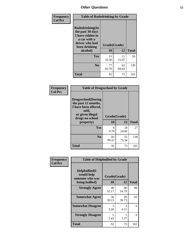| Frequency<br><b>Col Pct</b> | <b>Table of Rodedrinking by Grade</b>                                                                      |              |             |              |
|-----------------------------|------------------------------------------------------------------------------------------------------------|--------------|-------------|--------------|
|                             | Rodedrinking(In<br>the past 30 days<br>I have ridden in<br>a car with a<br>driver who had<br>been drinking | Grade(Grade) |             |              |
|                             | alcohol)                                                                                                   | 10           | 12          | <b>Total</b> |
|                             | <b>Yes</b>                                                                                                 | 15<br>16.30  | 11<br>15.07 | 26           |
|                             | N <sub>0</sub>                                                                                             | 77<br>83.70  | 62<br>84.93 | 139          |
|                             | <b>Total</b>                                                                                               | 92           | 73          | 165          |

#### **Frequency Col Pct**

| <b>Table of Drugsschool by Grade</b>                                                                                      |             |              |              |
|---------------------------------------------------------------------------------------------------------------------------|-------------|--------------|--------------|
| <b>Drugsschool</b> (During<br>the past 12 months,<br>I have been offered,<br>sold,<br>or given illegal<br>drugs on school |             | Grade(Grade) |              |
| property)                                                                                                                 | 10          | 12           | <b>Total</b> |
| Yes                                                                                                                       | 9<br>9.78   | 18<br>24.66  | 27           |
| $\bf No$                                                                                                                  | 83<br>90.22 | 55<br>75.34  | 138          |
| Total                                                                                                                     | 92          | 73           | 165          |

| <b>Table of Helpbullied by Grade</b>            |                |             |                    |
|-------------------------------------------------|----------------|-------------|--------------------|
| Helpbullied(I)<br>would help<br>someone who was |                |             |                    |
|                                                 |                |             | <b>Total</b>       |
| <b>Strongly Agree</b>                           | 48<br>52.17    | 40<br>54.79 | 88                 |
| <b>Somewhat Agree</b>                           | 36<br>39.13    | 29<br>39.73 | 65                 |
| <b>Somewhat Disagree</b>                        | 3<br>3.26      | 3<br>4.11   | 6                  |
| <b>Strongly Disagree</b>                        | 5<br>5.43      | 1.37        | 6                  |
| <b>Total</b>                                    | 92             | 73          | 165                |
|                                                 | being bullied) | 10          | Grade(Grade)<br>12 |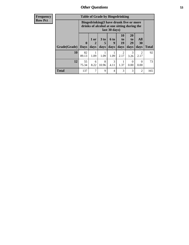| <b>Frequency</b><br>Row Pct |
|-----------------------------|
|                             |

| <b>Table of Grade by Bingedrinking</b> |                  |                                                                                                         |                   |                          |                                                                     |                        |                   |              |
|----------------------------------------|------------------|---------------------------------------------------------------------------------------------------------|-------------------|--------------------------|---------------------------------------------------------------------|------------------------|-------------------|--------------|
|                                        |                  | Bingedrinking(I have drunk five or more<br>drinks of alcohol at one sitting during the<br>last 30 days) |                   |                          |                                                                     |                        |                   |              |
| Grade(Grade)                           | 0<br><b>Days</b> | 1 or<br>2<br>days                                                                                       | 3 to<br>5<br>days | <b>6 to</b><br>9<br>days | 10<br>$\mathbf{t}$ <sup><math>\mathbf{0}</math></sup><br>19<br>days | 20<br>to<br>29<br>days | All<br>30<br>days | <b>Total</b> |
| 10                                     | 82               |                                                                                                         |                   |                          | $\mathfrak{D}$                                                      | 3                      | $\mathfrak{D}$    | 92           |
|                                        | 89.13            | 1.09                                                                                                    | 1.09              | 1.09                     | 2.17                                                                | 3.26                   | 2.17              |              |
| 12                                     | 55<br>75.34      | 6<br>8.22                                                                                               | 8<br>10.96        | $\mathcal{F}$<br>4.11    | 1.37                                                                | $\Omega$<br>0.00       | $\Omega$<br>0.00  | 73           |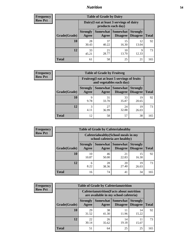## *Nutrition* **54**

| <b>Frequency</b><br>Row Pct |
|-----------------------------|
|                             |

| <b>Table of Grade by Dairy</b> |                          |                                                                 |                             |                                    |              |  |  |  |
|--------------------------------|--------------------------|-----------------------------------------------------------------|-----------------------------|------------------------------------|--------------|--|--|--|
|                                |                          | Dairy (I eat at least 3 servings of dairy<br>products each day) |                             |                                    |              |  |  |  |
| Grade(Grade)                   | <b>Strongly</b><br>Agree | Somewhat  <br>Agree                                             | <b>Somewhat</b><br>Disagree | <b>Strongly</b><br><b>Disagree</b> | <b>Total</b> |  |  |  |
| <b>10</b>                      | 28<br>30.43              | 37<br>40.22                                                     | 15<br>16.30                 | 12<br>13.04                        | 92           |  |  |  |
| 12                             | 33<br>45.21              | 21<br>28.77                                                     | 10<br>13.70                 | 9<br>12.33                         | 73           |  |  |  |
| <b>Total</b>                   | 61                       | 58                                                              | 25                          | 21                                 | 165          |  |  |  |

| <b>Frequency</b> |
|------------------|
| <b>Row Pct</b>   |

| $\mathbf{y}$ | <b>Table of Grade by Fruitveg</b>                                        |                                 |                     |                             |                                    |              |  |  |
|--------------|--------------------------------------------------------------------------|---------------------------------|---------------------|-----------------------------|------------------------------------|--------------|--|--|
|              | Fruitveg(I eat at least 5 servings of fruits<br>and vegetables each day) |                                 |                     |                             |                                    |              |  |  |
|              | Grade(Grade)                                                             | <b>Strongly</b><br><b>Agree</b> | Somewhat  <br>Agree | <b>Somewhat</b><br>Disagree | <b>Strongly</b><br><b>Disagree</b> | <b>Total</b> |  |  |
|              | 10                                                                       | 9<br>9.78                       | 31<br>33.70         | 33<br>35.87                 | 19<br>20.65                        | 92           |  |  |
|              | 12                                                                       | 3<br>4.11                       | 27<br>36.99         | 24<br>32.88                 | 19<br>26.03                        | 73           |  |  |
|              | <b>Total</b>                                                             | 12                              | 58                  | 57                          | 38                                 | 165          |  |  |

| <b>Frequency</b> | <b>Table of Grade by Cafeteriahealthy</b> |                                                                       |                            |                 |                                    |              |  |
|------------------|-------------------------------------------|-----------------------------------------------------------------------|----------------------------|-----------------|------------------------------------|--------------|--|
| <b>Row Pct</b>   |                                           | Cafeteriahealthy (School meals in my<br>school cafeteria are healthy) |                            |                 |                                    |              |  |
|                  | Grade(Grade)                              | <b>Strongly</b><br>Agree                                              | Somewhat Somewhat<br>Agree | <b>Disagree</b> | <b>Strongly</b><br><b>Disagree</b> | <b>Total</b> |  |
|                  | 10                                        | 10<br>10.87                                                           | 46<br>50.00                | 21<br>22.83     | 15<br>16.30                        | 92           |  |
|                  | 12                                        | 6<br>8.22                                                             | 28<br>38.36                | 20<br>27.40     | 19<br>26.03                        | 73           |  |
|                  | Total                                     | 16                                                                    | 74                         | 41              | 34                                 | 165          |  |

| <b>Frequency</b> |
|------------------|
| <b>Row Pct</b>   |

| <b>Table of Grade by Cafeterianutrition</b>                                               |                          |                     |                             |                                    |              |  |
|-------------------------------------------------------------------------------------------|--------------------------|---------------------|-----------------------------|------------------------------------|--------------|--|
| <b>Cafeterianutrition</b> (Facts about nutrition<br>are available in my school cafeteria) |                          |                     |                             |                                    |              |  |
| Grade(Grade)                                                                              | <b>Strongly</b><br>Agree | Somewhat  <br>Agree | <b>Somewhat</b><br>Disagree | <b>Strongly</b><br><b>Disagree</b> | <b>Total</b> |  |
| 10                                                                                        | 29<br>31.52              | 38<br>41.30         | 11<br>11.96                 | 14<br>15.22                        | 92           |  |
| 12                                                                                        | 22<br>30.14              | 26<br>35.62         | 14<br>19.18                 | 11<br>15.07                        | 73           |  |
| <b>Total</b>                                                                              | 51                       | 64                  | 25                          | 25                                 | 165          |  |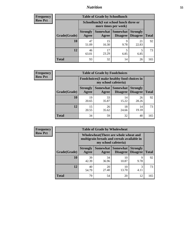## *Nutrition* **55**

| Frequency |
|-----------|
| Row Pct   |

| <b>Table of Grade by Schoollunch</b> |                          |                                                                 |                               |                                    |              |  |  |  |
|--------------------------------------|--------------------------|-----------------------------------------------------------------|-------------------------------|------------------------------------|--------------|--|--|--|
|                                      |                          | Schoollunch(I eat school lunch three or<br>more times per week) |                               |                                    |              |  |  |  |
| Grade(Grade)                         | <b>Strongly</b><br>Agree | Agree                                                           | Somewhat Somewhat<br>Disagree | <b>Strongly</b><br><b>Disagree</b> | <b>Total</b> |  |  |  |
| 10                                   | 47<br>51.09              | 15<br>16.30                                                     | q<br>9.78                     | 21<br>22.83                        | 92           |  |  |  |
| 12                                   | 46<br>63.01              | 17<br>23.29                                                     | 5<br>6.85                     | 5<br>6.85                          | 73           |  |  |  |
| <b>Total</b>                         | 93                       | 32                                                              | 14                            | 26                                 | 165          |  |  |  |

| <b>Frequency</b> |  |
|------------------|--|
| <b>Row Pct</b>   |  |

| <b>Table of Grade by Foodchoices</b>                                |                          |             |                                      |                                    |              |  |  |
|---------------------------------------------------------------------|--------------------------|-------------|--------------------------------------|------------------------------------|--------------|--|--|
| Foodchoices (I make healthy food choices in<br>my school cafeteria) |                          |             |                                      |                                    |              |  |  |
| Grade(Grade)                                                        | <b>Strongly</b><br>Agree | Agree       | <b>Somewhat Somewhat</b><br>Disagree | <b>Strongly</b><br><b>Disagree</b> | <b>Total</b> |  |  |
| 10                                                                  | 19<br>20.65              | 33<br>35.87 | 14<br>15.22                          | 26<br>28.26                        | 92           |  |  |
| 12                                                                  | 15<br>20.55              | 26<br>35.62 | 18<br>24.66                          | 14<br>19.18                        | 73           |  |  |
| Total                                                               | 34                       | 59          | 32                                   | 40                                 | 165          |  |  |

| Frequency      |
|----------------|
| <b>Row Pct</b> |

F

| <b>Table of Grade by Wholewheat</b> |                          |                                                                                                             |                             |                                    |              |  |
|-------------------------------------|--------------------------|-------------------------------------------------------------------------------------------------------------|-----------------------------|------------------------------------|--------------|--|
|                                     |                          | Wholewheat (There are whole wheat and<br>multigrain breads and cereals available in<br>my school cafeteria) |                             |                                    |              |  |
| Grade(Grade)                        | <b>Strongly</b><br>Agree | Somewhat  <br>Agree                                                                                         | Somewhat<br><b>Disagree</b> | <b>Strongly</b><br><b>Disagree</b> | <b>Total</b> |  |
| <b>10</b>                           | 39<br>42.39              | 34<br>36.96                                                                                                 | 10<br>10.87                 | 9<br>9.78                          | 92           |  |
| 12                                  | 40<br>54.79              | 20<br>27.40                                                                                                 | 10<br>13.70                 | 3<br>4.11                          | 73           |  |
| Total                               | 79                       | 54                                                                                                          | 20                          | 12                                 | 165          |  |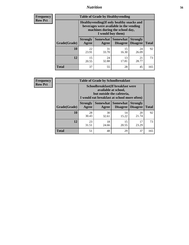## *Nutrition* **56**

**Frequency Row Pct**

| <b>Table of Grade by Healthyvending</b> |                                                                                                                                               |                          |                                    |                                    |              |  |
|-----------------------------------------|-----------------------------------------------------------------------------------------------------------------------------------------------|--------------------------|------------------------------------|------------------------------------|--------------|--|
|                                         | Healthyvending (If only healthy snacks and<br>beverages were available in the vending<br>machines during the school day,<br>I would buy them) |                          |                                    |                                    |              |  |
| Grade(Grade)                            | <b>Strongly</b><br>Agree                                                                                                                      | <b>Somewhat</b><br>Agree | <b>Somewhat</b><br><b>Disagree</b> | <b>Strongly</b><br><b>Disagree</b> | <b>Total</b> |  |
| 10                                      | 22<br>23.91                                                                                                                                   | 31<br>33.70              | 15<br>16.30                        | 24<br>26.09                        | 92           |  |
| 12                                      | 15<br>20.55                                                                                                                                   | 24<br>32.88              | 13<br>17.81                        | 21<br>28.77                        | 73           |  |
| <b>Total</b>                            | 37                                                                                                                                            | 55                       | 28                                 | 45                                 | 165          |  |

**Frequency Row Pct**

| <b>Table of Grade by Schoolbreakfast</b> |                                                                                                                                         |             |                                 |                                    |              |  |
|------------------------------------------|-----------------------------------------------------------------------------------------------------------------------------------------|-------------|---------------------------------|------------------------------------|--------------|--|
|                                          | Schoolbreakfast (If breakfast were<br>available at school,<br>but outside the cafeteria,<br>I would eat breakfast at school more often) |             |                                 |                                    |              |  |
| Grade(Grade)                             | <b>Strongly</b><br>Agree                                                                                                                | Agree       | Somewhat   Somewhat<br>Disagree | <b>Strongly</b><br><b>Disagree</b> | <b>Total</b> |  |
| <b>10</b>                                | 28<br>30.43                                                                                                                             | 30<br>32.61 | 14<br>15.22                     | 20<br>21.74                        | 92           |  |
| 12                                       | 23<br>31.51                                                                                                                             | 18<br>24.66 | 15<br>20.55                     | 17<br>23.29                        | 73           |  |
| <b>Total</b>                             | 51                                                                                                                                      | 48          | 29                              | 37                                 | 165          |  |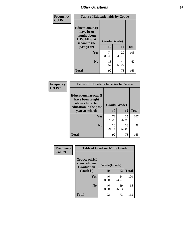| Frequency<br><b>Col Pct</b> | <b>Table of Educationaids by Grade</b>                                                                    |                    |             |              |
|-----------------------------|-----------------------------------------------------------------------------------------------------------|--------------------|-------------|--------------|
|                             | <b>Educationaids</b> (I<br>have been<br>taught about<br><b>HIV/AIDS</b> at<br>school in the<br>past year) | Grade(Grade)<br>10 | 12          | <b>Total</b> |
|                             |                                                                                                           |                    |             |              |
|                             | Yes                                                                                                       | 74<br>80.43        | 29<br>39.73 | 103          |
|                             | N <sub>0</sub>                                                                                            | 18<br>19.57        | 44<br>60.27 | 62           |
|                             | <b>Total</b>                                                                                              | 92                 | 73          | 165          |

| Frequency      | <b>Table of Educationcharacter by Grade</b>                         |              |             |              |
|----------------|---------------------------------------------------------------------|--------------|-------------|--------------|
| <b>Col Pct</b> | <b>Educationcharacter(I)</b><br>have been taught<br>about character |              |             |              |
|                | education in the past                                               | Grade(Grade) |             |              |
|                | year at school)                                                     | 10           | 12          | <b>Total</b> |
|                | Yes                                                                 | 72<br>78.26  | 35<br>47.95 | 107          |
|                | N <sub>0</sub>                                                      | 20<br>21.74  | 38<br>52.05 | 58           |
|                | <b>Total</b>                                                        | 92           | 73          | 165          |

| Frequency | <b>Table of Gradcoach1 by Grade</b> |              |             |              |
|-----------|-------------------------------------|--------------|-------------|--------------|
| Col Pct   | Gradcoach1(I<br>know who my         | Grade(Grade) |             |              |
|           | <b>Graduation</b><br>Coach is)      | 10           | 12          | <b>Total</b> |
|           | <b>Yes</b>                          | 46<br>50.00  | 54<br>73.97 | 100          |
|           | N <sub>0</sub>                      | 46<br>50.00  | 19<br>26.03 | 65           |
|           | <b>Total</b>                        | 92           | 73          | 165          |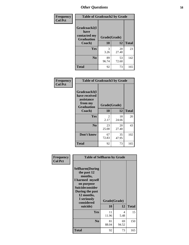| Frequency      | <b>Table of Gradcoach2 by Grade</b> |              |             |              |
|----------------|-------------------------------------|--------------|-------------|--------------|
| <b>Col Pct</b> |                                     |              |             |              |
|                | Gradcoach2(I<br>have                |              |             |              |
|                | contacted my<br><b>Graduation</b>   | Grade(Grade) |             |              |
|                | Coach)                              | 10           | 12          | <b>Total</b> |
|                | Yes                                 | 3<br>3.26    | 20<br>27.40 | 23           |
|                | N <sub>0</sub>                      | 89<br>96.74  | 53<br>72.60 | 142          |
|                | <b>Total</b>                        | 92           | 73          | 165          |

| <b>Frequency</b><br><b>Col Pct</b> |                                                                             | <b>Table of Gradcoach3 by Grade</b> |             |              |  |
|------------------------------------|-----------------------------------------------------------------------------|-------------------------------------|-------------|--------------|--|
|                                    | Gradcoach3(I<br>have received<br>assistance<br>from my<br><b>Graduation</b> | Grade(Grade)                        |             |              |  |
|                                    | Coach)                                                                      | 10                                  | 12          | <b>Total</b> |  |
|                                    | Yes                                                                         | 2<br>2.17                           | 18<br>24.66 | 20           |  |
|                                    | N <sub>0</sub>                                                              | 23<br>25.00                         | 20<br>27.40 | 43           |  |
|                                    | Don't know                                                                  | 67<br>72.83                         | 35<br>47.95 | 102          |  |
|                                    | <b>Total</b>                                                                | 92                                  | 73          | 165          |  |

| Frequency      | <b>Table of Selfharm by Grade</b>                                                                                                                                                      |                    |             |              |  |
|----------------|----------------------------------------------------------------------------------------------------------------------------------------------------------------------------------------|--------------------|-------------|--------------|--|
| <b>Col Pct</b> | <b>Selfharm</b> (During<br>the past 12<br>months,<br>I harmed myself<br>on purpose<br><b>Suicideconsider</b><br>During the past<br>12 months,<br>I seriously<br>considered<br>suicide) | Grade(Grade)<br>10 | 12          | <b>Total</b> |  |
|                | Yes                                                                                                                                                                                    | 11<br>11.96        | 4<br>5.48   | 15           |  |
|                | N <sub>0</sub>                                                                                                                                                                         | 81<br>88.04        | 69<br>94.52 | 150          |  |
|                | <b>Total</b>                                                                                                                                                                           | 92                 | 73          | 165          |  |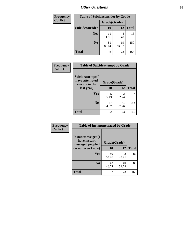| <b>Frequency</b> | <b>Table of Suicideconsider by Grade</b> |              |             |              |
|------------------|------------------------------------------|--------------|-------------|--------------|
| <b>Col Pct</b>   |                                          | Grade(Grade) |             |              |
|                  | Suicideconsider                          | <b>10</b>    | 12          | <b>Total</b> |
|                  | Yes                                      | 11<br>11.96  | 4<br>5.48   | 15           |
|                  | N <sub>0</sub>                           | 81<br>88.04  | 69<br>94.52 | 150          |
|                  | <b>Total</b>                             | 92           | 73          | 165          |

| Frequency      | <b>Table of Suicideattempt by Grade</b>              |              |                       |              |
|----------------|------------------------------------------------------|--------------|-----------------------|--------------|
| <b>Col Pct</b> | Suicideattempt(I<br>have attempted<br>suicide in the | Grade(Grade) |                       |              |
|                | last year)                                           | 10           | 12                    | <b>Total</b> |
|                | Yes                                                  | 5<br>5.43    | $\mathcal{D}$<br>2.74 | 7            |
|                | N <sub>0</sub>                                       | 87<br>94.57  | 71<br>97.26           | 158          |
|                | <b>Total</b>                                         | 92           | 73                    | 165          |

| Frequency      | <b>Table of Instantmessaged by Grade</b>               |              |              |     |
|----------------|--------------------------------------------------------|--------------|--------------|-----|
| <b>Col Pct</b> | Instantmessaged(I<br>have instant<br>messaged people I | Grade(Grade) |              |     |
|                | do not even know)                                      | 10           | <b>Total</b> |     |
|                | Yes                                                    | 49<br>53.26  | 33<br>45.21  | 82  |
|                | N <sub>0</sub>                                         | 43<br>46.74  | 40<br>54.79  | 83  |
|                | <b>Total</b>                                           | 92           | 73           | 165 |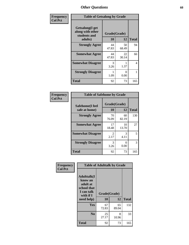| Frequency      | <b>Table of Getsalong by Grade</b>                                                |             |             |                               |  |  |
|----------------|-----------------------------------------------------------------------------------|-------------|-------------|-------------------------------|--|--|
| <b>Col Pct</b> | <b>Getsalong</b> (I get<br>along with other<br>Grade(Grade)<br>students and<br>10 |             |             |                               |  |  |
|                | adults)                                                                           |             | 12          | <b>Total</b><br>94<br>66<br>4 |  |  |
|                | <b>Strongly Agree</b>                                                             | 44<br>47.83 | 50<br>68.49 |                               |  |  |
|                | <b>Somewhat Agree</b>                                                             | 44<br>47.83 | 22<br>30.14 |                               |  |  |
|                | <b>Somewhat Disagree</b>                                                          | 3<br>3.26   | 1.37        |                               |  |  |
|                | <b>Strongly Disagree</b>                                                          | 1.09        | 0<br>0.00   |                               |  |  |
|                | <b>Total</b>                                                                      | 92          | 73          | 165                           |  |  |

| Frequency<br><b>Col Pct</b> | <b>Table of Safehome by Grade</b> |                           |             |              |  |  |  |
|-----------------------------|-----------------------------------|---------------------------|-------------|--------------|--|--|--|
|                             | Safehome(I feel<br>safe at home)  | Grade(Grade)<br><b>10</b> | 12          | <b>Total</b> |  |  |  |
|                             | <b>Strongly Agree</b>             | 70<br>76.09               | 60<br>82.19 | 130          |  |  |  |
|                             | <b>Somewhat Agree</b>             | 17<br>18.48               | 10<br>13.70 | 27           |  |  |  |
|                             | <b>Somewhat Disagree</b>          | 2<br>2.17                 | 3<br>4.11   | 5            |  |  |  |
|                             | <b>Strongly Disagree</b>          | 3<br>3.26                 | 0<br>0.00   | 3            |  |  |  |
|                             | <b>Total</b>                      | 92                        | 73          | 165          |  |  |  |

| Frequency      |                                                                                      | <b>Table of Adulttalk by Grade</b> |             |              |  |  |  |
|----------------|--------------------------------------------------------------------------------------|------------------------------------|-------------|--------------|--|--|--|
| <b>Col Pct</b> | <b>Adulttalk</b> (I<br>know an<br>adult at<br>school that<br>I can talk<br>with if I | Grade(Grade)                       |             |              |  |  |  |
|                | need help)                                                                           | 10                                 | 12          | <b>Total</b> |  |  |  |
|                | <b>Yes</b>                                                                           | 67<br>72.83                        | 65<br>89.04 | 132          |  |  |  |
|                | N <sub>0</sub>                                                                       | 25<br>27.17                        | 8<br>10.96  | 33           |  |  |  |
|                | <b>Total</b>                                                                         | 92                                 | 73          | 165          |  |  |  |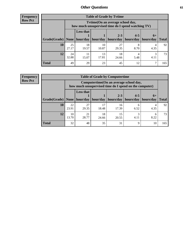**Frequency Row Pct**

| <b>Table of Grade by Tvtime</b> |             |                                                                                                                            |             |             |      |      |     |  |  |
|---------------------------------|-------------|----------------------------------------------------------------------------------------------------------------------------|-------------|-------------|------|------|-----|--|--|
|                                 |             | Tytime (On an average school day,<br>how much unsupervised time do I spend watching TV)                                    |             |             |      |      |     |  |  |
| Grade(Grade)   None             |             | <b>Less that</b><br>$2 - 3$<br>$4 - 5$<br>$6+$<br>hour/day<br>hour/day   hours/day   hours/day   hours/day<br><b>Total</b> |             |             |      |      |     |  |  |
| 10                              | 25<br>27.17 | 18<br>19.57                                                                                                                | 10<br>10.87 | 27<br>29.35 | 8.70 | 4.35 | 92  |  |  |
| 12                              | 24<br>32.88 | 11<br>15.07                                                                                                                | 13<br>17.81 | 18<br>24.66 | 5.48 | 4.11 | 73  |  |  |
| <b>Total</b>                    | 49          | 29                                                                                                                         | 23          | 45          | 12   |      | 165 |  |  |

**Frequency Row Pct**

| <b>Table of Grade by Computertime</b> |             |                                                                                                                               |             |             |           |           |     |  |  |
|---------------------------------------|-------------|-------------------------------------------------------------------------------------------------------------------------------|-------------|-------------|-----------|-----------|-----|--|--|
|                                       |             | Computertime (On an average school day,<br>how much unsupervised time do I spend on the computer)                             |             |             |           |           |     |  |  |
| Grade(Grade)                          | None        | <b>Less that</b><br>$4 - 5$<br>$2 - 3$<br>$6+$<br>hour/day<br>hours/day<br>hour/day<br>hours/day<br>hours/day<br><b>Total</b> |             |             |           |           |     |  |  |
| 10                                    | 22<br>23.91 | 27<br>29.35                                                                                                                   | 17<br>18.48 | 16<br>17.39 | 6<br>6.52 | 4<br>4.35 | 92  |  |  |
| 12                                    | 10<br>13.70 | 21<br>18<br>3<br>15<br>h<br>28.77<br>8.22<br>4.11<br>20.55<br>24.66                                                           |             |             |           |           |     |  |  |
| <b>Total</b>                          | 32          | 48                                                                                                                            | 35          | 31          | 9         | 10        | 165 |  |  |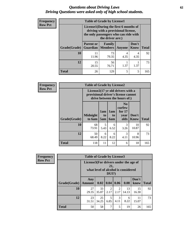#### *Questions about Driving Laws* **62** *Driving Questions were asked only of high school students.*

| <b>Frequency</b> | <b>Table of Grade by License1</b> |                                                                                                                                           |             |               |               |              |  |  |  |
|------------------|-----------------------------------|-------------------------------------------------------------------------------------------------------------------------------------------|-------------|---------------|---------------|--------------|--|--|--|
| <b>Row Pct</b>   |                                   | License1(During the first 6 months of<br>driving with a provisional license,<br>the only passengers who can ride with<br>the driver are:) |             |               |               |              |  |  |  |
|                  | Grade(Grade)                      | <b>Parent or</b><br><b>Guardian   Members</b>                                                                                             | Family      | <b>Anyone</b> | Don't<br>Know | <b>Total</b> |  |  |  |
|                  | 10                                | 11<br>11.96                                                                                                                               | 73<br>79.35 | 4<br>4.35     | 4<br>4.35     | 92           |  |  |  |
|                  | 12                                | 15<br>20.55                                                                                                                               | 56<br>76.71 | 1.37          | 1.37          | 73           |  |  |  |
|                  | <b>Total</b>                      | 26                                                                                                                                        | 129         | 5             | 5             | 165          |  |  |  |

| Frequency      | <b>Table of Grade by License2</b> |                                                                                                          |                  |                  |                                                      |                      |              |  |
|----------------|-----------------------------------|----------------------------------------------------------------------------------------------------------|------------------|------------------|------------------------------------------------------|----------------------|--------------|--|
| <b>Row Pct</b> |                                   | License2(17 yr old drivers with a<br>provisional driver's license cannot<br>drive between the hours of:) |                  |                  |                                                      |                      |              |  |
|                | Grade(Grade)                      | <b>Midnight</b><br>to 6am                                                                                | 1am<br>to<br>5am | 1am<br>to<br>6am | N <sub>0</sub><br>curfew<br>for $17$<br>year<br>olds | Don't<br><b>Know</b> | <b>Total</b> |  |
|                | 10                                | 68<br>73.91                                                                                              | 5<br>5.43        | 6<br>6.52        | 3<br>3.26                                            | 10<br>10.87          | 92           |  |
|                | 12                                | 50<br>68.49                                                                                              | 6<br>8.22        | 6<br>8.22        | 3<br>4.11                                            | 8<br>10.96           | 73           |  |
|                | <b>Total</b>                      | 118                                                                                                      | 11               | 12               | 6                                                    | 18                   | 165          |  |

| Frequency      |              | <b>Table of Grade by License3</b>                                                               |                  |                        |                        |             |               |              |  |  |
|----------------|--------------|-------------------------------------------------------------------------------------------------|------------------|------------------------|------------------------|-------------|---------------|--------------|--|--|
| <b>Row Pct</b> |              | License3(For drivers under the age of<br>21,<br>what level of alcohol is considered<br>$DUI$ ?) |                  |                        |                        |             |               |              |  |  |
|                | Grade(Grade) | Any<br><b>Amount</b>                                                                            | $0.02 \mid 0.04$ |                        | 0.06                   | 0.08        | Don't<br>know | <b>Total</b> |  |  |
|                | 10           | 27<br>29.35                                                                                     | 33<br>35.87      | $\overline{2}$<br>2.17 | $\mathfrak{D}$<br>2.17 | 13<br>14.13 | 15<br>16.30   | 92           |  |  |
|                | 12           | 23<br>31.51                                                                                     | 25<br>34.25      | 5<br>6.85              | $\mathcal{R}$<br>4.11  | 6<br>8.22   | 11<br>15.07   | 73           |  |  |
|                | <b>Total</b> | 50                                                                                              | 58               | 7                      | 5                      | 19          | 26            | 165          |  |  |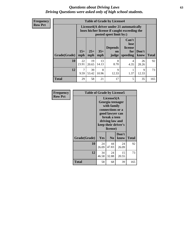#### *Questions about Driving Laws* **63** *Driving Questions were asked only of high school students.*

**Frequency Row Pct**

| <b>Table of Grade by License4</b> |                        |                                                                                                                                                                                                                                                                                |             |           |           |             |     |  |
|-----------------------------------|------------------------|--------------------------------------------------------------------------------------------------------------------------------------------------------------------------------------------------------------------------------------------------------------------------------|-------------|-----------|-----------|-------------|-----|--|
|                                   |                        | License4(A driver under 21 automatically<br>loses his/her license if caught exceeding the<br>posted speet limit by:)<br>Can't<br>lose<br>license<br><b>Depends</b><br>$15+$<br>$25+$<br>$35+$<br>Don't<br>for<br>on<br><b>Total</b><br>speeding<br>mph<br>mph<br>know<br>judge |             |           |           |             |     |  |
| Grade(Grade)                      | mph                    |                                                                                                                                                                                                                                                                                |             |           |           |             |     |  |
| 10                                | 22<br>23.91            | 19<br>20.65                                                                                                                                                                                                                                                                    | 13<br>14.13 | 8<br>8.70 | 4<br>4.35 | 26<br>28.26 | 92  |  |
| 12                                | $\overline{7}$<br>9.59 | 39<br>8<br>$\mathbf Q$<br>9<br>53.42<br>10.96<br>12.33<br>1.37<br>12.33                                                                                                                                                                                                        |             |           |           |             |     |  |
| <b>Total</b>                      | 29                     | 58                                                                                                                                                                                                                                                                             | 21          | 17        | 5         | 35          | 165 |  |

| Frequency<br><b>Row Pct</b> | <b>Table of Grade by License5</b> |                                                                                                                                                             |                |               |              |
|-----------------------------|-----------------------------------|-------------------------------------------------------------------------------------------------------------------------------------------------------------|----------------|---------------|--------------|
|                             |                                   | License5(A)<br>Georgia teenager<br>with family<br>connections or a<br>good lawyer can<br>break a teen<br>driving law and<br>keep their driver's<br>license) |                |               |              |
|                             | Grade(Grade)                      | Yes                                                                                                                                                         | N <sub>0</sub> | Don't<br>know | <b>Total</b> |
|                             | 10                                | 24<br>26.09                                                                                                                                                 | 44<br>47.83    | 24<br>26.09   | 92           |
|                             | 12                                | 34<br>46.58                                                                                                                                                 | 24<br>32.88    | 15<br>20.55   | 73           |
|                             | <b>Total</b>                      | 58                                                                                                                                                          | 68             | 39            | 165          |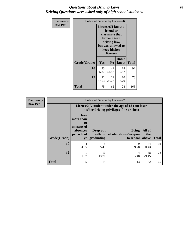#### *Questions about Driving Laws* **64** *Driving Questions were asked only of high school students.*

| <b>Frequency</b> | <b>Table of Grade by License6</b> |             |                                                                                                                                                 |               |              |
|------------------|-----------------------------------|-------------|-------------------------------------------------------------------------------------------------------------------------------------------------|---------------|--------------|
| <b>Row Pct</b>   |                                   |             | License <sub>6</sub> (I know a<br>friend or<br>classmate that<br>broke a teen<br>driving law,<br>but was allowed to<br>keep his/her<br>license) |               |              |
|                  | Grade(Grade)                      | <b>Yes</b>  | N <sub>0</sub>                                                                                                                                  | Don't<br>know | <b>Total</b> |
|                  | 10                                | 33<br>35.87 | 41<br>44.57                                                                                                                                     | 18<br>19.57   | 92           |
|                  | 12                                | 42<br>57.53 | 21<br>28.77                                                                                                                                     | 10<br>13.70   | 73           |
|                  | <b>Total</b>                      | 75          | 62                                                                                                                                              | 28            | 165          |

| <b>Frequency</b> | <b>Table of Grade by License7</b> |                                                                             |                                   |                                                                                               |                        |              |
|------------------|-----------------------------------|-----------------------------------------------------------------------------|-----------------------------------|-----------------------------------------------------------------------------------------------|------------------------|--------------|
| <b>Row Pct</b>   |                                   |                                                                             |                                   | License7(A student under the age of 18 cam loser<br>his/her driving privileges if he or she:) |                        |              |
|                  | Grade(Grade)                      | <b>Have</b><br>more than<br>10<br>unexcused<br>absences<br>per school<br>yr | Drop out<br>without<br>graduating | Bring<br>alcohol/drugs/weapon<br>to school                                                    | All of<br>the<br>above | <b>Total</b> |
|                  | 10                                | 4<br>4.35                                                                   | 5<br>5.43                         | 9<br>9.78                                                                                     | 74<br>80.43            | 92           |
|                  | 12                                | 1.37                                                                        | 10<br>13.70                       | 4<br>5.48                                                                                     | 58<br>79.45            | 73           |
|                  | <b>Total</b>                      | 5                                                                           | 15                                | 13                                                                                            | 132                    | 165          |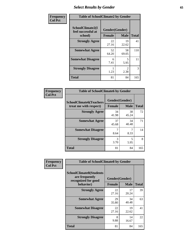# *Select Results by Gender* **65**

| Frequency      | <b>Table of SchoolClimate2 by Gender</b> |                |                                     |              |
|----------------|------------------------------------------|----------------|-------------------------------------|--------------|
| <b>Col Pct</b> | SchoolClimate2(I<br>feel successful at   | Gender(Gender) |                                     |              |
|                | school)                                  | <b>Female</b>  | <b>Male</b>                         | <b>Total</b> |
|                | <b>Strongly Agree</b>                    | 22<br>27.16    | 19<br>22.62                         | 41           |
|                | <b>Somewhat Agree</b>                    | 52<br>64.20    | 58<br>69.05                         | 110          |
|                | <b>Somewhat Disagree</b>                 | 6<br>7.41      | 5<br>5.95                           | 11           |
|                | <b>Strongly Disagree</b>                 | 1.23           | $\mathcal{D}_{\mathcal{L}}$<br>2.38 | 3            |
|                | <b>Total</b>                             | 81             | 84                                  | 165          |

| Frequency      | <b>Table of SchoolClimate6 by Gender</b>                 |                                 |             |              |  |  |
|----------------|----------------------------------------------------------|---------------------------------|-------------|--------------|--|--|
| <b>Col Pct</b> | <b>SchoolClimate6(Teachers</b><br>treat me with respect) | Gender(Gender)<br><b>Female</b> | <b>Male</b> | <b>Total</b> |  |  |
|                | <b>Strongly Agree</b>                                    | 34<br>41.98                     | 38<br>45.24 | 72           |  |  |
|                | <b>Somewhat Agree</b>                                    | 37<br>45.68                     | 34<br>40.48 | 71           |  |  |
|                | <b>Somewhat Disagree</b>                                 | 7<br>8.64                       | 8.33        | 14           |  |  |
|                | <b>Strongly Disagree</b>                                 | 3<br>3.70                       | 5<br>5.95   | 8            |  |  |
|                | <b>Total</b>                                             | 81                              | 84          | 165          |  |  |

| <b>Frequency</b> | <b>Table of SchoolClimate8 by Gender</b>                                             |                                 |              |     |
|------------------|--------------------------------------------------------------------------------------|---------------------------------|--------------|-----|
| <b>Col Pct</b>   | <b>SchoolClimate8(Students</b><br>are frequently<br>recognized for good<br>behavior) | Gender(Gender)<br><b>Female</b> | <b>Total</b> |     |
|                  |                                                                                      |                                 | <b>Male</b>  |     |
|                  | <b>Strongly Agree</b>                                                                | 22<br>27.16                     | 17<br>20.24  | 39  |
|                  | <b>Somewhat Agree</b>                                                                | 29<br>35.80                     | 34<br>40.48  | 63  |
|                  | <b>Somewhat Disagree</b>                                                             | 22<br>27.16                     | 19<br>22.62  | 41  |
|                  | <b>Strongly Disagree</b>                                                             | 8<br>9.88                       | 14<br>16.67  | 22  |
|                  | Total                                                                                | 81                              | 84           | 165 |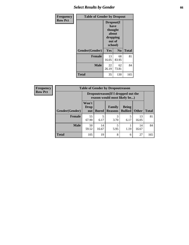# *Select Results by Gender* **66**

| Frequency      | <b>Table of Gender by Dropout</b> |                                                                        |                |              |
|----------------|-----------------------------------|------------------------------------------------------------------------|----------------|--------------|
| <b>Row Pct</b> |                                   | Dropout(I<br>have<br>thought<br>about<br>dropping<br>out of<br>school) |                |              |
|                | Gender(Gender)                    | Yes                                                                    | N <sub>0</sub> | <b>Total</b> |
|                | <b>Female</b>                     | 13<br>16.05                                                            | 68<br>83.95    | 81           |
|                | <b>Male</b>                       | 22<br>26.19                                                            | 62<br>73.81    | 84           |
|                | <b>Total</b>                      | 35                                                                     | 130            | 165          |

| <b>Frequency</b> | <b>Table of Gender by Dropoutreason</b> |                                                                     |              |                                 |                                |              |              |
|------------------|-----------------------------------------|---------------------------------------------------------------------|--------------|---------------------------------|--------------------------------|--------------|--------------|
| <b>Row Pct</b>   |                                         | Dropoutreason (If I dropped out the<br>reason would most likely be) |              |                                 |                                |              |              |
|                  | <b>Gender</b> (Gender)                  | Won't<br><b>Drop</b><br>out                                         | <b>Bored</b> | <b>Family</b><br><b>Reasons</b> | <b>Being</b><br><b>Bullied</b> | <b>Other</b> | <b>Total</b> |
|                  | <b>Female</b>                           | 55<br>67.90                                                         | 5<br>6.17    | 3<br>3.70                       | 6.17                           | 13<br>16.05  | 81           |
|                  | <b>Male</b>                             | 50<br>59.52                                                         | 14<br>16.67  | 5<br>5.95                       | 1.19                           | 14<br>16.67  | 84           |
|                  | <b>Total</b>                            | 105                                                                 | 19           | 8                               | 6                              | 27           | 165          |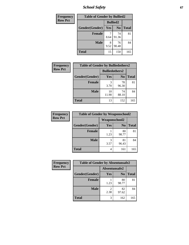*School Safety* **67**

| <b>Frequency</b> | <b>Table of Gender by Bullied2</b> |                 |                |              |  |
|------------------|------------------------------------|-----------------|----------------|--------------|--|
| <b>Row Pct</b>   |                                    | <b>Bullied2</b> |                |              |  |
|                  | Gender(Gender)                     | <b>Yes</b>      | N <sub>0</sub> | <b>Total</b> |  |
|                  | <b>Female</b>                      | 8.64            | 74<br>91.36    | 81           |  |
|                  | <b>Male</b>                        | 8<br>9.52       | 76<br>90.48    | 84           |  |
|                  | <b>Total</b>                       | 15              | 150            | 165          |  |

| <b>Frequency</b> | <b>Table of Gender by Bulliedothers2</b> |                       |                |              |
|------------------|------------------------------------------|-----------------------|----------------|--------------|
| <b>Row Pct</b>   |                                          | <b>Bulliedothers2</b> |                |              |
|                  | Gender(Gender)                           | Yes                   | N <sub>0</sub> | <b>Total</b> |
|                  | <b>Female</b>                            | 3.70                  | 78<br>96.30    | 81           |
|                  | <b>Male</b>                              | 10<br>11.90           | 74<br>88.10    | 84           |
|                  | <b>Total</b>                             | 13                    | 152            | 165          |

| Frequency      |                |                      | <b>Table of Gender by Weaponschool2</b> |              |  |
|----------------|----------------|----------------------|-----------------------------------------|--------------|--|
| <b>Row Pct</b> |                | <b>Weaponschool2</b> |                                         |              |  |
|                | Gender(Gender) | Yes                  | N <sub>0</sub>                          | <b>Total</b> |  |
|                | <b>Female</b>  | 1.23                 | 80<br>98.77                             | 81           |  |
|                | <b>Male</b>    | 3<br>3.57            | 81<br>96.43                             | 84           |  |
|                | <b>Total</b>   | 4                    | 161                                     | 165          |  |

| Frequency      | <b>Table of Gender by Absentunsafe2</b> |               |                |              |
|----------------|-----------------------------------------|---------------|----------------|--------------|
| <b>Row Pct</b> |                                         | Absentunsafe2 |                |              |
|                | Gender(Gender)                          | Yes           | N <sub>0</sub> | <b>Total</b> |
|                | <b>Female</b>                           | 1.23          | 80<br>98.77    | 81           |
|                | <b>Male</b>                             | 2.38          | 82<br>97.62    | 84           |
|                | <b>Total</b>                            | 3             | 162            | 165          |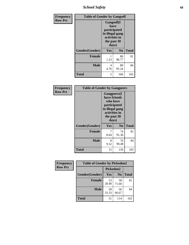*School Safety* **68**

| Frequency      | <b>Table of Gender by Gangself</b> |                                                                                                |                |              |
|----------------|------------------------------------|------------------------------------------------------------------------------------------------|----------------|--------------|
| <b>Row Pct</b> |                                    | Gangself(I<br>have<br>participated<br>in illegal gang<br>activities in<br>the past 30<br>days) |                |              |
|                | Gender(Gender)                     | Yes                                                                                            | N <sub>0</sub> | <b>Total</b> |
|                | <b>Female</b>                      | 1.23                                                                                           | 80<br>98.77    | 81           |
|                | <b>Male</b>                        | 4<br>4.76                                                                                      | 80<br>95.24    | 84           |
|                | <b>Total</b>                       | 5                                                                                              | 160            | 165          |

| Frequency      | <b>Table of Gender by Gangpeers</b> |                                                                                          |                                 |              |
|----------------|-------------------------------------|------------------------------------------------------------------------------------------|---------------------------------|--------------|
| <b>Row Pct</b> |                                     | <b>Gangpeers</b> (I<br>who have<br>participated<br>activities in<br>the past 30<br>days) | have friends<br>in illegal gang |              |
|                | Gender(Gender)                      | Yes                                                                                      | N <sub>0</sub>                  | <b>Total</b> |
|                | <b>Female</b>                       | 7<br>8.64                                                                                | 74<br>91.36                     | 81           |
|                | <b>Male</b>                         | 8<br>9.52                                                                                | 76<br>90.48                     | 84           |
|                | <b>Total</b>                        | 15                                                                                       | 150                             | 165          |

| Frequency      | <b>Table of Gender by Pickedon2</b> |                  |                |              |
|----------------|-------------------------------------|------------------|----------------|--------------|
| <b>Row Pct</b> |                                     | <b>Pickedon2</b> |                |              |
|                | Gender(Gender)                      | Yes              | N <sub>0</sub> | <b>Total</b> |
|                | <b>Female</b>                       | 23<br>28.40      | 58<br>71.60    | 81           |
|                | <b>Male</b>                         | 28<br>33.33      | 56<br>66.67    | 84           |
|                | <b>Total</b>                        | 51               | 114            | 165          |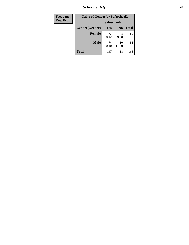*School Safety* **69**

| Frequency      | <b>Table of Gender by Safeschool2</b> |             |                |              |
|----------------|---------------------------------------|-------------|----------------|--------------|
| <b>Row Pct</b> |                                       | Safeschool2 |                |              |
|                | Gender(Gender)                        | Yes         | N <sub>0</sub> | <b>Total</b> |
|                | <b>Female</b>                         | 73<br>90.12 | 8<br>9.88      | 81           |
|                | <b>Male</b>                           | 74<br>88.10 | 10<br>11.90    | 84           |
|                | <b>Total</b>                          | 147         | 18             | 165          |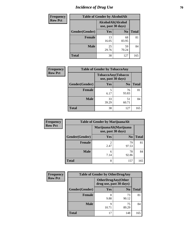# *Incidence of Drug Use* **70**

| <b>Frequency</b> | <b>Table of Gender by AlcoholAlt</b> |                                          |                |              |  |
|------------------|--------------------------------------|------------------------------------------|----------------|--------------|--|
| <b>Row Pct</b>   |                                      | AlcoholAlt(Alcohol<br>use, past 30 days) |                |              |  |
|                  | Gender(Gender)                       | Yes                                      | N <sub>0</sub> | <b>Total</b> |  |
|                  | <b>Female</b>                        | 13<br>16.05                              | 68<br>83.95    | 81           |  |
|                  | <b>Male</b>                          | 25<br>29.76                              | 59<br>70.24    | 84           |  |
|                  | <b>Total</b>                         | 38                                       | 127            | 165          |  |

| Frequency      | <b>Table of Gender by TobaccoAny</b> |                                          |                |              |  |
|----------------|--------------------------------------|------------------------------------------|----------------|--------------|--|
| <b>Row Pct</b> |                                      | TobaccoAny(Tobacco<br>use, past 30 days) |                |              |  |
|                | Gender(Gender)                       | Yes                                      | N <sub>0</sub> | <b>Total</b> |  |
|                | <b>Female</b>                        | 6.17                                     | 76<br>93.83    | 81           |  |
|                | <b>Male</b>                          | 33<br>39.29                              | 51<br>60.71    | 84           |  |
|                | <b>Total</b>                         | 38                                       | 127            | 165          |  |

| <b>Frequency</b> |                | <b>Table of Gender by MarijuanaAlt</b> |                                              |              |
|------------------|----------------|----------------------------------------|----------------------------------------------|--------------|
| <b>Row Pct</b>   |                |                                        | MarijuanaAlt(Marijuana<br>use, past 30 days) |              |
|                  | Gender(Gender) | <b>Yes</b>                             | N <sub>0</sub>                               | <b>Total</b> |
|                  | <b>Female</b>  | 2<br>2.47                              | 79<br>97.53                                  | 81           |
|                  | <b>Male</b>    | 6<br>7.14                              | 78<br>92.86                                  | 84           |
|                  | <b>Total</b>   | 8                                      | 157                                          | 165          |

| <b>Frequency</b> | <b>Table of Gender by OtherDrugAny</b> |                                                      |                |              |
|------------------|----------------------------------------|------------------------------------------------------|----------------|--------------|
| <b>Row Pct</b>   |                                        | <b>OtherDrugAny(Other</b><br>drug use, past 30 days) |                |              |
|                  | Gender(Gender)                         | <b>Yes</b>                                           | N <sub>0</sub> | <b>Total</b> |
|                  | <b>Female</b>                          | 8<br>9.88                                            | 73<br>90.12    | 81           |
|                  | <b>Male</b>                            | 9<br>10.71                                           | 75<br>89.29    | 84           |
|                  | <b>Total</b>                           | 17                                                   | 148            | 165          |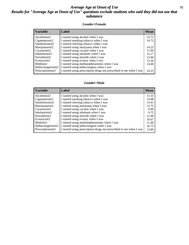#### *Average Age at Onset of Use* **71** *Results for "Average Age at Onset of Use" questions exclude students who said they did not use that substance*

#### **Gender=Female**

| <b>Variable</b>                 | <b>Label</b>                                                       | <b>Mean</b> |
|---------------------------------|--------------------------------------------------------------------|-------------|
| Alcoholinit2                    | I started using alcohol when I was                                 | 14.75       |
| Cigarettesinit2                 | I started smoking tobacco when I was                               | 14.73       |
| Smokelessinit2                  | I started chewing tobacco when I was                               |             |
| Marijuanainit2                  | I started using marijuana when I was                               | 14.25       |
| Cocaineinit2                    | I started using cocaine when I was                                 | 11.00       |
| Inhalantsinit2                  | I started using inhalants when I was                               | 13.17       |
| Steroidsinit2                   | I started using steroids when I was                                | 15.00       |
| Ecstasyinit2                    | I started using ecstasy when I was                                 | 13.50       |
| Methinit2                       | I started using methamphetamines when I was                        | 14.00       |
| Hallucinogensinit2              | I started using hallucinogens when I was                           |             |
| Prescription in it <sub>2</sub> | I started using prescription drugs not prescribed to me when I was | 14.23       |

#### **Gender=Male**

| <b>Variable</b>    | Label                                                              | <b>Mean</b> |
|--------------------|--------------------------------------------------------------------|-------------|
| Alcoholinit2       | I started using alcohol when I was                                 | 13.33       |
| Cigarettesinit2    | I started smoking tobacco when I was                               | 14.08       |
| Smokelessinit2     | I started chewing tobacco when I was                               | 13.43       |
| Marijuanainit2     | I started using marijuana when I was                               | 13.75       |
| Cocaineinit2       | I started using cocaine when I was                                 | 9.00        |
| Inhalantsinit2     | I started using inhalants when I was                               | 9.75        |
| Steroidsinit2      | I started using steroids when I was                                | 11.00       |
| Ecstasyinit2       | I started using ecstasy when I was                                 | 10.67       |
| Methinit2          | I started using methamphetamines when I was                        | 11.00       |
| Hallucinogensinit2 | I started using hallucinogens when I was                           | 10.75       |
| Prescriptioninit2  | I started using prescription drugs not prescribed to me when I was | 13.89       |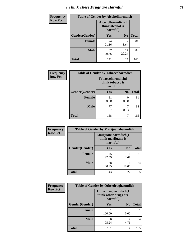# *I Think These Drugs are Harmful* **72**

| <b>Frequency</b> | <b>Table of Gender by Alcoholharmdich</b> |                                                   |                |              |
|------------------|-------------------------------------------|---------------------------------------------------|----------------|--------------|
| <b>Row Pct</b>   |                                           | Alcoholharmdich(I<br>think alcohol is<br>harmful) |                |              |
|                  | Gender(Gender)                            | <b>Yes</b>                                        | N <sub>0</sub> | <b>Total</b> |
|                  | <b>Female</b>                             | 74<br>91.36                                       | 8.64           | 81           |
|                  | <b>Male</b>                               | 67<br>79.76                                       | 17<br>20.24    | 84           |
|                  | <b>Total</b>                              | 141                                               | 24             | 165          |

| <b>Frequency</b> | <b>Table of Gender by Tobaccoharmdich</b> |                                                   |                       |              |
|------------------|-------------------------------------------|---------------------------------------------------|-----------------------|--------------|
| <b>Row Pct</b>   |                                           | Tobaccoharmdich(I<br>think tobacco is<br>harmful) |                       |              |
|                  | Gender(Gender)                            | Yes                                               | N <sub>0</sub>        | <b>Total</b> |
|                  | <b>Female</b>                             | 81<br>100.00                                      | $\mathcal{O}$<br>0.00 | 81           |
|                  | <b>Male</b>                               | 77<br>91.67                                       | 7<br>8.33             | 84           |
|                  | <b>Total</b>                              | 158                                               | 7                     | 165          |

| Frequency      | <b>Table of Gender by Marijuanaharmdich</b> |                                |                     |              |  |
|----------------|---------------------------------------------|--------------------------------|---------------------|--------------|--|
| <b>Row Pct</b> |                                             | think marijuana is<br>harmful) | Marijuanaharmdich(I |              |  |
|                | Gender(Gender)                              | <b>Yes</b>                     | N <sub>0</sub>      | <b>Total</b> |  |
|                | <b>Female</b>                               | 75<br>92.59                    | 6<br>7.41           | 81           |  |
|                | <b>Male</b>                                 | 68<br>80.95                    | 16<br>19.05         | 84           |  |
|                | <b>Total</b>                                | 143                            | 22                  | 165          |  |

| Frequency      | <b>Table of Gender by Otherdrugharmdich</b> |                                                          |                |              |
|----------------|---------------------------------------------|----------------------------------------------------------|----------------|--------------|
| <b>Row Pct</b> |                                             | Otherdrugharmdich(I<br>think other drugs are<br>harmful) |                |              |
|                | Gender(Gender)                              | <b>Yes</b>                                               | N <sub>0</sub> | <b>Total</b> |
|                | <b>Female</b>                               | 81<br>100.00                                             | 0<br>0.00      | 81           |
|                | <b>Male</b>                                 | 80<br>95.24                                              | 4<br>4.76      | 84           |
|                | <b>Total</b>                                | 161                                                      | 4              | 165          |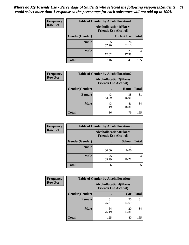| <b>Frequency</b> | <b>Table of Gender by Alcohollocation1</b> |                                                               |             |              |
|------------------|--------------------------------------------|---------------------------------------------------------------|-------------|--------------|
| <b>Row Pct</b>   |                                            | <b>Alcohollocation1(Places</b><br><b>Friends Use Alcohol)</b> |             |              |
|                  | <b>Gender</b> (Gender)                     |                                                               | Do Not Use  | <b>Total</b> |
|                  | <b>Female</b>                              | 55<br>67.90                                                   | 26<br>32.10 | 81           |
|                  | <b>Male</b>                                | 61<br>72.62                                                   | 23<br>27.38 | 84           |
|                  | <b>Total</b>                               | 116                                                           | 49          | 165          |

| <b>Frequency</b> | <b>Table of Gender by Alcohollocation2</b> |                                                               |             |              |
|------------------|--------------------------------------------|---------------------------------------------------------------|-------------|--------------|
| <b>Row Pct</b>   |                                            | <b>Alcohollocation2(Places</b><br><b>Friends Use Alcohol)</b> |             |              |
|                  | Gender(Gender)                             |                                                               | Home        | <b>Total</b> |
|                  | <b>Female</b>                              | 43<br>53.09                                                   | 38<br>46.91 | 81           |
|                  | <b>Male</b>                                | 43<br>51.19                                                   | 41<br>48.81 | 84           |
|                  | <b>Total</b>                               | 86                                                            | 79          | 165          |

| Frequency      | <b>Table of Gender by Alcohollocation3</b> |                                                               |               |              |
|----------------|--------------------------------------------|---------------------------------------------------------------|---------------|--------------|
| <b>Row Pct</b> |                                            | <b>Alcohollocation3(Places</b><br><b>Friends Use Alcohol)</b> |               |              |
|                | Gender(Gender)                             |                                                               | <b>School</b> | <b>Total</b> |
|                | <b>Female</b>                              | 81<br>100.00                                                  | 0.00          | 81           |
|                | <b>Male</b>                                | 75<br>89.29                                                   | q<br>10.71    | 84           |
|                | <b>Total</b>                               | 156                                                           | 9             | 165          |

| <b>Frequency</b> | <b>Table of Gender by Alcohollocation4</b> |                                                               |             |              |
|------------------|--------------------------------------------|---------------------------------------------------------------|-------------|--------------|
| <b>Row Pct</b>   |                                            | <b>Alcohollocation4(Places</b><br><b>Friends Use Alcohol)</b> |             |              |
|                  | <b>Gender</b> (Gender)                     |                                                               | Car         | <b>Total</b> |
|                  | <b>Female</b>                              | 61<br>75.31                                                   | 20<br>24.69 | 81           |
|                  | <b>Male</b>                                | 64<br>76.19                                                   | 20<br>23.81 | 84           |
|                  | <b>Total</b>                               | 125                                                           | 40          | 165          |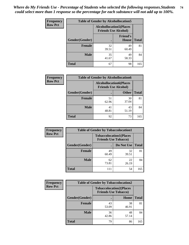| <b>Frequency</b> |                | <b>Table of Gender by Alcohollocation5</b>                     |                                 |              |
|------------------|----------------|----------------------------------------------------------------|---------------------------------|--------------|
| <b>Row Pct</b>   |                | <b>Alcohollocation5</b> (Places<br><b>Friends Use Alcohol)</b> |                                 |              |
|                  | Gender(Gender) | $\bullet$                                                      | <b>Friend's</b><br><b>House</b> | <b>Total</b> |
|                  | <b>Female</b>  | 32<br>39.51                                                    | 49<br>60.49                     | 81           |
|                  | <b>Male</b>    | 35<br>41.67                                                    | 49<br>58.33                     | 84           |
|                  | <b>Total</b>   | 67                                                             | 98                              | 165          |

| Frequency      |                        | <b>Table of Gender by Alcohollocation6</b>                    |              |              |
|----------------|------------------------|---------------------------------------------------------------|--------------|--------------|
| <b>Row Pct</b> |                        | <b>Alcohollocation6(Places</b><br><b>Friends Use Alcohol)</b> |              |              |
|                | <b>Gender</b> (Gender) |                                                               | <b>Other</b> | <b>Total</b> |
|                | <b>Female</b>          | 51<br>62.96                                                   | 30<br>37.04  | 81           |
|                | <b>Male</b>            | 41<br>48.81                                                   | 43<br>51.19  | 84           |
|                | <b>Total</b>           | 92                                                            | 73           | 165          |

| Frequency      | <b>Table of Gender by Tobaccolocation1</b> |                                                               |             |              |  |
|----------------|--------------------------------------------|---------------------------------------------------------------|-------------|--------------|--|
| <b>Row Pct</b> |                                            | <b>Tobaccolocation1(Places</b><br><b>Friends Use Tobacco)</b> |             |              |  |
|                | <b>Gender</b> (Gender)                     |                                                               | Do Not Use  | <b>Total</b> |  |
|                | Female                                     | 49<br>60.49                                                   | 32<br>39.51 | 81           |  |
|                | <b>Male</b>                                | 62<br>73.81                                                   | 22<br>26.19 | 84           |  |
|                | <b>Total</b>                               | 111                                                           | 54          | 165          |  |

| <b>Frequency</b> | <b>Table of Gender by Tobaccolocation2</b> |                                                               |             |              |
|------------------|--------------------------------------------|---------------------------------------------------------------|-------------|--------------|
| <b>Row Pct</b>   |                                            | <b>Tobaccolocation2(Places</b><br><b>Friends Use Tobacco)</b> |             |              |
|                  | Gender(Gender)                             |                                                               | Home        | <b>Total</b> |
|                  | Female                                     | 43<br>53.09                                                   | 38<br>46.91 | 81           |
|                  | <b>Male</b>                                | 36<br>42.86                                                   | 48<br>57.14 | 84           |
|                  | <b>Total</b>                               | 79                                                            | 86          | 165          |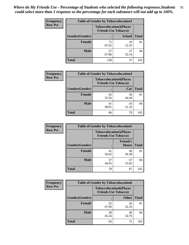| <b>Frequency</b> | <b>Table of Gender by Tobaccolocation3</b> |                                                               |               |              |
|------------------|--------------------------------------------|---------------------------------------------------------------|---------------|--------------|
| <b>Row Pct</b>   |                                            | <b>Tobaccolocation3(Places</b><br><b>Friends Use Tobacco)</b> |               |              |
|                  | Gender(Gender)                             |                                                               | <b>School</b> | <b>Total</b> |
|                  | <b>Female</b>                              | 71<br>87.65                                                   | 10<br>12.35   | 81           |
|                  | <b>Male</b>                                | 57<br>67.86                                                   | 27<br>32.14   | 84           |
|                  | Total                                      | 128                                                           | 37            | 165          |

| <b>Frequency</b> | <b>Table of Gender by Tobaccolocation4</b> |             |                                                               |              |
|------------------|--------------------------------------------|-------------|---------------------------------------------------------------|--------------|
| <b>Row Pct</b>   |                                            |             | <b>Tobaccolocation4(Places</b><br><b>Friends Use Tobacco)</b> |              |
|                  | Gender(Gender)                             |             | Car                                                           | <b>Total</b> |
|                  | <b>Female</b>                              | 45<br>55.56 | 36<br>44.44                                                   | 81           |
|                  | <b>Male</b>                                | 41<br>48.81 | 43<br>51.19                                                   | 84           |
|                  | <b>Total</b>                               | 86          | 79                                                            | 165          |

| <b>Frequency</b> | <b>Table of Gender by Tobaccolocation5</b> |                                                               |                          |              |
|------------------|--------------------------------------------|---------------------------------------------------------------|--------------------------|--------------|
| <b>Row Pct</b>   |                                            | <b>Tobaccolocation5(Places</b><br><b>Friends Use Tobacco)</b> |                          |              |
|                  | Gender(Gender)                             |                                                               | <b>Friend's</b><br>House | <b>Total</b> |
|                  | <b>Female</b>                              | 41<br>50.62                                                   | 40<br>49.38              | 81           |
|                  | <b>Male</b>                                | 37<br>44.05                                                   | 47<br>55.95              | 84           |
|                  | <b>Total</b>                               | 78                                                            | 87                       | 165          |

| <b>Frequency</b> | <b>Table of Gender by Tobaccolocation6</b> |                                                               |              |              |
|------------------|--------------------------------------------|---------------------------------------------------------------|--------------|--------------|
| <b>Row Pct</b>   |                                            | <b>Tobaccolocation6(Places</b><br><b>Friends Use Tobacco)</b> |              |              |
|                  | Gender(Gender)                             |                                                               | <b>Other</b> | <b>Total</b> |
|                  | Female                                     | 55<br>67.90                                                   | 26<br>32.10  | 81           |
|                  | <b>Male</b>                                | 38<br>45.24                                                   | 46<br>54.76  | 84           |
|                  | <b>Total</b>                               | 93                                                            | 72           | 165          |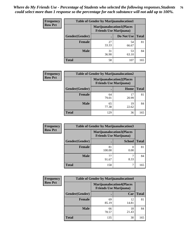| <b>Frequency</b> | <b>Table of Gender by Marijuanalocation1</b> |                                                                    |             |              |  |
|------------------|----------------------------------------------|--------------------------------------------------------------------|-------------|--------------|--|
| <b>Row Pct</b>   |                                              | <b>Marijuanalocation1(Places</b><br><b>Friends Use Marijuana</b> ) |             |              |  |
|                  | Gender(Gender)                               |                                                                    | Do Not Use  | <b>Total</b> |  |
|                  | <b>Female</b>                                | 27<br>33.33                                                        | 54<br>66.67 | 81           |  |
|                  | <b>Male</b>                                  | 31<br>36.90                                                        | 53<br>63.10 | 84           |  |
|                  | <b>Total</b>                                 | 58                                                                 | 107         | 165          |  |

| <b>Frequency</b> | <b>Table of Gender by Marijuanalocation2</b> |                                                                    |             |              |  |
|------------------|----------------------------------------------|--------------------------------------------------------------------|-------------|--------------|--|
| <b>Row Pct</b>   |                                              | <b>Marijuanalocation2(Places</b><br><b>Friends Use Marijuana</b> ) |             |              |  |
|                  | Gender(Gender)                               |                                                                    | Home        | <b>Total</b> |  |
|                  | <b>Female</b>                                | 64<br>79.01                                                        | 20.99       | 81           |  |
|                  | <b>Male</b>                                  | 65<br>77.38                                                        | 19<br>22.62 | 84           |  |
|                  | <b>Total</b>                                 | 129                                                                | 36          | 165          |  |

| Frequency      | <b>Table of Gender by Marijuanalocation3</b> |                                                                    |               |              |  |
|----------------|----------------------------------------------|--------------------------------------------------------------------|---------------|--------------|--|
| <b>Row Pct</b> |                                              | <b>Marijuanalocation3(Places</b><br><b>Friends Use Marijuana</b> ) |               |              |  |
|                | Gender(Gender)                               |                                                                    | <b>School</b> | <b>Total</b> |  |
|                | Female                                       | 81<br>100.00                                                       | 0.00          | 81           |  |
|                | <b>Male</b>                                  | 77<br>91.67                                                        | 8.33          | 84           |  |
|                | <b>Total</b>                                 | 158                                                                | ℸ             | 165          |  |

| <b>Frequency</b> |                | <b>Table of Gender by Marijuanalocation4</b> |                                                                    |              |
|------------------|----------------|----------------------------------------------|--------------------------------------------------------------------|--------------|
| <b>Row Pct</b>   |                |                                              | <b>Marijuanalocation4(Places</b><br><b>Friends Use Marijuana</b> ) |              |
|                  | Gender(Gender) |                                              | Car                                                                | <b>Total</b> |
|                  | Female         | 69<br>85.19                                  | 12<br>14.81                                                        | 81           |
|                  | <b>Male</b>    | 66<br>78.57                                  | 18<br>21.43                                                        | 84           |
|                  | <b>Total</b>   | 135                                          | 30                                                                 | 165          |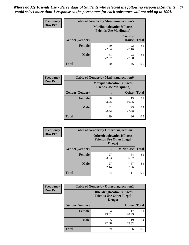| <b>Frequency</b> | <b>Table of Gender by Marijuanalocation5</b> |                                                                     |                                 |              |
|------------------|----------------------------------------------|---------------------------------------------------------------------|---------------------------------|--------------|
| <b>Row Pct</b>   |                                              | <b>Marijuanalocation5</b> (Places<br><b>Friends Use Marijuana</b> ) |                                 |              |
|                  | Gender(Gender)                               |                                                                     | <b>Friend's</b><br><b>House</b> | <b>Total</b> |
|                  | <b>Female</b>                                | 59<br>72.84                                                         | 22<br>27.16                     | 81           |
|                  | <b>Male</b>                                  | 61<br>72.62                                                         | 23<br>27.38                     | 84           |
|                  | <b>Total</b>                                 | 120                                                                 | 45                              | 165          |

| <b>Frequency</b> | <b>Table of Gender by Marijuanalocation6</b> |                                                                    |              |       |
|------------------|----------------------------------------------|--------------------------------------------------------------------|--------------|-------|
| <b>Row Pct</b>   |                                              | <b>Marijuanalocation6(Places</b><br><b>Friends Use Marijuana</b> ) |              |       |
|                  | Gender(Gender)                               |                                                                    | <b>Other</b> | Total |
|                  | Female                                       | 68<br>83.95                                                        | 13<br>16.05  | 81    |
|                  | <b>Male</b>                                  | 61<br>72.62                                                        | 23<br>27.38  | 84    |
|                  | <b>Total</b>                                 | 129                                                                | 36           | 165   |

| <b>Frequency</b> | <b>Table of Gender by Otherdruglocation1</b> |                                                                                |             |              |
|------------------|----------------------------------------------|--------------------------------------------------------------------------------|-------------|--------------|
| <b>Row Pct</b>   |                                              | <b>Otherdruglocation1(Places</b><br><b>Friends Use Other Illegal</b><br>Drugs) |             |              |
|                  | Gender(Gender)                               |                                                                                | Do Not Use  | <b>Total</b> |
|                  | <b>Female</b>                                | 27<br>33.33                                                                    | 54<br>66.67 | 81           |
|                  | <b>Male</b>                                  | 27<br>32.14                                                                    | 57<br>67.86 | 84           |
|                  | <b>Total</b>                                 | 54                                                                             | 111         | 165          |

| <b>Frequency</b> | <b>Table of Gender by Otherdruglocation2</b> |                                            |                                  |              |
|------------------|----------------------------------------------|--------------------------------------------|----------------------------------|--------------|
| <b>Row Pct</b>   |                                              | <b>Friends Use Other Illegal</b><br>Drugs) | <b>Otherdruglocation2(Places</b> |              |
|                  | Gender(Gender)                               |                                            | Home                             | <b>Total</b> |
|                  | Female                                       | 64<br>79.01                                | 17<br>20.99                      | 81           |
|                  | <b>Male</b>                                  | 65<br>77.38                                | 19<br>22.62                      | 84           |
|                  | <b>Total</b>                                 | 129                                        | 36                               | 165          |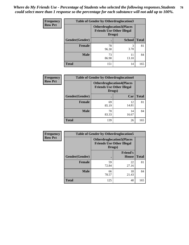| Frequency      | <b>Table of Gender by Otherdruglocation3</b> |                                                                                |               |              |
|----------------|----------------------------------------------|--------------------------------------------------------------------------------|---------------|--------------|
| <b>Row Pct</b> |                                              | <b>Otherdruglocation3(Places</b><br><b>Friends Use Other Illegal</b><br>Drugs) |               |              |
|                | Gender(Gender)                               |                                                                                | <b>School</b> | <b>Total</b> |
|                | Female                                       | 78<br>96.30                                                                    | 3<br>3.70     | 81           |
|                | <b>Male</b>                                  | 73<br>86.90                                                                    | 11<br>13.10   | 84           |
|                | <b>Total</b>                                 | 151                                                                            | 14            | 165          |

| Frequency      | <b>Table of Gender by Otherdruglocation4</b> |                                                                                |             |              |
|----------------|----------------------------------------------|--------------------------------------------------------------------------------|-------------|--------------|
| <b>Row Pct</b> |                                              | <b>Otherdruglocation4(Places</b><br><b>Friends Use Other Illegal</b><br>Drugs) |             |              |
|                | Gender(Gender)                               |                                                                                | Car         | <b>Total</b> |
|                | <b>Female</b>                                | 69<br>85.19                                                                    | 12<br>14.81 | 81           |
|                | <b>Male</b>                                  | 70<br>83.33                                                                    | 14<br>16.67 | 84           |
|                | <b>Total</b>                                 | 139                                                                            | 26          | 165          |

| Frequency      | <b>Table of Gender by Otherdruglocation5</b> |                                                                                |                                 |              |
|----------------|----------------------------------------------|--------------------------------------------------------------------------------|---------------------------------|--------------|
| <b>Row Pct</b> |                                              | <b>Otherdruglocation5(Places</b><br><b>Friends Use Other Illegal</b><br>Drugs) |                                 |              |
|                | Gender(Gender)                               |                                                                                | <b>Friend's</b><br><b>House</b> | <b>Total</b> |
|                | <b>Female</b>                                | 59<br>72.84                                                                    | 22<br>27.16                     | 81           |
|                | <b>Male</b>                                  | 66<br>78.57                                                                    | 18<br>21.43                     | 84           |
|                | <b>Total</b>                                 | 125                                                                            | 40                              | 165          |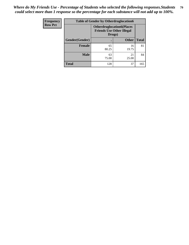| <b>Frequency</b> | <b>Table of Gender by Otherdruglocation6</b> |                                                                                |              |              |
|------------------|----------------------------------------------|--------------------------------------------------------------------------------|--------------|--------------|
| <b>Row Pct</b>   |                                              | <b>Otherdruglocation6(Places</b><br><b>Friends Use Other Illegal</b><br>Drugs) |              |              |
|                  | Gender(Gender)                               |                                                                                | <b>Other</b> | <b>Total</b> |
|                  | Female                                       | 65<br>80.25                                                                    | 16<br>19.75  | 81           |
|                  | <b>Male</b>                                  | 63<br>75.00                                                                    | 21<br>25.00  | 84           |
|                  | <b>Total</b>                                 | 128                                                                            | 37           | 165          |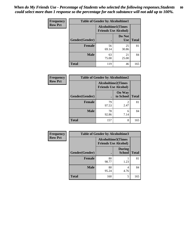| <b>Frequency</b> | <b>Table of Gender by Alcoholtime1</b> |                                                          |                      |              |
|------------------|----------------------------------------|----------------------------------------------------------|----------------------|--------------|
| <b>Row Pct</b>   |                                        | <b>Alcoholtime1(Times</b><br><b>Friends Use Alcohol)</b> |                      |              |
|                  | Gender(Gender)                         | $\bullet$                                                | Do Not<br><b>Use</b> | <b>Total</b> |
|                  | <b>Female</b>                          | 56<br>69.14                                              | 25<br>30.86          | 81           |
|                  | <b>Male</b>                            | 63<br>75.00                                              | 21<br>25.00          | 84           |
|                  | <b>Total</b>                           | 119                                                      | 46                   | 165          |

| <b>Frequency</b> | <b>Table of Gender by Alcoholtime2</b> |                                                          |                            |              |
|------------------|----------------------------------------|----------------------------------------------------------|----------------------------|--------------|
| <b>Row Pct</b>   |                                        | <b>Alcoholtime2(Times</b><br><b>Friends Use Alcohol)</b> |                            |              |
|                  | Gender(Gender)                         |                                                          | <b>On Way</b><br>to School | <b>Total</b> |
|                  | <b>Female</b>                          | 79<br>97.53                                              | 2<br>2.47                  | 81           |
|                  | <b>Male</b>                            | 78<br>92.86                                              | 6<br>7.14                  | 84           |
|                  | <b>Total</b>                           | 157                                                      | 8                          | 165          |

| Frequency      | <b>Table of Gender by Alcoholtime3</b> |                                                   |                                |              |
|----------------|----------------------------------------|---------------------------------------------------|--------------------------------|--------------|
| <b>Row Pct</b> |                                        | Alcoholtime3(Times<br><b>Friends Use Alcohol)</b> |                                |              |
|                | Gender(Gender)                         |                                                   | <b>During</b><br><b>School</b> | <b>Total</b> |
|                | Female                                 | 80<br>98.77                                       | 1.23                           | 81           |
|                | <b>Male</b>                            | 80<br>95.24                                       | 4<br>4.76                      | 84           |
|                | <b>Total</b>                           | 160                                               | 5                              | 165          |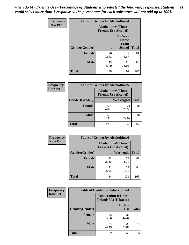*When do My Friends Use - Percentage of Students who selected the following responses.Students could select more than 1 response so the percentage for each substance will not add up to 100%.* **81**

| <b>Frequency</b> | <b>Table of Gender by Alcoholtime4</b> |                                                          |                                                |              |
|------------------|----------------------------------------|----------------------------------------------------------|------------------------------------------------|--------------|
| <b>Row Pct</b>   |                                        | <b>Alcoholtime4(Times</b><br><b>Friends Use Alcohol)</b> |                                                |              |
|                  | Gender(Gender)                         | $\bullet$                                                | <b>On Way</b><br>Home<br>From<br><b>School</b> | <b>Total</b> |
|                  | <b>Female</b>                          | 76<br>93.83                                              | 5<br>6.17                                      | 81           |
|                  | <b>Male</b>                            | 73<br>86.90                                              | 11<br>13.10                                    | 84           |
|                  | <b>Total</b>                           | 149                                                      | 16                                             | 165          |

| <b>Frequency</b> | <b>Table of Gender by Alcoholtime5</b> |                                                           |             |              |
|------------------|----------------------------------------|-----------------------------------------------------------|-------------|--------------|
| <b>Row Pct</b>   |                                        | <b>Alcoholtime5</b> (Times<br><b>Friends Use Alcohol)</b> |             |              |
|                  | Gender(Gender)                         |                                                           | Weeknights  | <b>Total</b> |
|                  | <b>Female</b>                          | 60<br>74.07                                               | 21<br>25.93 | 81           |
|                  | <b>Male</b>                            | 65<br>77.38                                               | 19<br>22.62 | 84           |
|                  | <b>Total</b>                           | 125                                                       | 40          | 165          |

| <b>Frequency</b> | <b>Table of Gender by Alcoholtime6</b> |             |                                                          |              |  |
|------------------|----------------------------------------|-------------|----------------------------------------------------------|--------------|--|
| <b>Row Pct</b>   |                                        |             | <b>Alcoholtime6(Times</b><br><b>Friends Use Alcohol)</b> |              |  |
|                  | Gender(Gender)                         |             | <b>Weekends</b>                                          | <b>Total</b> |  |
|                  | Female                                 | 23<br>28.40 | 58<br>71.60                                              | 81           |  |
|                  | <b>Male</b>                            | 21<br>25.00 | 63<br>75.00                                              | 84           |  |
|                  | <b>Total</b>                           | 44          | 121                                                      | 165          |  |

| Frequency      | <b>Table of Gender by Tobaccotime1</b> |                                                          |                      |              |
|----------------|----------------------------------------|----------------------------------------------------------|----------------------|--------------|
| <b>Row Pct</b> |                                        | <b>Tobaccotime1(Times</b><br><b>Friends Use Tobacco)</b> |                      |              |
|                | Gender(Gender)                         |                                                          | Do Not<br><b>Use</b> | <b>Total</b> |
|                | Female                                 | 45<br>55.56                                              | 36<br>44.44          | 81           |
|                | <b>Male</b>                            | 64<br>76.19                                              | 20<br>23.81          | 84           |
|                | <b>Total</b>                           | 109                                                      | 56                   | 165          |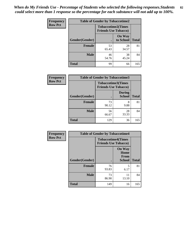| <b>Frequency</b> | <b>Table of Gender by Tobaccotime2</b> |                                                          |                            |              |
|------------------|----------------------------------------|----------------------------------------------------------|----------------------------|--------------|
| <b>Row Pct</b>   |                                        | <b>Tobaccotime2(Times</b><br><b>Friends Use Tobacco)</b> |                            |              |
|                  | Gender(Gender)                         | $\bullet$                                                | <b>On Way</b><br>to School | <b>Total</b> |
|                  | Female                                 | 53<br>65.43                                              | 28<br>34.57                | 81           |
|                  | <b>Male</b>                            | 46<br>54.76                                              | 38<br>45.24                | 84           |
|                  | <b>Total</b>                           | 99                                                       | 66                         | 165          |

| <b>Frequency</b> | <b>Table of Gender by Tobaccotime3</b> |                                                          |                                |              |
|------------------|----------------------------------------|----------------------------------------------------------|--------------------------------|--------------|
| <b>Row Pct</b>   |                                        | <b>Tobaccotime3(Times</b><br><b>Friends Use Tobacco)</b> |                                |              |
|                  | Gender(Gender)                         |                                                          | <b>During</b><br><b>School</b> | <b>Total</b> |
|                  | Female                                 | 73<br>90.12                                              | 8<br>9.88                      | 81           |
|                  | <b>Male</b>                            | 56<br>66.67                                              | 28<br>33.33                    | 84           |
|                  | <b>Total</b>                           | 129                                                      | 36                             | 165          |

| Frequency      | <b>Table of Gender by Tobaccotime4</b> |                                                          |                                                |              |
|----------------|----------------------------------------|----------------------------------------------------------|------------------------------------------------|--------------|
| <b>Row Pct</b> |                                        | <b>Tobaccotime4(Times</b><br><b>Friends Use Tobacco)</b> |                                                |              |
|                | Gender(Gender)                         |                                                          | <b>On Way</b><br>Home<br>From<br><b>School</b> | <b>Total</b> |
|                | <b>Female</b>                          | 76<br>93.83                                              | 5<br>6.17                                      | 81           |
|                | <b>Male</b>                            | 73<br>86.90                                              | 11<br>13.10                                    | 84           |
|                | <b>Total</b>                           | 149                                                      | 16                                             | 165          |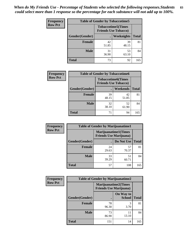| <b>Frequency</b> | <b>Table of Gender by Tobaccotime5</b> |             |                                                           |              |  |
|------------------|----------------------------------------|-------------|-----------------------------------------------------------|--------------|--|
| <b>Row Pct</b>   |                                        |             | <b>Tobaccotime5</b> (Times<br><b>Friends Use Tobacco)</b> |              |  |
|                  | Gender(Gender)                         |             | Weeknights                                                | <b>Total</b> |  |
|                  | <b>Female</b>                          | 42<br>51.85 | 39<br>48.15                                               | 81           |  |
|                  | <b>Male</b>                            | 31<br>36.90 | 53<br>63.10                                               | 84           |  |
|                  | <b>Total</b>                           | 73          | 92                                                        | 165          |  |

| <b>Frequency</b> | <b>Table of Gender by Tobaccotime6</b> |                                                          |                 |              |
|------------------|----------------------------------------|----------------------------------------------------------|-----------------|--------------|
| <b>Row Pct</b>   |                                        | <b>Tobaccotime6(Times</b><br><b>Friends Use Tobacco)</b> |                 |              |
|                  | Gender(Gender)                         |                                                          | <b>Weekends</b> | <b>Total</b> |
|                  | Female                                 | 39<br>48.15                                              | 42<br>51.85     | 81           |
|                  | <b>Male</b>                            | 32<br>38.10                                              | 52<br>61.90     | 84           |
|                  | <b>Total</b>                           | 71                                                       | 94              | 165          |

| <b>Frequency</b> |                | <b>Table of Gender by Marijuanatime1</b>                      |             |              |
|------------------|----------------|---------------------------------------------------------------|-------------|--------------|
| <b>Row Pct</b>   |                | <b>Marijuanatime1(Times</b><br><b>Friends Use Marijuana</b> ) |             |              |
|                  | Gender(Gender) |                                                               | Do Not Use  | <b>Total</b> |
|                  | <b>Female</b>  | 24<br>29.63                                                   | 57<br>70.37 | 81           |
|                  | <b>Male</b>    | 33<br>39.29                                                   | 51<br>60.71 | 84           |
|                  | <b>Total</b>   | 57                                                            | 108         | 165          |

| <b>Frequency</b> | <b>Table of Gender by Marijuanatime2</b> |                                |                             |              |
|------------------|------------------------------------------|--------------------------------|-----------------------------|--------------|
| <b>Row Pct</b>   |                                          | <b>Friends Use Marijuana</b> ) | <b>Marijuanatime2(Times</b> |              |
|                  | Gender(Gender)                           |                                | On Way to<br><b>School</b>  | <b>Total</b> |
|                  | Female                                   | 78<br>96.30                    | 3<br>3.70                   | 81           |
|                  | <b>Male</b>                              | 73<br>86.90                    | 11<br>13.10                 | 84           |
|                  | <b>Total</b>                             | 151                            | 14                          | 165          |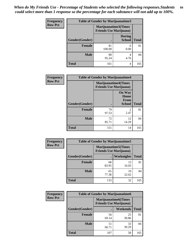| <b>Frequency</b> | <b>Table of Gender by Marijuanatime3</b> |                                |                                |              |
|------------------|------------------------------------------|--------------------------------|--------------------------------|--------------|
| <b>Row Pct</b>   |                                          | <b>Friends Use Marijuana</b> ) | Marijuanatime3(Times           |              |
|                  | <b>Gender</b> (Gender)                   |                                | <b>During</b><br><b>School</b> | <b>Total</b> |
|                  | <b>Female</b>                            | 81<br>100.00                   | 0.00                           | 81           |
|                  | <b>Male</b>                              | 80<br>95.24                    | 4<br>4.76                      | 84           |
|                  | <b>Total</b>                             | 161                            | 4                              | 165          |

| Frequency      | <b>Table of Gender by Marijuanatime4</b> |                                |                                                |              |
|----------------|------------------------------------------|--------------------------------|------------------------------------------------|--------------|
| <b>Row Pct</b> |                                          | <b>Friends Use Marijuana</b> ) | <b>Marijuanatime4</b> (Times                   |              |
|                | Gender(Gender)                           |                                | <b>On Way</b><br>Home<br>From<br><b>School</b> | <b>Total</b> |
|                | <b>Female</b>                            | 79<br>97.53                    | $\mathfrak{D}$<br>2.47                         | 81           |
|                | <b>Male</b>                              | 72<br>85.71                    | 12<br>14.29                                    | 84           |
|                | <b>Total</b>                             | 151                            | 14                                             | 165          |

| Frequency      | <b>Table of Gender by Marijuanatime5</b> |             |                                                                |              |  |
|----------------|------------------------------------------|-------------|----------------------------------------------------------------|--------------|--|
| <b>Row Pct</b> |                                          |             | <b>Marijuanatime5</b> (Times<br><b>Friends Use Marijuana</b> ) |              |  |
|                | Gender(Gender)                           |             | Weeknights                                                     | <b>Total</b> |  |
|                | <b>Female</b>                            | 68<br>83.95 | 13<br>16.05                                                    | 81           |  |
|                | <b>Male</b>                              | 65<br>77.38 | 19<br>22.62                                                    | 84           |  |
|                | <b>Total</b>                             | 133         | 32                                                             | 165          |  |

| Frequency      | <b>Table of Gender by Marijuanatime6</b> |                                                               |                 |              |
|----------------|------------------------------------------|---------------------------------------------------------------|-----------------|--------------|
| <b>Row Pct</b> |                                          | <b>Marijuanatime6(Times</b><br><b>Friends Use Marijuana</b> ) |                 |              |
|                | Gender(Gender)                           |                                                               | <b>Weekends</b> | <b>Total</b> |
|                | <b>Female</b>                            | 56<br>69.14                                                   | 25<br>30.86     | 81           |
|                | <b>Male</b>                              | 51<br>60.71                                                   | 33<br>39.29     | 84           |
|                | <b>Total</b>                             | 107                                                           | 58              | 165          |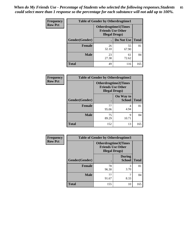*When do My Friends Use - Percentage of Students who selected the following responses.Students could select more than 1 response so the percentage for each substance will not add up to 100%.* **85**

| <b>Frequency</b> | <b>Table of Gender by Otherdrugtime1</b> |                                                                                    |                    |     |  |
|------------------|------------------------------------------|------------------------------------------------------------------------------------|--------------------|-----|--|
| <b>Row Pct</b>   |                                          | <b>Otherdrugtime1</b> (Times<br><b>Friends Use Other</b><br><b>Illegal Drugs</b> ) |                    |     |  |
|                  | Gender(Gender)                           |                                                                                    | Do Not Use   Total |     |  |
|                  | <b>Female</b>                            | 26<br>32.10                                                                        | 55<br>67.90        | 81  |  |
|                  | <b>Male</b>                              | 23<br>27.38                                                                        | 61<br>72.62        | 84  |  |
|                  | <b>Total</b>                             | 49                                                                                 | 116                | 165 |  |

| Frequency      | <b>Table of Gender by Otherdrugtime2</b> |                                                                                   |                            |              |
|----------------|------------------------------------------|-----------------------------------------------------------------------------------|----------------------------|--------------|
| <b>Row Pct</b> |                                          | <b>Otherdrugtime2(Times</b><br><b>Friends Use Other</b><br><b>Illegal Drugs</b> ) |                            |              |
|                | Gender(Gender)                           |                                                                                   | On Way to<br><b>School</b> | <b>Total</b> |
|                | <b>Female</b>                            | 77<br>95.06                                                                       | 4<br>4.94                  | 81           |
|                | <b>Male</b>                              | 75<br>89.29                                                                       | 9<br>10.71                 | 84           |
|                | <b>Total</b>                             | 152                                                                               | 13                         | 165          |

| <b>Frequency</b> |                | <b>Table of Gender by Otherdrugtime3</b>           |                                |              |
|------------------|----------------|----------------------------------------------------|--------------------------------|--------------|
| <b>Row Pct</b>   |                | <b>Friends Use Other</b><br><b>Illegal Drugs</b> ) | Otherdrugtime3(Times           |              |
|                  | Gender(Gender) |                                                    | <b>During</b><br><b>School</b> | <b>Total</b> |
|                  | <b>Female</b>  | 78<br>96.30                                        | 3<br>3.70                      | 81           |
|                  | <b>Male</b>    | 77<br>91.67                                        | 8.33                           | 84           |
|                  | <b>Total</b>   | 155                                                | 10                             | 165          |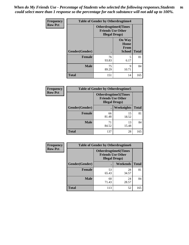*When do My Friends Use - Percentage of Students who selected the following responses.Students could select more than 1 response so the percentage for each substance will not add up to 100%.* **86**

| <b>Frequency</b> | <b>Table of Gender by Otherdrugtime4</b> |                                                                                   |                                                       |              |
|------------------|------------------------------------------|-----------------------------------------------------------------------------------|-------------------------------------------------------|--------------|
| <b>Row Pct</b>   |                                          | <b>Otherdrugtime4(Times</b><br><b>Friends Use Other</b><br><b>Illegal Drugs</b> ) |                                                       |              |
|                  | Gender(Gender)                           | ٠                                                                                 | <b>On Way</b><br>Home<br><b>From</b><br><b>School</b> | <b>Total</b> |
|                  | <b>Female</b>                            | 76<br>93.83                                                                       | 5<br>6.17                                             | 81           |
|                  | <b>Male</b>                              | 75<br>89.29                                                                       | 9<br>10.71                                            | 84           |
|                  | <b>Total</b>                             | 151                                                                               | 14                                                    | 165          |

| Frequency      | <b>Table of Gender by Otherdrugtime5</b> |                                                                                    |                   |              |
|----------------|------------------------------------------|------------------------------------------------------------------------------------|-------------------|--------------|
| <b>Row Pct</b> |                                          | <b>Otherdrugtime5</b> (Times<br><b>Friends Use Other</b><br><b>Illegal Drugs</b> ) |                   |              |
|                | Gender(Gender)                           |                                                                                    | <b>Weeknights</b> | <b>Total</b> |
|                | <b>Female</b>                            | 66<br>81.48                                                                        | 15<br>18.52       | 81           |
|                | <b>Male</b>                              | 71<br>84.52                                                                        | 13<br>15.48       | 84           |
|                | <b>Total</b>                             | 137                                                                                | 28                | 165          |

| <b>Frequency</b> | <b>Table of Gender by Otherdrugtime6</b> |                                                                                   |             |              |
|------------------|------------------------------------------|-----------------------------------------------------------------------------------|-------------|--------------|
| <b>Row Pct</b>   |                                          | <b>Otherdrugtime6(Times</b><br><b>Friends Use Other</b><br><b>Illegal Drugs</b> ) |             |              |
|                  | Gender(Gender)                           |                                                                                   | Weekends    | <b>Total</b> |
|                  | <b>Female</b>                            | 53<br>65.43                                                                       | 28<br>34.57 | 81           |
|                  | <b>Male</b>                              | 60<br>71.43                                                                       | 24<br>28.57 | 84           |
|                  | <b>Total</b>                             | 113                                                                               | 52          | 165          |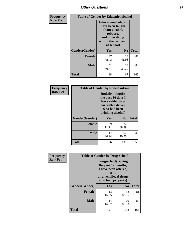# *Other Questions* **87**

| Frequency      | <b>Table of Gender by Educationalcohol</b> |                                                                                                                               |                |              |  |
|----------------|--------------------------------------------|-------------------------------------------------------------------------------------------------------------------------------|----------------|--------------|--|
| <b>Row Pct</b> |                                            | Educationalcohol(I<br>have been taught<br>about alcohol,<br>tobacco,<br>and other drugs<br>within the last year<br>at school) |                |              |  |
|                | Gender(Gender)                             | <b>Yes</b>                                                                                                                    | N <sub>0</sub> | <b>Total</b> |  |
|                | <b>Female</b>                              | 47<br>58.02                                                                                                                   | 34<br>41.98    | 81           |  |
|                | <b>Male</b>                                | 51<br>60.71                                                                                                                   | 33<br>39.29    | 84           |  |
|                | <b>Total</b>                               | 98                                                                                                                            | 67             | 165          |  |

| Frequency      | <b>Table of Gender by Rodedrinking</b> |                                                                                                                     |                |              |  |  |
|----------------|----------------------------------------|---------------------------------------------------------------------------------------------------------------------|----------------|--------------|--|--|
| <b>Row Pct</b> |                                        | Rodedrinking(In<br>the past 30 days I<br>have ridden in a<br>car with a driver<br>who had been<br>drinking alcohol) |                |              |  |  |
|                | Gender(Gender)                         | Yes                                                                                                                 | N <sub>0</sub> | <b>Total</b> |  |  |
|                | <b>Female</b>                          | 9<br>11.11                                                                                                          | 72<br>88.89    | 81           |  |  |
|                | <b>Male</b>                            | 17<br>20.24                                                                                                         | 67<br>79.76    | 84           |  |  |
|                | <b>Total</b>                           | 26                                                                                                                  | 139            | 165          |  |  |

| Frequency      | <b>Table of Gender by Drugsschool</b> |                                                                                                                                     |                |              |  |
|----------------|---------------------------------------|-------------------------------------------------------------------------------------------------------------------------------------|----------------|--------------|--|
| <b>Row Pct</b> |                                       | <b>Drugsschool</b> (During<br>the past 12 months,<br>I have been offered,<br>sold,<br>or given illegal drugs<br>on school property) |                |              |  |
|                | Gender(Gender)                        | <b>Yes</b>                                                                                                                          | N <sub>0</sub> | <b>Total</b> |  |
|                | <b>Female</b>                         | 13<br>16.05                                                                                                                         | 68<br>83.95    | 81           |  |
|                | <b>Male</b>                           | 14<br>16.67                                                                                                                         | 70<br>83.33    | 84           |  |
|                | <b>Total</b>                          | 27                                                                                                                                  | 138            | 165          |  |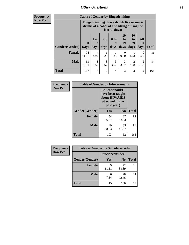# *Other Questions* **88**

**Frequency Row Pct**

| <b>Table of Gender by Bingedrinking</b> |                         |                                                                                                         |                   |                   |                        |                               |                                     |              |
|-----------------------------------------|-------------------------|---------------------------------------------------------------------------------------------------------|-------------------|-------------------|------------------------|-------------------------------|-------------------------------------|--------------|
|                                         |                         | Bingedrinking(I have drunk five or more<br>drinks of alcohol at one sitting during the<br>last 30 days) |                   |                   |                        |                               |                                     |              |
| <b>Gender</b> (Gender)                  | $\bf{0}$<br><b>Days</b> | 1 or<br>days                                                                                            | 3 to<br>5<br>days | 6 to<br>q<br>days | 10<br>to<br>19<br>days | <b>20</b><br>to<br>29<br>days | All<br>30<br>days                   | <b>Total</b> |
| <b>Female</b>                           | 74                      | 4                                                                                                       |                   |                   | $\Omega$               |                               | $\Omega$                            | 81           |
|                                         | 91.36                   | 4.94                                                                                                    | 1.23              | 1.23              | 0.00                   | 1.23                          | 0.00                                |              |
| <b>Male</b>                             | 63<br>75.00             | 3<br>3.57                                                                                               | 8<br>9.52         | 3<br>3.57         | 3<br>3.57              | 2<br>2.38                     | $\mathcal{D}_{\mathcal{L}}$<br>2.38 | 84           |

| Frequency      | <b>Table of Gender by Educationaids</b> |                                                                                                 |                |              |
|----------------|-----------------------------------------|-------------------------------------------------------------------------------------------------|----------------|--------------|
| <b>Row Pct</b> |                                         | <b>Educationaids</b> (I<br>have been taught<br>about HIV/AIDS<br>at school in the<br>past year) |                |              |
|                | Gender(Gender)                          | Yes                                                                                             | N <sub>0</sub> | <b>Total</b> |
|                | <b>Female</b>                           | 54<br>66.67                                                                                     | 27<br>33.33    | 81           |
|                | <b>Male</b>                             | 49<br>58.33                                                                                     | 35<br>41.67    | 84           |
|                | <b>Total</b>                            | 103                                                                                             | 62             | 165          |

| <b>Frequency</b> | <b>Table of Gender by Suicideconsider</b> |                 |                |              |
|------------------|-------------------------------------------|-----------------|----------------|--------------|
| <b>Row Pct</b>   |                                           | Suicideconsider |                |              |
|                  | Gender(Gender)                            | Yes             | N <sub>0</sub> | <b>Total</b> |
|                  | <b>Female</b>                             | 11.11           | 72<br>88.89    | 81           |
|                  | <b>Male</b>                               | 6<br>7.14       | 78<br>92.86    | 84           |
|                  | <b>Total</b>                              | 15              | 150            | 165          |